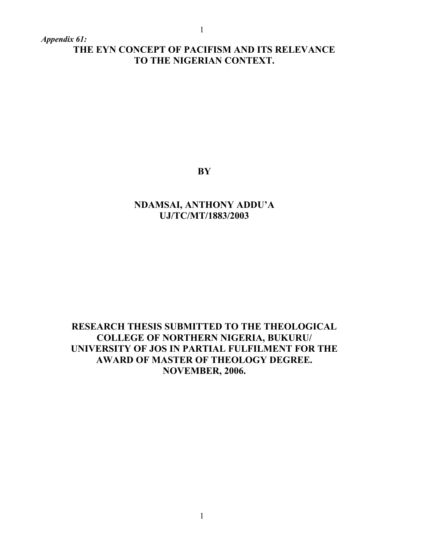*Appendix 61:*

# **THE EYN CONCEPT OF PACIFISM AND ITS RELEVANCE TO THE NIGERIAN CONTEXT.**

**BY**

# **NDAMSAI, ANTHONY ADDU'A UJ/TC/MT/1883/2003**

# **RESEARCH THESIS SUBMITTED TO THE THEOLOGICAL COLLEGE OF NORTHERN NIGERIA, BUKURU/ UNIVERSITY OF JOS IN PARTIAL FULFILMENT FOR THE AWARD OF MASTER OF THEOLOGY DEGREE. NOVEMBER, 2006.**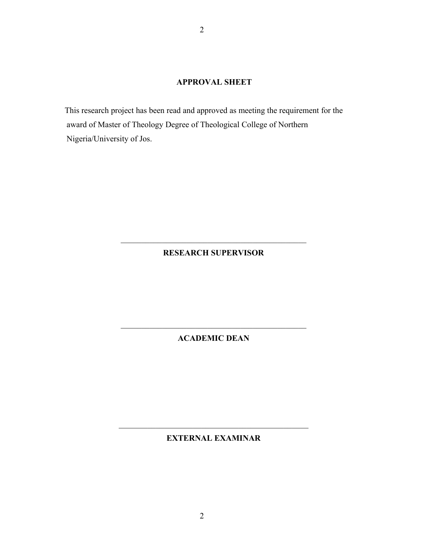### **APPROVAL SHEET**

This research project has been read and approved as meeting the requirement for the award of Master of Theology Degree of Theological College of Northern Nigeria/University of Jos.

2

### **RESEARCH SUPERVISOR**

## **ACADEMIC DEAN**

**EXTERNAL EXAMINAR**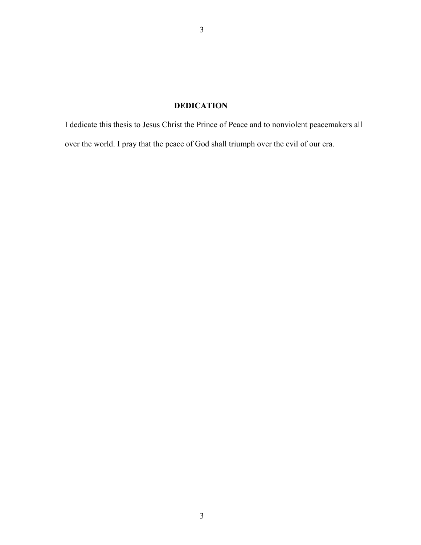# **DEDICATION**

I dedicate this thesis to Jesus Christ the Prince of Peace and to nonviolent peacemakers all over the world. I pray that the peace of God shall triumph over the evil of our era.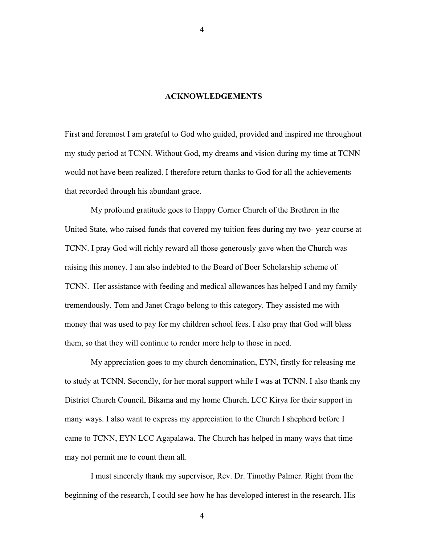#### **ACKNOWLEDGEMENTS**

First and foremost I am grateful to God who guided, provided and inspired me throughout my study period at TCNN. Without God, my dreams and vision during my time at TCNN would not have been realized. I therefore return thanks to God for all the achievements that recorded through his abundant grace.

My profound gratitude goes to Happy Corner Church of the Brethren in the United State, who raised funds that covered my tuition fees during my two- year course at TCNN. I pray God will richly reward all those generously gave when the Church was raising this money. I am also indebted to the Board of Boer Scholarship scheme of TCNN. Her assistance with feeding and medical allowances has helped I and my family tremendously. Tom and Janet Crago belong to this category. They assisted me with money that was used to pay for my children school fees. I also pray that God will bless them, so that they will continue to render more help to those in need.

My appreciation goes to my church denomination, EYN, firstly for releasing me to study at TCNN. Secondly, for her moral support while I was at TCNN. I also thank my District Church Council, Bikama and my home Church, LCC Kirya for their support in many ways. I also want to express my appreciation to the Church I shepherd before I came to TCNN, EYN LCC Agapalawa. The Church has helped in many ways that time may not permit me to count them all.

I must sincerely thank my supervisor, Rev. Dr. Timothy Palmer. Right from the beginning of the research, I could see how he has developed interest in the research. His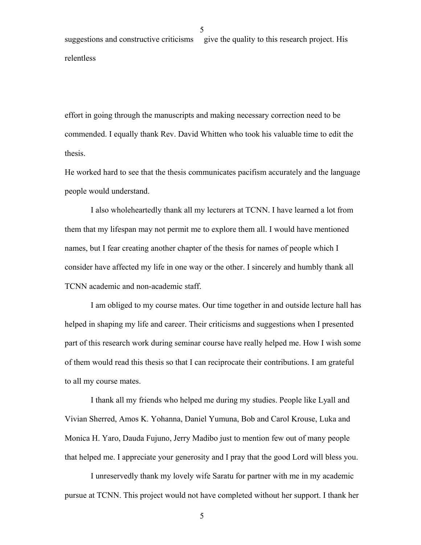suggestions and constructive criticisms give the quality to this research project. His relentless

effort in going through the manuscripts and making necessary correction need to be commended. I equally thank Rev. David Whitten who took his valuable time to edit the thesis.

He worked hard to see that the thesis communicates pacifism accurately and the language people would understand.

I also wholeheartedly thank all my lecturers at TCNN. I have learned a lot from them that my lifespan may not permit me to explore them all. I would have mentioned names, but I fear creating another chapter of the thesis for names of people which I consider have affected my life in one way or the other. I sincerely and humbly thank all TCNN academic and non-academic staff.

I am obliged to my course mates. Our time together in and outside lecture hall has helped in shaping my life and career. Their criticisms and suggestions when I presented part of this research work during seminar course have really helped me. How I wish some of them would read this thesis so that I can reciprocate their contributions. I am grateful to all my course mates.

I thank all my friends who helped me during my studies. People like Lyall and Vivian Sherred, Amos K. Yohanna, Daniel Yumuna, Bob and Carol Krouse, Luka and Monica H. Yaro, Dauda Fujuno, Jerry Madibo just to mention few out of many people that helped me. I appreciate your generosity and I pray that the good Lord will bless you.

I unreservedly thank my lovely wife Saratu for partner with me in my academic pursue at TCNN. This project would not have completed without her support. I thank her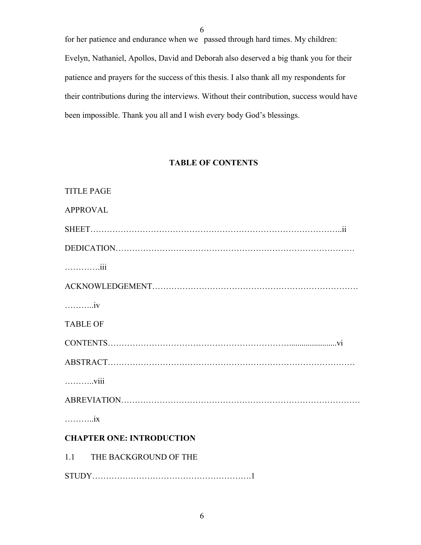for her patience and endurance when we passed through hard times. My children: Evelyn, Nathaniel, Apollos, David and Deborah also deserved a big thank you for their patience and prayers for the success of this thesis. I also thank all my respondents for their contributions during the interviews. Without their contribution, success would have been impossible. Thank you all and I wish every body God's blessings.

## **TABLE OF CONTENTS**

| <b>TITLE PAGE</b>                |
|----------------------------------|
| <b>APPROVAL</b>                  |
|                                  |
|                                  |
|                                  |
|                                  |
| . <i>i</i> v                     |
| <b>TABLE OF</b>                  |
|                                  |
|                                  |
| viii                             |
|                                  |
| $\ldots \ldots \ldots$ ix        |
| <b>CHAPTER ONE: INTRODUCTION</b> |
| 1.1 THE BACKGROUND OF THE        |
|                                  |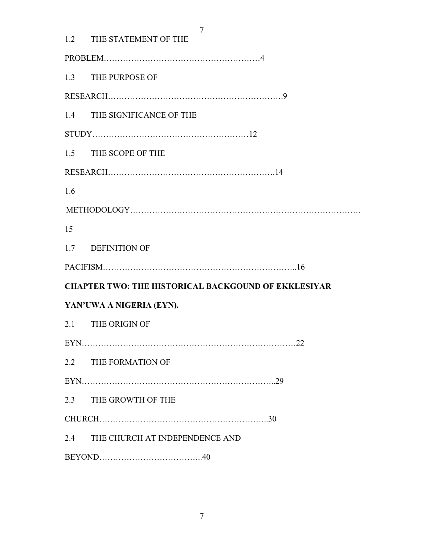|     | 7<br>1.2 THE STATEMENT OF THE                              |  |  |
|-----|------------------------------------------------------------|--|--|
|     |                                                            |  |  |
|     | 1.3 THE PURPOSE OF                                         |  |  |
|     |                                                            |  |  |
|     | 1.4 THE SIGNIFICANCE OF THE                                |  |  |
|     |                                                            |  |  |
|     | 1.5 THE SCOPE OF THE                                       |  |  |
|     |                                                            |  |  |
| 1.6 |                                                            |  |  |
|     |                                                            |  |  |
| 15  |                                                            |  |  |
|     | 1.7 DEFINITION OF                                          |  |  |
|     |                                                            |  |  |
|     | <b>CHAPTER TWO: THE HISTORICAL BACKGOUND OF EKKLESIYAR</b> |  |  |
|     | YAN'UWA A NIGERIA (EYN).                                   |  |  |
|     | 2.1 THE ORIGIN OF                                          |  |  |
|     |                                                            |  |  |
|     | 2.2 THE FORMATION OF                                       |  |  |
|     |                                                            |  |  |
|     | 2.3 THE GROWTH OF THE                                      |  |  |
|     |                                                            |  |  |
|     | 2.4 THE CHURCH AT INDEPENDENCE AND                         |  |  |
|     |                                                            |  |  |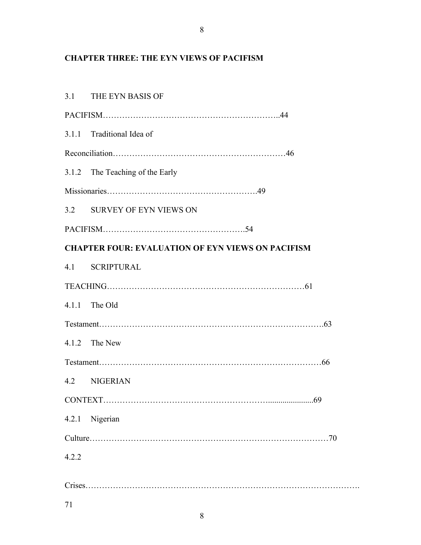# **CHAPTER THREE: THE EYN VIEWS OF PACIFISM**

|       | 3.1 THE EYN BASIS OF                                     |  |  |
|-------|----------------------------------------------------------|--|--|
|       |                                                          |  |  |
|       | 3.1.1 Traditional Idea of                                |  |  |
|       |                                                          |  |  |
|       | 3.1.2 The Teaching of the Early                          |  |  |
|       |                                                          |  |  |
|       | 3.2 SURVEY OF EYN VIEWS ON                               |  |  |
|       |                                                          |  |  |
|       | <b>CHAPTER FOUR: EVALUATION OF EYN VIEWS ON PACIFISM</b> |  |  |
|       | 4.1 SCRIPTURAL                                           |  |  |
|       |                                                          |  |  |
|       | $4.1.1$ The Old                                          |  |  |
|       |                                                          |  |  |
|       | 4.1.2 The New                                            |  |  |
|       |                                                          |  |  |
|       | 4.2 NIGERIAN                                             |  |  |
|       | .69<br>CONTEXT                                           |  |  |
|       | 4.2.1 Nigerian                                           |  |  |
|       |                                                          |  |  |
| 4.2.2 |                                                          |  |  |
|       |                                                          |  |  |
| 71    |                                                          |  |  |
|       |                                                          |  |  |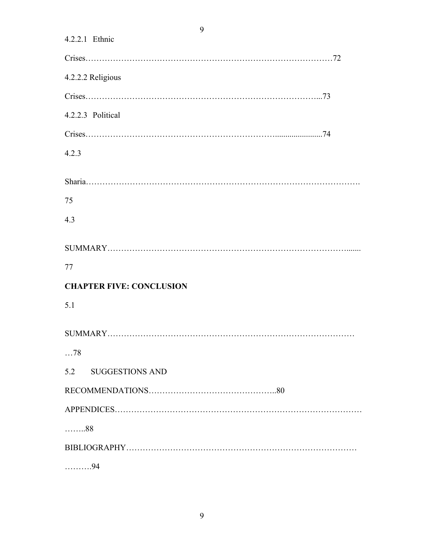| 4.2.2.1 Ethnic                  |
|---------------------------------|
|                                 |
| 4.2.2.2 Religious               |
|                                 |
| 4.2.2.3 Political               |
|                                 |
| 4.2.3                           |
|                                 |
|                                 |
| 75                              |
| 4.3                             |
|                                 |
|                                 |
| 77                              |
| <b>CHAPTER FIVE: CONCLUSION</b> |
| 5.1                             |
|                                 |
|                                 |
| $\dots$ 78                      |
| 5.2 SUGGESTIONS AND             |
|                                 |
|                                 |
| . 88                            |
|                                 |
| . 94                            |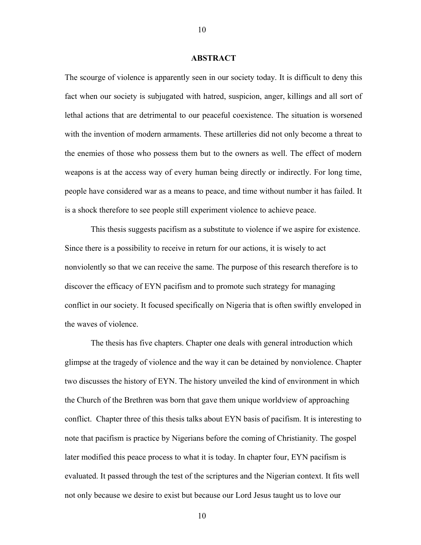#### **ABSTRACT**

The scourge of violence is apparently seen in our society today. It is difficult to deny this fact when our society is subjugated with hatred, suspicion, anger, killings and all sort of lethal actions that are detrimental to our peaceful coexistence. The situation is worsened with the invention of modern armaments. These artilleries did not only become a threat to the enemies of those who possess them but to the owners as well. The effect of modern weapons is at the access way of every human being directly or indirectly. For long time, people have considered war as a means to peace, and time without number it has failed. It is a shock therefore to see people still experiment violence to achieve peace.

This thesis suggests pacifism as a substitute to violence if we aspire for existence. Since there is a possibility to receive in return for our actions, it is wisely to act nonviolently so that we can receive the same. The purpose of this research therefore is to discover the efficacy of EYN pacifism and to promote such strategy for managing conflict in our society. It focused specifically on Nigeria that is often swiftly enveloped in the waves of violence.

The thesis has five chapters. Chapter one deals with general introduction which glimpse at the tragedy of violence and the way it can be detained by nonviolence. Chapter two discusses the history of EYN. The history unveiled the kind of environment in which the Church of the Brethren was born that gave them unique worldview of approaching conflict. Chapter three of this thesis talks about EYN basis of pacifism. It is interesting to note that pacifism is practice by Nigerians before the coming of Christianity. The gospel later modified this peace process to what it is today. In chapter four, EYN pacifism is evaluated. It passed through the test of the scriptures and the Nigerian context. It fits well not only because we desire to exist but because our Lord Jesus taught us to love our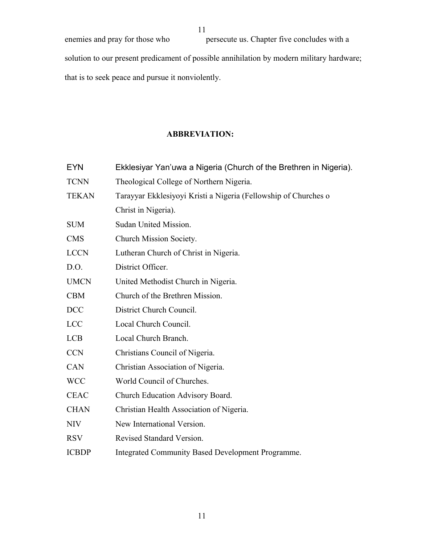enemies and pray for those who persecute us. Chapter five concludes with a solution to our present predicament of possible annihilation by modern military hardware; that is to seek peace and pursue it nonviolently.

# **ABBREVIATION:**

| Ekklesiyar Yan'uwa a Nigeria (Church of the Brethren in Nigeria). |
|-------------------------------------------------------------------|
| Theological College of Northern Nigeria.                          |
| Tarayyar Ekklesiyoyi Kristi a Nigeria (Fellowship of Churches o   |
| Christ in Nigeria).                                               |
| Sudan United Mission.                                             |
| Church Mission Society.                                           |
| Lutheran Church of Christ in Nigeria.                             |
| District Officer.                                                 |
| United Methodist Church in Nigeria.                               |
| Church of the Brethren Mission.                                   |
| District Church Council.                                          |
| Local Church Council.                                             |
| Local Church Branch.                                              |
| Christians Council of Nigeria.                                    |
| Christian Association of Nigeria.                                 |
| World Council of Churches.                                        |
| Church Education Advisory Board.                                  |
| Christian Health Association of Nigeria.                          |
| New International Version.                                        |
| Revised Standard Version.                                         |
| <b>Integrated Community Based Development Programme.</b>          |
|                                                                   |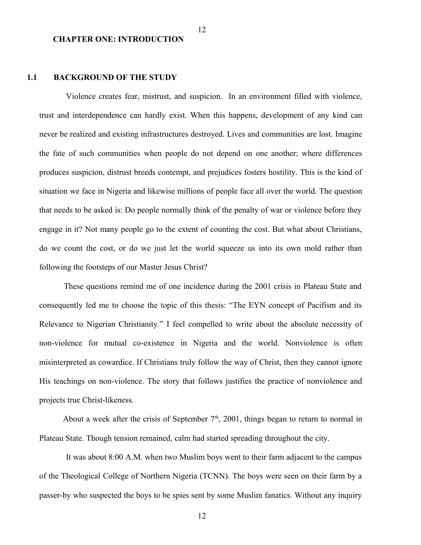#### **CHAPTER ONE: INTRODUCTION**

### **1.1 BACKGROUND OF THE STUDY**

Violence creates fear, mistrust, and suspicion. In an environment filled with violence, trust and interdependence can hardly exist. When this happens, development of any kind can never be realized and existing infrastructures destroyed. Lives and communities are lost. Imagine the fate of such communities when people do not depend on one another; where differences produces suspicion, distrust breeds contempt, and prejudices fosters hostility. This is the kind of situation we face in Nigeria and likewise millions of people face all over the world. The question that needs to be asked is: Do people normally think of the penalty of war or violence before they engage in it? Not many people go to the extent of counting the cost. But what about Christians, do we count the cost, or do we just let the world squeeze us into its own mold rather than following the footsteps of our Master Jesus Christ?

 These questions remind me of one incidence during the 2001 crisis in Plateau State and consequently led me to choose the topic of this thesis: "The EYN concept of Pacifism and its Relevance to Nigerian Christianity." I feel compelled to write about the absolute necessity of non-violence for mutual co-existence in Nigeria and the world. Nonviolence is often misinterpreted as cowardice. If Christians truly follow the way of Christ, then they cannot ignore His teachings on non-violence. The story that follows justifies the practice of nonviolence and projects true Christ-likeness.

About a week after the crisis of September  $7<sup>th</sup>$ , 2001, things began to return to normal in Plateau State. Though tension remained, calm had started spreading throughout the city.

It was about 8:00 A.M. when two Muslim boys went to their farm adjacent to the campus of the Theological College of Northern Nigeria (TCNN). The boys were seen on their farm by a passer-by who suspected the boys to be spies sent by some Muslim fanatics. Without any inquiry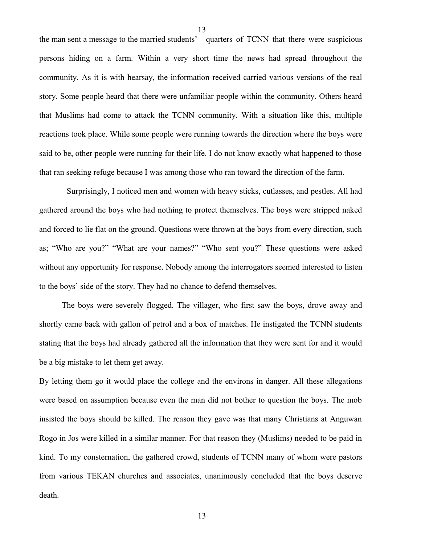the man sent a message to the married students' quarters of TCNN that there were suspicious persons hiding on a farm. Within a very short time the news had spread throughout the community. As it is with hearsay, the information received carried various versions of the real story. Some people heard that there were unfamiliar people within the community. Others heard that Muslims had come to attack the TCNN community. With a situation like this, multiple reactions took place. While some people were running towards the direction where the boys were said to be, other people were running for their life. I do not know exactly what happened to those that ran seeking refuge because I was among those who ran toward the direction of the farm.

 Surprisingly, I noticed men and women with heavy sticks, cutlasses, and pestles. All had gathered around the boys who had nothing to protect themselves. The boys were stripped naked and forced to lie flat on the ground. Questions were thrown at the boys from every direction, such as; "Who are you?" "What are your names?" "Who sent you?" These questions were asked without any opportunity for response. Nobody among the interrogators seemed interested to listen to the boys' side of the story. They had no chance to defend themselves.

 The boys were severely flogged. The villager, who first saw the boys, drove away and shortly came back with gallon of petrol and a box of matches. He instigated the TCNN students stating that the boys had already gathered all the information that they were sent for and it would be a big mistake to let them get away.

By letting them go it would place the college and the environs in danger. All these allegations were based on assumption because even the man did not bother to question the boys. The mob insisted the boys should be killed. The reason they gave was that many Christians at Anguwan Rogo in Jos were killed in a similar manner. For that reason they (Muslims) needed to be paid in kind. To my consternation, the gathered crowd, students of TCNN many of whom were pastors from various TEKAN churches and associates, unanimously concluded that the boys deserve death.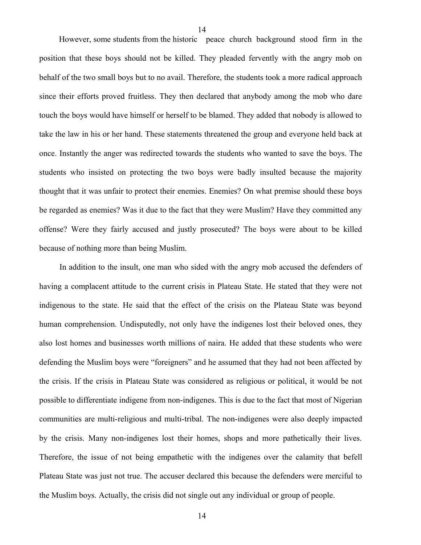However, some students from the historic peace church background stood firm in the position that these boys should not be killed. They pleaded fervently with the angry mob on behalf of the two small boys but to no avail. Therefore, the students took a more radical approach since their efforts proved fruitless. They then declared that anybody among the mob who dare touch the boys would have himself or herself to be blamed. They added that nobody is allowed to take the law in his or her hand. These statements threatened the group and everyone held back at once. Instantly the anger was redirected towards the students who wanted to save the boys. The students who insisted on protecting the two boys were badly insulted because the majority thought that it was unfair to protect their enemies. Enemies? On what premise should these boys be regarded as enemies? Was it due to the fact that they were Muslim? Have they committed any offense? Were they fairly accused and justly prosecuted? The boys were about to be killed because of nothing more than being Muslim.

 In addition to the insult, one man who sided with the angry mob accused the defenders of having a complacent attitude to the current crisis in Plateau State. He stated that they were not indigenous to the state. He said that the effect of the crisis on the Plateau State was beyond human comprehension. Undisputedly, not only have the indigenes lost their beloved ones, they also lost homes and businesses worth millions of naira. He added that these students who were defending the Muslim boys were "foreigners" and he assumed that they had not been affected by the crisis. If the crisis in Plateau State was considered as religious or political, it would be not possible to differentiate indigene from non-indigenes. This is due to the fact that most of Nigerian communities are multi-religious and multi-tribal. The non-indigenes were also deeply impacted by the crisis. Many non-indigenes lost their homes, shops and more pathetically their lives. Therefore, the issue of not being empathetic with the indigenes over the calamity that befell Plateau State was just not true. The accuser declared this because the defenders were merciful to the Muslim boys. Actually, the crisis did not single out any individual or group of people.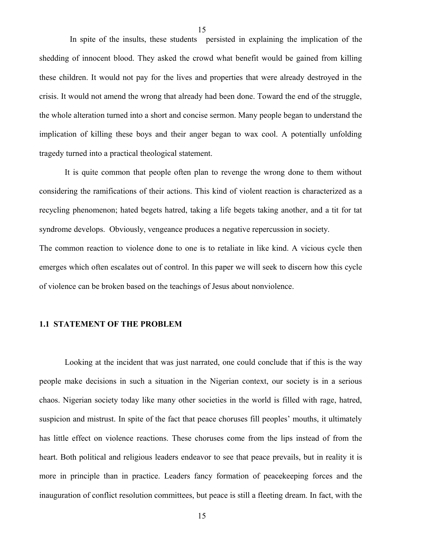In spite of the insults, these students persisted in explaining the implication of the shedding of innocent blood. They asked the crowd what benefit would be gained from killing these children. It would not pay for the lives and properties that were already destroyed in the crisis. It would not amend the wrong that already had been done. Toward the end of the struggle, the whole alteration turned into a short and concise sermon. Many people began to understand the implication of killing these boys and their anger began to wax cool. A potentially unfolding tragedy turned into a practical theological statement.

 It is quite common that people often plan to revenge the wrong done to them without considering the ramifications of their actions. This kind of violent reaction is characterized as a recycling phenomenon; hated begets hatred, taking a life begets taking another, and a tit for tat syndrome develops. Obviously, vengeance produces a negative repercussion in society. The common reaction to violence done to one is to retaliate in like kind. A vicious cycle then emerges which often escalates out of control. In this paper we will seek to discern how this cycle of violence can be broken based on the teachings of Jesus about nonviolence.

#### **1.1 STATEMENT OF THE PROBLEM**

Looking at the incident that was just narrated, one could conclude that if this is the way people make decisions in such a situation in the Nigerian context, our society is in a serious chaos. Nigerian society today like many other societies in the world is filled with rage, hatred, suspicion and mistrust. In spite of the fact that peace choruses fill peoples' mouths, it ultimately has little effect on violence reactions. These choruses come from the lips instead of from the heart. Both political and religious leaders endeavor to see that peace prevails, but in reality it is more in principle than in practice. Leaders fancy formation of peacekeeping forces and the inauguration of conflict resolution committees, but peace is still a fleeting dream. In fact, with the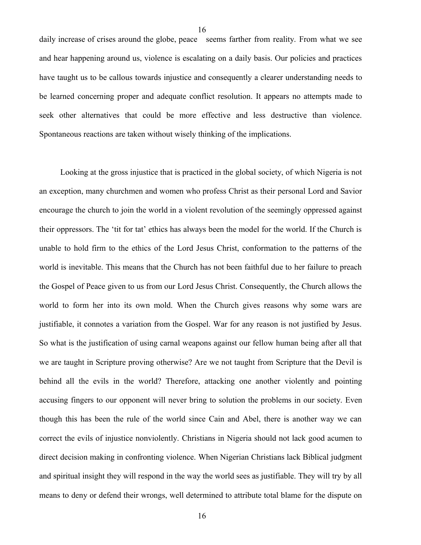daily increase of crises around the globe, peace seems farther from reality. From what we see and hear happening around us, violence is escalating on a daily basis. Our policies and practices have taught us to be callous towards injustice and consequently a clearer understanding needs to be learned concerning proper and adequate conflict resolution. It appears no attempts made to seek other alternatives that could be more effective and less destructive than violence. Spontaneous reactions are taken without wisely thinking of the implications.

 Looking at the gross injustice that is practiced in the global society, of which Nigeria is not an exception, many churchmen and women who profess Christ as their personal Lord and Savior encourage the church to join the world in a violent revolution of the seemingly oppressed against their oppressors. The 'tit for tat' ethics has always been the model for the world. If the Church is unable to hold firm to the ethics of the Lord Jesus Christ, conformation to the patterns of the world is inevitable. This means that the Church has not been faithful due to her failure to preach the Gospel of Peace given to us from our Lord Jesus Christ. Consequently, the Church allows the world to form her into its own mold. When the Church gives reasons why some wars are justifiable, it connotes a variation from the Gospel. War for any reason is not justified by Jesus. So what is the justification of using carnal weapons against our fellow human being after all that we are taught in Scripture proving otherwise? Are we not taught from Scripture that the Devil is behind all the evils in the world? Therefore, attacking one another violently and pointing accusing fingers to our opponent will never bring to solution the problems in our society. Even though this has been the rule of the world since Cain and Abel, there is another way we can correct the evils of injustice nonviolently. Christians in Nigeria should not lack good acumen to direct decision making in confronting violence. When Nigerian Christians lack Biblical judgment and spiritual insight they will respond in the way the world sees as justifiable. They will try by all means to deny or defend their wrongs, well determined to attribute total blame for the dispute on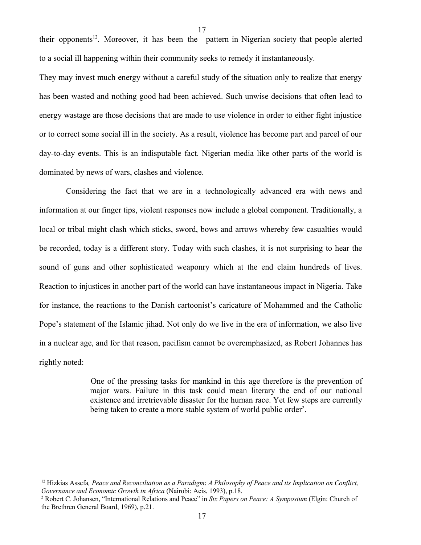their opponents<sup>[12](#page-16-0)</sup>. Moreover, it has been the pattern in Nigerian society that people alerted to a social ill happening within their community seeks to remedy it instantaneously.

17

They may invest much energy without a careful study of the situation only to realize that energy has been wasted and nothing good had been achieved. Such unwise decisions that often lead to energy wastage are those decisions that are made to use violence in order to either fight injustice or to correct some social ill in the society. As a result, violence has become part and parcel of our day-to-day events. This is an indisputable fact. Nigerian media like other parts of the world is dominated by news of wars, clashes and violence.

 Considering the fact that we are in a technologically advanced era with news and information at our finger tips, violent responses now include a global component. Traditionally, a local or tribal might clash which sticks, sword, bows and arrows whereby few casualties would be recorded, today is a different story. Today with such clashes, it is not surprising to hear the sound of guns and other sophisticated weaponry which at the end claim hundreds of lives. Reaction to injustices in another part of the world can have instantaneous impact in Nigeria. Take for instance, the reactions to the Danish cartoonist's caricature of Mohammed and the Catholic Pope's statement of the Islamic jihad. Not only do we live in the era of information, we also live in a nuclear age, and for that reason, pacifism cannot be overemphasized, as Robert Johannes has rightly noted:

> One of the pressing tasks for mankind in this age therefore is the prevention of major wars. Failure in this task could mean literary the end of our national existence and irretrievable disaster for the human race. Yet few steps are currently being taken to create a more stable system of world public order<sup>[2](#page-16-1)</sup>.

<span id="page-16-0"></span><sup>12</sup> Hizkias Assefa*, Peace and Reconciliation as a Paradigm*: *A Philosophy of Peace and its Implication on Conflict, Governance and Economic Growth in Africa* (Nairobi: Acis, 1993), p.18.

<span id="page-16-1"></span><sup>2</sup> Robert C. Johansen, "International Relations and Peace" in *Six Papers on Peace: A Symposium* (Elgin: Church of the Brethren General Board, 1969), p.21.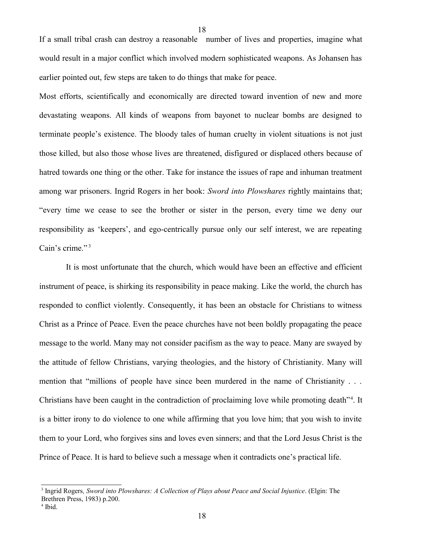If a small tribal crash can destroy a reasonable number of lives and properties, imagine what would result in a major conflict which involved modern sophisticated weapons. As Johansen has earlier pointed out, few steps are taken to do things that make for peace.

18

Most efforts, scientifically and economically are directed toward invention of new and more devastating weapons. All kinds of weapons from bayonet to nuclear bombs are designed to terminate people's existence. The bloody tales of human cruelty in violent situations is not just those killed, but also those whose lives are threatened, disfigured or displaced others because of hatred towards one thing or the other. Take for instance the issues of rape and inhuman treatment among war prisoners. Ingrid Rogers in her book: *Sword into Plowshares* rightly maintains that; "every time we cease to see the brother or sister in the person, every time we deny our responsibility as 'keepers', and ego-centrically pursue only our self interest, we are repeating Cain's crime."<sup>[3](#page-17-0)</sup>

 It is most unfortunate that the church, which would have been an effective and efficient instrument of peace, is shirking its responsibility in peace making. Like the world, the church has responded to conflict violently. Consequently, it has been an obstacle for Christians to witness Christ as a Prince of Peace. Even the peace churches have not been boldly propagating the peace message to the world. Many may not consider pacifism as the way to peace. Many are swayed by the attitude of fellow Christians, varying theologies, and the history of Christianity. Many will mention that "millions of people have since been murdered in the name of Christianity . . . Christians have been caught in the contradiction of proclaiming love while promoting death"<sup>[4](#page-17-1)</sup>. It is a bitter irony to do violence to one while affirming that you love him; that you wish to invite them to your Lord, who forgives sins and loves even sinners; and that the Lord Jesus Christ is the Prince of Peace. It is hard to believe such a message when it contradicts one's practical life.

<span id="page-17-0"></span><sup>3</sup> Ingrid Rogers*, Sword into Plowshares: A Collection of Plays about Peace and Social Injustice*. (Elgin: The Brethren Press, 1983) p.200.

<span id="page-17-1"></span><sup>4</sup> Ibid.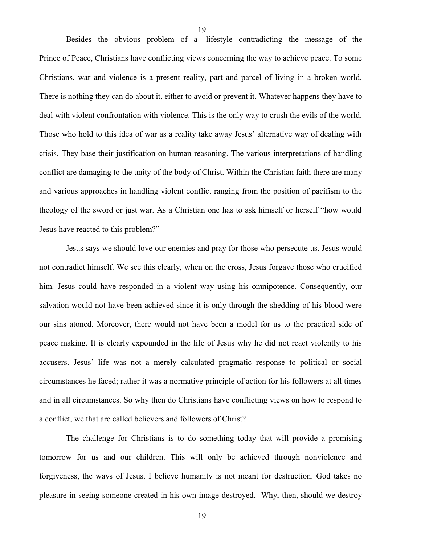Besides the obvious problem of a lifestyle contradicting the message of the Prince of Peace, Christians have conflicting views concerning the way to achieve peace. To some Christians, war and violence is a present reality, part and parcel of living in a broken world. There is nothing they can do about it, either to avoid or prevent it. Whatever happens they have to deal with violent confrontation with violence. This is the only way to crush the evils of the world. Those who hold to this idea of war as a reality take away Jesus' alternative way of dealing with crisis. They base their justification on human reasoning. The various interpretations of handling conflict are damaging to the unity of the body of Christ. Within the Christian faith there are many and various approaches in handling violent conflict ranging from the position of pacifism to the theology of the sword or just war. As a Christian one has to ask himself or herself "how would Jesus have reacted to this problem?"

19

Jesus says we should love our enemies and pray for those who persecute us. Jesus would not contradict himself. We see this clearly, when on the cross, Jesus forgave those who crucified him. Jesus could have responded in a violent way using his omnipotence. Consequently, our salvation would not have been achieved since it is only through the shedding of his blood were our sins atoned. Moreover, there would not have been a model for us to the practical side of peace making. It is clearly expounded in the life of Jesus why he did not react violently to his accusers. Jesus' life was not a merely calculated pragmatic response to political or social circumstances he faced; rather it was a normative principle of action for his followers at all times and in all circumstances. So why then do Christians have conflicting views on how to respond to a conflict, we that are called believers and followers of Christ?

The challenge for Christians is to do something today that will provide a promising tomorrow for us and our children. This will only be achieved through nonviolence and forgiveness, the ways of Jesus. I believe humanity is not meant for destruction. God takes no pleasure in seeing someone created in his own image destroyed. Why, then, should we destroy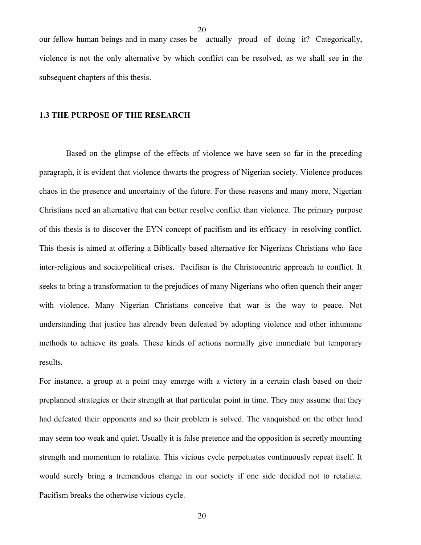our fellow human beings and in many cases be actually proud of doing it? Categorically, violence is not the only alternative by which conflict can be resolved, as we shall see in the subsequent chapters of this thesis.

#### **1.3 THE PURPOSE OF THE RESEARCH**

Based on the glimpse of the effects of violence we have seen so far in the preceding paragraph, it is evident that violence thwarts the progress of Nigerian society. Violence produces chaos in the presence and uncertainty of the future. For these reasons and many more, Nigerian Christians need an alternative that can better resolve conflict than violence. The primary purpose of this thesis is to discover the EYN concept of pacifism and its efficacy in resolving conflict. This thesis is aimed at offering a Biblically based alternative for Nigerians Christians who face inter-religious and socio/political crises. Pacifism is the Christocentric approach to conflict. It seeks to bring a transformation to the prejudices of many Nigerians who often quench their anger with violence. Many Nigerian Christians conceive that war is the way to peace. Not understanding that justice has already been defeated by adopting violence and other inhumane methods to achieve its goals. These kinds of actions normally give immediate but temporary results.

For instance, a group at a point may emerge with a victory in a certain clash based on their preplanned strategies or their strength at that particular point in time. They may assume that they had defeated their opponents and so their problem is solved. The vanquished on the other hand may seem too weak and quiet. Usually it is false pretence and the opposition is secretly mounting strength and momentum to retaliate. This vicious cycle perpetuates continuously repeat itself. It would surely bring a tremendous change in our society if one side decided not to retaliate. Pacifism breaks the otherwise vicious cycle.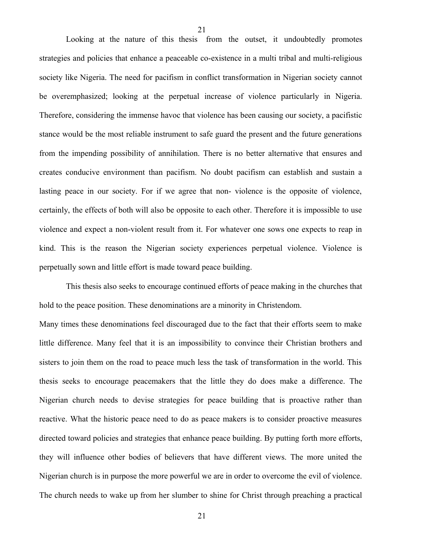Looking at the nature of this thesis from the outset, it undoubtedly promotes strategies and policies that enhance a peaceable co-existence in a multi tribal and multi-religious society like Nigeria. The need for pacifism in conflict transformation in Nigerian society cannot be overemphasized; looking at the perpetual increase of violence particularly in Nigeria. Therefore, considering the immense havoc that violence has been causing our society, a pacifistic stance would be the most reliable instrument to safe guard the present and the future generations from the impending possibility of annihilation. There is no better alternative that ensures and creates conducive environment than pacifism. No doubt pacifism can establish and sustain a lasting peace in our society. For if we agree that non- violence is the opposite of violence, certainly, the effects of both will also be opposite to each other. Therefore it is impossible to use violence and expect a non-violent result from it. For whatever one sows one expects to reap in kind. This is the reason the Nigerian society experiences perpetual violence. Violence is perpetually sown and little effort is made toward peace building.

This thesis also seeks to encourage continued efforts of peace making in the churches that hold to the peace position. These denominations are a minority in Christendom.

Many times these denominations feel discouraged due to the fact that their efforts seem to make little difference. Many feel that it is an impossibility to convince their Christian brothers and sisters to join them on the road to peace much less the task of transformation in the world. This thesis seeks to encourage peacemakers that the little they do does make a difference. The Nigerian church needs to devise strategies for peace building that is proactive rather than reactive. What the historic peace need to do as peace makers is to consider proactive measures directed toward policies and strategies that enhance peace building. By putting forth more efforts, they will influence other bodies of believers that have different views. The more united the Nigerian church is in purpose the more powerful we are in order to overcome the evil of violence. The church needs to wake up from her slumber to shine for Christ through preaching a practical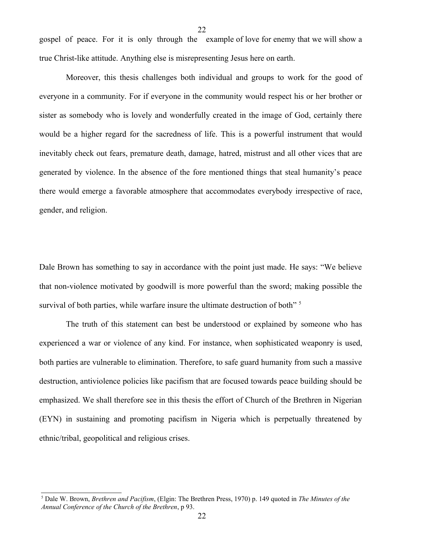gospel of peace. For it is only through the example of love for enemy that we will show a true Christ-like attitude. Anything else is misrepresenting Jesus here on earth.

22

Moreover, this thesis challenges both individual and groups to work for the good of everyone in a community. For if everyone in the community would respect his or her brother or sister as somebody who is lovely and wonderfully created in the image of God, certainly there would be a higher regard for the sacredness of life. This is a powerful instrument that would inevitably check out fears, premature death, damage, hatred, mistrust and all other vices that are generated by violence. In the absence of the fore mentioned things that steal humanity's peace there would emerge a favorable atmosphere that accommodates everybody irrespective of race, gender, and religion.

Dale Brown has something to say in accordance with the point just made. He says: "We believe that non-violence motivated by goodwill is more powerful than the sword; making possible the survival of both parties, while warfare insure the ultimate destruction of both"<sup>[5](#page-21-0)</sup>

The truth of this statement can best be understood or explained by someone who has experienced a war or violence of any kind. For instance, when sophisticated weaponry is used, both parties are vulnerable to elimination. Therefore, to safe guard humanity from such a massive destruction, antiviolence policies like pacifism that are focused towards peace building should be emphasized. We shall therefore see in this thesis the effort of Church of the Brethren in Nigerian (EYN) in sustaining and promoting pacifism in Nigeria which is perpetually threatened by ethnic/tribal, geopolitical and religious crises.

<span id="page-21-0"></span><sup>5</sup> Dale W. Brown, *Brethren and Pacifism*, (Elgin: The Brethren Press, 1970) p. 149 quoted in *The Minutes of the Annual Conference of the Church of the Brethren*, p 93.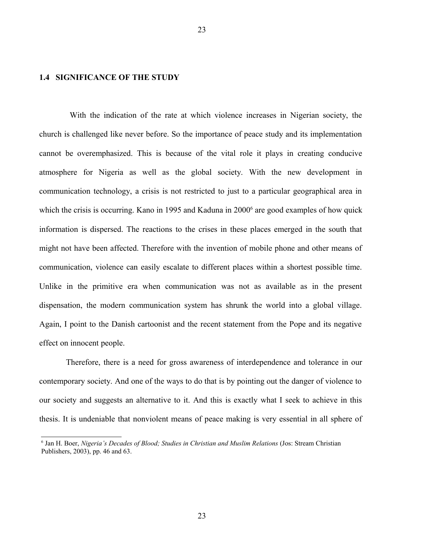### **1.4 SIGNIFICANCE OF THE STUDY**

 With the indication of the rate at which violence increases in Nigerian society, the church is challenged like never before. So the importance of peace study and its implementation cannot be overemphasized. This is because of the vital role it plays in creating conducive atmosphere for Nigeria as well as the global society. With the new development in communication technology, a crisis is not restricted to just to a particular geographical area in which the crisis is occurring. Kano in 1995 and Kaduna in 2000<sup>[6](#page-22-0)</sup> are good examples of how quick information is dispersed. The reactions to the crises in these places emerged in the south that might not have been affected. Therefore with the invention of mobile phone and other means of communication, violence can easily escalate to different places within a shortest possible time. Unlike in the primitive era when communication was not as available as in the present dispensation, the modern communication system has shrunk the world into a global village. Again, I point to the Danish cartoonist and the recent statement from the Pope and its negative effect on innocent people.

Therefore, there is a need for gross awareness of interdependence and tolerance in our contemporary society. And one of the ways to do that is by pointing out the danger of violence to our society and suggests an alternative to it. And this is exactly what I seek to achieve in this thesis. It is undeniable that nonviolent means of peace making is very essential in all sphere of

<span id="page-22-0"></span><sup>6</sup> Jan H. Boer, *Nigeria's Decades of Blood; Studies in Christian and Muslim Relations* (Jos: Stream Christian Publishers, 2003), pp. 46 and 63.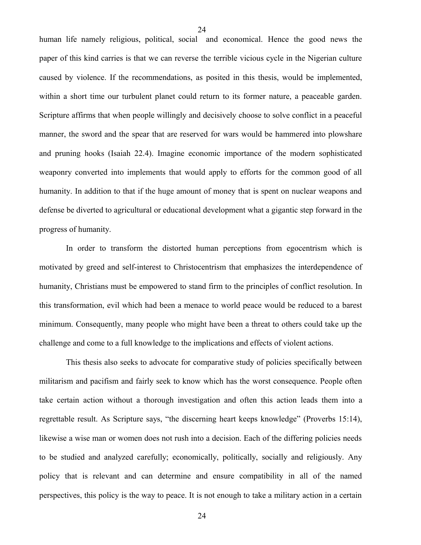human life namely religious, political, social and economical. Hence the good news the paper of this kind carries is that we can reverse the terrible vicious cycle in the Nigerian culture caused by violence. If the recommendations, as posited in this thesis, would be implemented, within a short time our turbulent planet could return to its former nature, a peaceable garden. Scripture affirms that when people willingly and decisively choose to solve conflict in a peaceful manner, the sword and the spear that are reserved for wars would be hammered into plowshare and pruning hooks (Isaiah 22.4). Imagine economic importance of the modern sophisticated weaponry converted into implements that would apply to efforts for the common good of all humanity. In addition to that if the huge amount of money that is spent on nuclear weapons and defense be diverted to agricultural or educational development what a gigantic step forward in the progress of humanity.

In order to transform the distorted human perceptions from egocentrism which is motivated by greed and self-interest to Christocentrism that emphasizes the interdependence of humanity, Christians must be empowered to stand firm to the principles of conflict resolution. In this transformation, evil which had been a menace to world peace would be reduced to a barest minimum. Consequently, many people who might have been a threat to others could take up the challenge and come to a full knowledge to the implications and effects of violent actions.

This thesis also seeks to advocate for comparative study of policies specifically between militarism and pacifism and fairly seek to know which has the worst consequence. People often take certain action without a thorough investigation and often this action leads them into a regrettable result. As Scripture says, "the discerning heart keeps knowledge" (Proverbs 15:14), likewise a wise man or women does not rush into a decision. Each of the differing policies needs to be studied and analyzed carefully; economically, politically, socially and religiously. Any policy that is relevant and can determine and ensure compatibility in all of the named perspectives, this policy is the way to peace. It is not enough to take a military action in a certain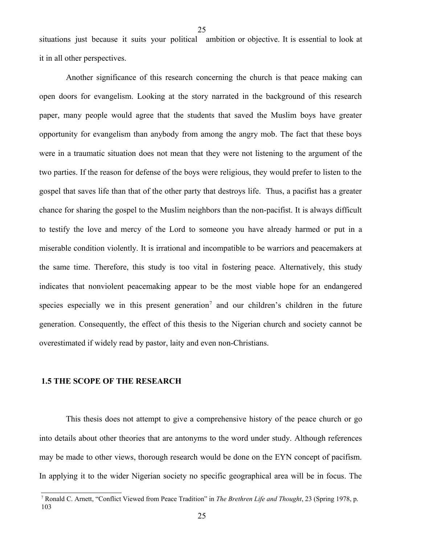situations just because it suits your political ambition or objective. It is essential to look at it in all other perspectives.

25

Another significance of this research concerning the church is that peace making can open doors for evangelism. Looking at the story narrated in the background of this research paper, many people would agree that the students that saved the Muslim boys have greater opportunity for evangelism than anybody from among the angry mob. The fact that these boys were in a traumatic situation does not mean that they were not listening to the argument of the two parties. If the reason for defense of the boys were religious, they would prefer to listen to the gospel that saves life than that of the other party that destroys life. Thus, a pacifist has a greater chance for sharing the gospel to the Muslim neighbors than the non-pacifist. It is always difficult to testify the love and mercy of the Lord to someone you have already harmed or put in a miserable condition violently. It is irrational and incompatible to be warriors and peacemakers at the same time. Therefore, this study is too vital in fostering peace. Alternatively, this study indicates that nonviolent peacemaking appear to be the most viable hope for an endangered species especially we in this present generation<sup>[7](#page-24-0)</sup> and our children's children in the future generation. Consequently, the effect of this thesis to the Nigerian church and society cannot be overestimated if widely read by pastor, laity and even non-Christians.

#### **1.5 THE SCOPE OF THE RESEARCH**

This thesis does not attempt to give a comprehensive history of the peace church or go into details about other theories that are antonyms to the word under study. Although references may be made to other views, thorough research would be done on the EYN concept of pacifism. In applying it to the wider Nigerian society no specific geographical area will be in focus. The

<span id="page-24-0"></span><sup>7</sup> Ronald C. Arnett, "Conflict Viewed from Peace Tradition" in *The Brethren Life and Thought*, 23 (Spring 1978, p. 103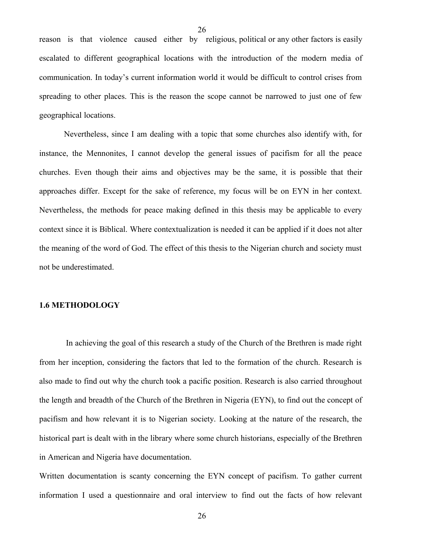reason is that violence caused either by religious, political or any other factors is easily escalated to different geographical locations with the introduction of the modern media of communication. In today's current information world it would be difficult to control crises from spreading to other places. This is the reason the scope cannot be narrowed to just one of few geographical locations.

Nevertheless, since I am dealing with a topic that some churches also identify with, for instance, the Mennonites, I cannot develop the general issues of pacifism for all the peace churches. Even though their aims and objectives may be the same, it is possible that their approaches differ. Except for the sake of reference, my focus will be on EYN in her context. Nevertheless, the methods for peace making defined in this thesis may be applicable to every context since it is Biblical. Where contextualization is needed it can be applied if it does not alter the meaning of the word of God. The effect of this thesis to the Nigerian church and society must not be underestimated.

#### **1.6 METHODOLOGY**

In achieving the goal of this research a study of the Church of the Brethren is made right from her inception, considering the factors that led to the formation of the church. Research is also made to find out why the church took a pacific position. Research is also carried throughout the length and breadth of the Church of the Brethren in Nigeria (EYN), to find out the concept of pacifism and how relevant it is to Nigerian society. Looking at the nature of the research, the historical part is dealt with in the library where some church historians, especially of the Brethren in American and Nigeria have documentation.

Written documentation is scanty concerning the EYN concept of pacifism. To gather current information I used a questionnaire and oral interview to find out the facts of how relevant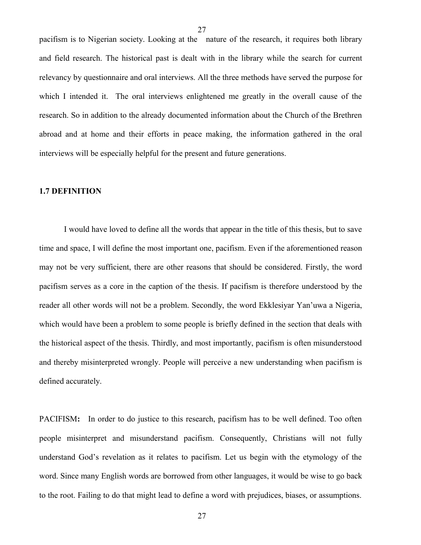pacifism is to Nigerian society. Looking at the nature of the research, it requires both library and field research. The historical past is dealt with in the library while the search for current relevancy by questionnaire and oral interviews. All the three methods have served the purpose for which I intended it. The oral interviews enlightened me greatly in the overall cause of the research. So in addition to the already documented information about the Church of the Brethren abroad and at home and their efforts in peace making, the information gathered in the oral interviews will be especially helpful for the present and future generations.

### **1.7 DEFINITION**

I would have loved to define all the words that appear in the title of this thesis, but to save time and space, I will define the most important one, pacifism. Even if the aforementioned reason may not be very sufficient, there are other reasons that should be considered. Firstly, the word pacifism serves as a core in the caption of the thesis. If pacifism is therefore understood by the reader all other words will not be a problem. Secondly, the word Ekklesiyar Yan'uwa a Nigeria, which would have been a problem to some people is briefly defined in the section that deals with the historical aspect of the thesis. Thirdly, and most importantly, pacifism is often misunderstood and thereby misinterpreted wrongly. People will perceive a new understanding when pacifism is defined accurately.

PACIFISM**:** In order to do justice to this research, pacifism has to be well defined. Too often people misinterpret and misunderstand pacifism. Consequently, Christians will not fully understand God's revelation as it relates to pacifism. Let us begin with the etymology of the word. Since many English words are borrowed from other languages, it would be wise to go back to the root. Failing to do that might lead to define a word with prejudices, biases, or assumptions.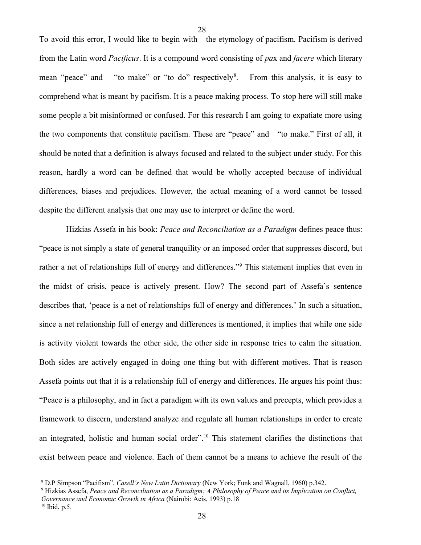To avoid this error, I would like to begin with the etymology of pacifism. Pacifism is derived from the Latin word *Pacificus*. It is a compound word consisting of *pa*x and *facere* which literary mean "peace" and "to make" or "to do" respectively<sup>[8](#page-27-0)</sup>. From this analysis, it is easy to comprehend what is meant by pacifism. It is a peace making process. To stop here will still make some people a bit misinformed or confused. For this research I am going to expatiate more using the two components that constitute pacifism. These are "peace" and "to make." First of all, it should be noted that a definition is always focused and related to the subject under study. For this reason, hardly a word can be defined that would be wholly accepted because of individual differences, biases and prejudices. However, the actual meaning of a word cannot be tossed despite the different analysis that one may use to interpret or define the word.

28

Hizkias Assefa in his book: *Peace and Reconciliation as a Paradigm* defines peace thus: "peace is not simply a state of general tranquility or an imposed order that suppresses discord, but rather a net of relationships full of energy and differences."<sup>[9](#page-27-1)</sup> This statement implies that even in the midst of crisis, peace is actively present. How? The second part of Assefa's sentence describes that, 'peace is a net of relationships full of energy and differences.' In such a situation, since a net relationship full of energy and differences is mentioned, it implies that while one side is activity violent towards the other side, the other side in response tries to calm the situation. Both sides are actively engaged in doing one thing but with different motives. That is reason Assefa points out that it is a relationship full of energy and differences. He argues his point thus: "Peace is a philosophy, and in fact a paradigm with its own values and precepts, which provides a framework to discern, understand analyze and regulate all human relationships in order to create an integrated, holistic and human social order".<sup>[10](#page-27-2)</sup> This statement clarifies the distinctions that exist between peace and violence. Each of them cannot be a means to achieve the result of the

<span id="page-27-0"></span><sup>8</sup> D.P Simpson "Pacifism", *Casell's New Latin Dictionary* (New York; Funk and Wagnall, 1960) p.342.

<span id="page-27-1"></span><sup>9</sup> Hizkias Assefa, *Peace and Reconciliation as a Paradigm: A Philosophy of Peace and its Implication on Conflict, Governance and Economic Growth in Africa* (Nairobi: Acis, 1993) p.18

<span id="page-27-2"></span> $10$  Ibid, p.5.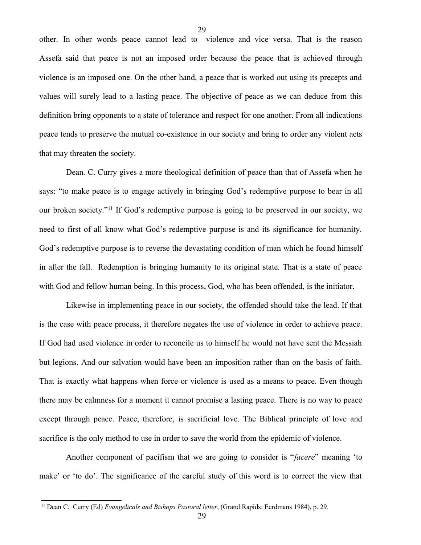other. In other words peace cannot lead to violence and vice versa. That is the reason Assefa said that peace is not an imposed order because the peace that is achieved through violence is an imposed one. On the other hand, a peace that is worked out using its precepts and values will surely lead to a lasting peace. The objective of peace as we can deduce from this definition bring opponents to a state of tolerance and respect for one another. From all indications peace tends to preserve the mutual co-existence in our society and bring to order any violent acts that may threaten the society.

29

Dean. C. Curry gives a more theological definition of peace than that of Assefa when he says: "to make peace is to engage actively in bringing God's redemptive purpose to bear in all our broken society."<sup>[11](#page-28-0)</sup> If God's redemptive purpose is going to be preserved in our society, we need to first of all know what God's redemptive purpose is and its significance for humanity. God's redemptive purpose is to reverse the devastating condition of man which he found himself in after the fall. Redemption is bringing humanity to its original state. That is a state of peace with God and fellow human being. In this process, God, who has been offended, is the initiator.

Likewise in implementing peace in our society, the offended should take the lead. If that is the case with peace process, it therefore negates the use of violence in order to achieve peace. If God had used violence in order to reconcile us to himself he would not have sent the Messiah but legions. And our salvation would have been an imposition rather than on the basis of faith. That is exactly what happens when force or violence is used as a means to peace. Even though there may be calmness for a moment it cannot promise a lasting peace. There is no way to peace except through peace. Peace, therefore, is sacrificial love. The Biblical principle of love and sacrifice is the only method to use in order to save the world from the epidemic of violence.

Another component of pacifism that we are going to consider is "*facere*" meaning 'to make' or 'to do'. The significance of the careful study of this word is to correct the view that

<span id="page-28-0"></span><sup>11</sup> Dean C. Curry (Ed) *Evangelicals and Bishops Pastoral letter*, (Grand Rapids: Eerdmans 1984), p. 29.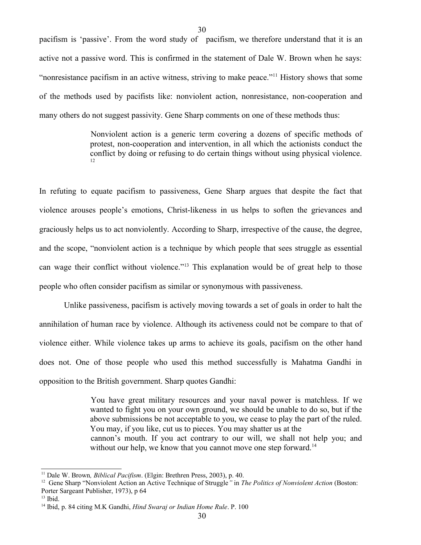pacifism is 'passive'. From the word study of pacifism, we therefore understand that it is an active not a passive word. This is confirmed in the statement of Dale W. Brown when he says: "nonresistance pacifism in an active witness, striving to make peace."<sup>[11](#page-29-0)</sup> History shows that some of the methods used by pacifists like: nonviolent action, nonresistance, non-cooperation and many others do not suggest passivity. Gene Sharp comments on one of these methods thus:

30

Nonviolent action is a generic term covering a dozens of specific methods of protest, non-cooperation and intervention, in all which the actionists conduct the conflict by doing or refusing to do certain things without using physical violence. [12](#page-29-1)

In refuting to equate pacifism to passiveness, Gene Sharp argues that despite the fact that violence arouses people's emotions, Christ-likeness in us helps to soften the grievances and graciously helps us to act nonviolently. According to Sharp, irrespective of the cause, the degree, and the scope, "nonviolent action is a technique by which people that sees struggle as essential can wage their conflict without violence."<sup>[13](#page-29-2)</sup> This explanation would be of great help to those people who often consider pacifism as similar or synonymous with passiveness.

Unlike passiveness, pacifism is actively moving towards a set of goals in order to halt the annihilation of human race by violence. Although its activeness could not be compare to that of violence either. While violence takes up arms to achieve its goals, pacifism on the other hand does not. One of those people who used this method successfully is Mahatma Gandhi in opposition to the British government. Sharp quotes Gandhi:

> You have great military resources and your naval power is matchless. If we wanted to fight you on your own ground, we should be unable to do so, but if the above submissions be not acceptable to you, we cease to play the part of the ruled. You may, if you like, cut us to pieces. You may shatter us at the

> cannon's mouth. If you act contrary to our will, we shall not help you; and without our help, we know that you cannot move one step forward.<sup>[14](#page-29-3)</sup>

<span id="page-29-0"></span><sup>&</sup>lt;sup>11</sup> Dale W. Brown, *Biblical Pacifism*. (Elgin: Brethren Press, 2003), p. 40.

<span id="page-29-1"></span><sup>&</sup>lt;sup>12</sup> Gene Sharp "Nonviolent Action an Active Technique of Struggle" in *The Politics of Nonviolent Action* (Boston: Porter Sargeant Publisher, 1973), p 64

<span id="page-29-2"></span> $13$  Ibid.

<span id="page-29-3"></span><sup>&</sup>lt;sup>14</sup> Ibid, p. 84 citing M.K Gandhi, *Hind Swaraj or Indian Home Rule*. P. 100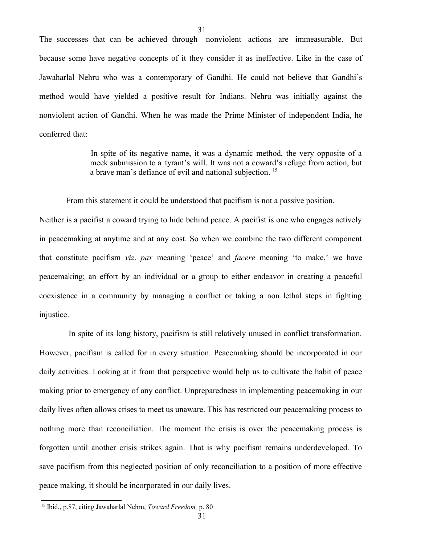The successes that can be achieved through nonviolent actions are immeasurable. But because some have negative concepts of it they consider it as ineffective. Like in the case of Jawaharlal Nehru who was a contemporary of Gandhi. He could not believe that Gandhi's method would have yielded a positive result for Indians. Nehru was initially against the nonviolent action of Gandhi. When he was made the Prime Minister of independent India, he conferred that:

31

In spite of its negative name, it was a dynamic method, the very opposite of a meek submission to a tyrant's will. It was not a coward's refuge from action, but a brave man's defiance of evil and national subjection. [15](#page-30-0)

From this statement it could be understood that pacifism is not a passive position.

Neither is a pacifist a coward trying to hide behind peace. A pacifist is one who engages actively in peacemaking at anytime and at any cost. So when we combine the two different component that constitute pacifism *viz*. *pax* meaning 'peace' and *facere* meaning 'to make,' we have peacemaking; an effort by an individual or a group to either endeavor in creating a peaceful coexistence in a community by managing a conflict or taking a non lethal steps in fighting injustice.

 In spite of its long history, pacifism is still relatively unused in conflict transformation. However, pacifism is called for in every situation. Peacemaking should be incorporated in our daily activities. Looking at it from that perspective would help us to cultivate the habit of peace making prior to emergency of any conflict. Unpreparedness in implementing peacemaking in our daily lives often allows crises to meet us unaware. This has restricted our peacemaking process to nothing more than reconciliation. The moment the crisis is over the peacemaking process is forgotten until another crisis strikes again. That is why pacifism remains underdeveloped. To save pacifism from this neglected position of only reconciliation to a position of more effective peace making, it should be incorporated in our daily lives.

<span id="page-30-0"></span><sup>15</sup> Ibid., p.87, citing Jawaharlal Nehru, *Toward Freedom,* p. 80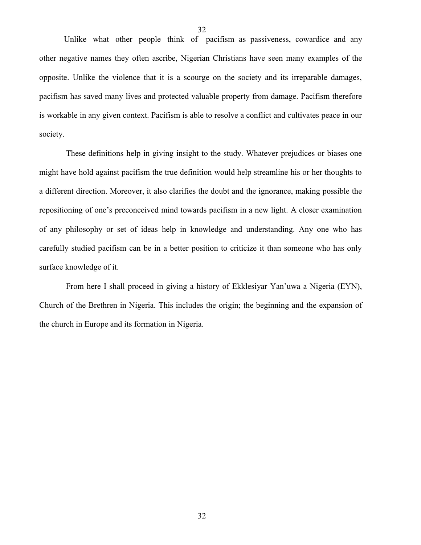Unlike what other people think of pacifism as passiveness, cowardice and any other negative names they often ascribe, Nigerian Christians have seen many examples of the opposite. Unlike the violence that it is a scourge on the society and its irreparable damages, pacifism has saved many lives and protected valuable property from damage. Pacifism therefore is workable in any given context. Pacifism is able to resolve a conflict and cultivates peace in our society.

These definitions help in giving insight to the study. Whatever prejudices or biases one might have hold against pacifism the true definition would help streamline his or her thoughts to a different direction. Moreover, it also clarifies the doubt and the ignorance, making possible the repositioning of one's preconceived mind towards pacifism in a new light. A closer examination of any philosophy or set of ideas help in knowledge and understanding. Any one who has carefully studied pacifism can be in a better position to criticize it than someone who has only surface knowledge of it.

From here I shall proceed in giving a history of Ekklesiyar Yan'uwa a Nigeria (EYN), Church of the Brethren in Nigeria. This includes the origin; the beginning and the expansion of the church in Europe and its formation in Nigeria.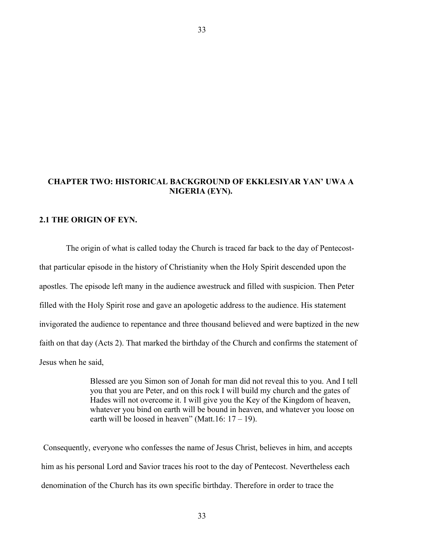### **CHAPTER TWO: HISTORICAL BACKGROUND OF EKKLESIYAR YAN' UWA A NIGERIA (EYN).**

### **2.1 THE ORIGIN OF EYN.**

The origin of what is called today the Church is traced far back to the day of Pentecostthat particular episode in the history of Christianity when the Holy Spirit descended upon the apostles. The episode left many in the audience awestruck and filled with suspicion. Then Peter filled with the Holy Spirit rose and gave an apologetic address to the audience. His statement invigorated the audience to repentance and three thousand believed and were baptized in the new faith on that day (Acts 2). That marked the birthday of the Church and confirms the statement of Jesus when he said,

> Blessed are you Simon son of Jonah for man did not reveal this to you. And I tell you that you are Peter, and on this rock I will build my church and the gates of Hades will not overcome it. I will give you the Key of the Kingdom of heaven, whatever you bind on earth will be bound in heaven, and whatever you loose on earth will be loosed in heaven" (Matt.16:  $17 - 19$ ).

 Consequently, everyone who confesses the name of Jesus Christ, believes in him, and accepts him as his personal Lord and Savior traces his root to the day of Pentecost. Nevertheless each denomination of the Church has its own specific birthday. Therefore in order to trace the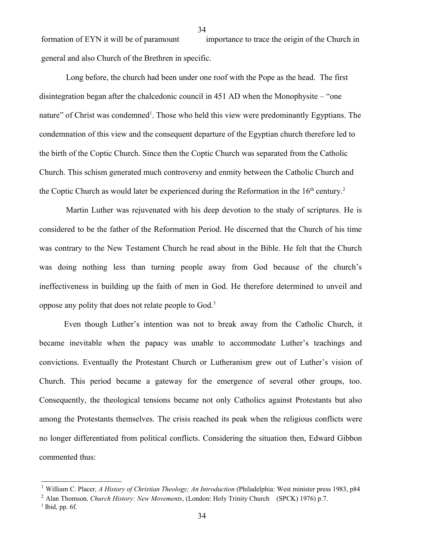formation of EYN it will be of paramount importance to trace the origin of the Church in general and also Church of the Brethren in specific.

34

Long before, the church had been under one roof with the Pope as the head. The first disintegration began after the chalcedonic council in 451 AD when the Monophysite – "one nature" of Christ was condemned<sup>[1](#page-33-0)</sup>. Those who held this view were predominantly Egyptians. The condemnation of this view and the consequent departure of the Egyptian church therefore led to the birth of the Coptic Church. Since then the Coptic Church was separated from the Catholic Church. This schism generated much controversy and enmity between the Catholic Church and the Coptic Church as would later be experienced during the Reformation in the  $16<sup>th</sup>$  century.<sup>[2](#page-33-1)</sup>

Martin Luther was rejuvenated with his deep devotion to the study of scriptures. He is considered to be the father of the Reformation Period. He discerned that the Church of his time was contrary to the New Testament Church he read about in the Bible. He felt that the Church was doing nothing less than turning people away from God because of the church's ineffectiveness in building up the faith of men in God. He therefore determined to unveil and oppose any polity that does not relate people to God.[3](#page-33-2)

Even though Luther's intention was not to break away from the Catholic Church, it became inevitable when the papacy was unable to accommodate Luther's teachings and convictions. Eventually the Protestant Church or Lutheranism grew out of Luther's vision of Church. This period became a gateway for the emergence of several other groups, too. Consequently, the theological tensions became not only Catholics against Protestants but also among the Protestants themselves. The crisis reached its peak when the religious conflicts were no longer differentiated from political conflicts. Considering the situation then, Edward Gibbon commented thus:

<span id="page-33-0"></span><sup>1</sup> William C. Placer*, A History of Christian Theology; An Introduction* (Philadelphia: West minister press 1983, p84

<span id="page-33-1"></span><sup>2</sup> Alan Thomson*, Church History: New Movements*, (London: Holy Trinity Church (SPCK) 1976) p.7.

<span id="page-33-2"></span> $3$  Ibid, pp. 6f.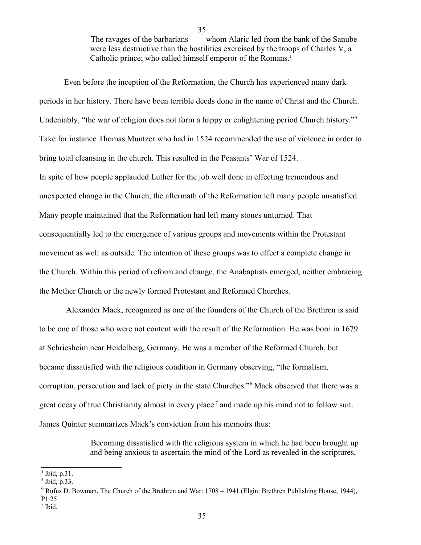The ravages of the barbarians whom Alaric led from the bank of the Sanube were less destructive than the hostilities exercised by the troops of Charles V, a Catholic prince; who called himself emperor of the Romans. [4](#page-34-0)

Even before the inception of the Reformation, the Church has experienced many dark periods in her history. There have been terrible deeds done in the name of Christ and the Church. Undeniably, "the war of religion does not form a happy or enlightening period Church history."<sup>[5](#page-34-1)</sup> Take for instance Thomas Muntzer who had in 1524 recommended the use of violence in order to bring total cleansing in the church. This resulted in the Peasants' War of 1524. In spite of how people applauded Luther for the job well done in effecting tremendous and unexpected change in the Church, the aftermath of the Reformation left many people unsatisfied. Many people maintained that the Reformation had left many stones unturned. That consequentially led to the emergence of various groups and movements within the Protestant movement as well as outside. The intention of these groups was to effect a complete change in the Church. Within this period of reform and change, the Anabaptists emerged, neither embracing the Mother Church or the newly formed Protestant and Reformed Churches.

Alexander Mack, recognized as one of the founders of the Church of the Brethren is said to be one of those who were not content with the result of the Reformation. He was born in 1679 at Schriesheim near Heidelberg, Germany. He was a member of the Reformed Church, but became dissatisfied with the religious condition in Germany observing, "the formalism, corruption, persecution and lack of piety in the state Churches."[6](#page-34-2) Mack observed that there was a great decay of true Christianity almost in every place<sup>[7](#page-34-3)</sup> and made up his mind not to follow suit. James Quinter summarizes Mack's conviction from his memoirs thus:

> Becoming dissatisfied with the religious system in which he had been brought up and being anxious to ascertain the mind of the Lord as revealed in the scriptures,

35

<span id="page-34-3"></span>7 Ibid.

<span id="page-34-0"></span><sup>4</sup> Ibid, p.31.

<span id="page-34-1"></span><sup>5</sup> Ibid, p.33.

<span id="page-34-2"></span> $6$  Rufus D. Bowman, The Church of the Brethren and War: 1708 – 1941 (Elgin: Brethren Publishing House, 1944), P1 25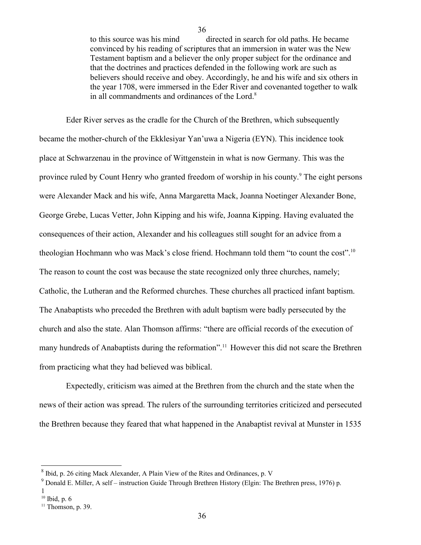to this source was his mind directed in search for old paths. He became convinced by his reading of scriptures that an immersion in water was the New Testament baptism and a believer the only proper subject for the ordinance and that the doctrines and practices defended in the following work are such as believers should receive and obey. Accordingly, he and his wife and six others in the year 1708, were immersed in the Eder River and covenanted together to walk in all commandments and ordinances of the Lord.<sup>[8](#page-35-0)</sup>

36

Eder River serves as the cradle for the Church of the Brethren, which subsequently became the mother-church of the Ekklesiyar Yan'uwa a Nigeria (EYN). This incidence took place at Schwarzenau in the province of Wittgenstein in what is now Germany. This was the province ruled by Count Henry who granted freedom of worship in his county.<sup>[9](#page-35-1)</sup> The eight persons were Alexander Mack and his wife, Anna Margaretta Mack, Joanna Noetinger Alexander Bone, George Grebe, Lucas Vetter, John Kipping and his wife, Joanna Kipping. Having evaluated the consequences of their action, Alexander and his colleagues still sought for an advice from a theologian Hochmann who was Mack's close friend. Hochmann told them "to count the cost".<sup>[10](#page-35-2)</sup> The reason to count the cost was because the state recognized only three churches, namely; Catholic, the Lutheran and the Reformed churches. These churches all practiced infant baptism. The Anabaptists who preceded the Brethren with adult baptism were badly persecuted by the church and also the state. Alan Thomson affirms: "there are official records of the execution of many hundreds of Anabaptists during the reformation".<sup>[11](#page-35-3)</sup> However this did not scare the Brethren from practicing what they had believed was biblical.

Expectedly, criticism was aimed at the Brethren from the church and the state when the news of their action was spread. The rulers of the surrounding territories criticized and persecuted the Brethren because they feared that what happened in the Anabaptist revival at Munster in 1535

<span id="page-35-0"></span><sup>&</sup>lt;sup>8</sup> Ibid, p. 26 citing Mack Alexander, A Plain View of the Rites and Ordinances, p. V

<span id="page-35-1"></span><sup>&</sup>lt;sup>9</sup> Donald E. Miller, A self – instruction Guide Through Brethren History (Elgin: The Brethren press, 1976) p.

<span id="page-35-2"></span><sup>1</sup>  $10$  Ibid, p. 6

<span id="page-35-3"></span> $11$  Thomson, p. 39.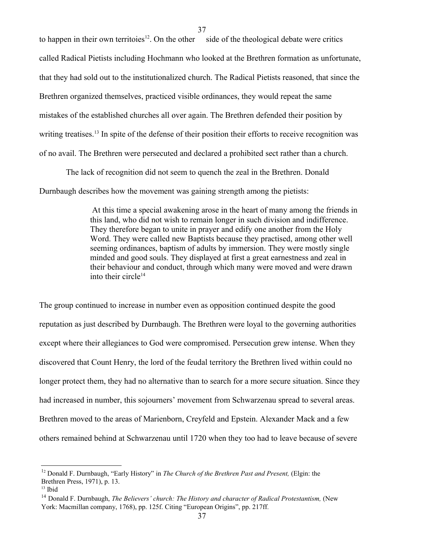to happen in their own territoies<sup>[12](#page-36-0)</sup>. On the other side of the theological debate were critics called Radical Pietists including Hochmann who looked at the Brethren formation as unfortunate, that they had sold out to the institutionalized church. The Radical Pietists reasoned, that since the Brethren organized themselves, practiced visible ordinances, they would repeat the same mistakes of the established churches all over again. The Brethren defended their position by writing treatises.<sup>[13](#page-36-1)</sup> In spite of the defense of their position their efforts to receive recognition was of no avail. The Brethren were persecuted and declared a prohibited sect rather than a church.

The lack of recognition did not seem to quench the zeal in the Brethren. Donald Durnbaugh describes how the movement was gaining strength among the pietists:

> At this time a special awakening arose in the heart of many among the friends in this land, who did not wish to remain longer in such division and indifference. They therefore began to unite in prayer and edify one another from the Holy Word. They were called new Baptists because they practised, among other well seeming ordinances, baptism of adults by immersion. They were mostly single minded and good souls. They displayed at first a great earnestness and zeal in their behaviour and conduct, through which many were moved and were drawn into their circle $14$

The group continued to increase in number even as opposition continued despite the good reputation as just described by Durnbaugh. The Brethren were loyal to the governing authorities except where their allegiances to God were compromised. Persecution grew intense. When they discovered that Count Henry, the lord of the feudal territory the Brethren lived within could no longer protect them, they had no alternative than to search for a more secure situation. Since they had increased in number, this sojourners' movement from Schwarzenau spread to several areas. Brethren moved to the areas of Marienborn, Creyfeld and Epstein. Alexander Mack and a few others remained behind at Schwarzenau until 1720 when they too had to leave because of severe

<span id="page-36-0"></span><sup>&</sup>lt;sup>12</sup> Donald F. Durnbaugh, "Early History" in *The Church of the Brethren Past and Present*, (Elgin: the Brethren Press, 1971), p. 13.

<span id="page-36-1"></span><sup>13</sup> Ibid

<span id="page-36-2"></span><sup>14</sup> Donald F. Durnbaugh, *The Believers' church: The History and character of Radical Protestantism,* (New York: Macmillan company, 1768), pp. 125f. Citing "European Origins", pp. 217ff.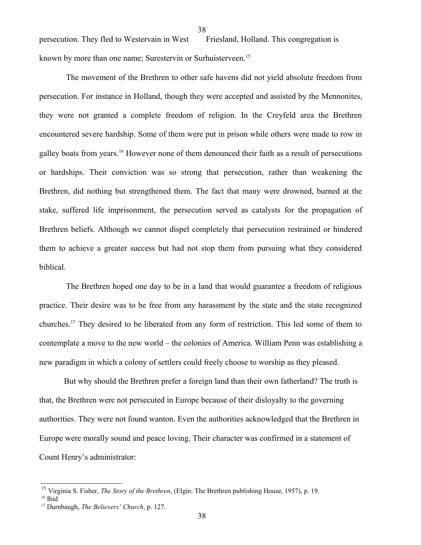38

persecution. They fled to Westervain in West Friesland, Holland. This congregation is known by more than one name; Surestervin or Surhuisterveen.<sup>[15](#page-37-0)</sup>

The movement of the Brethren to other safe havens did not yield absolute freedom from persecution. For instance in Holland, though they were accepted and assisted by the Mennonites, they were not granted a complete freedom of religion. In the Creyfeld area the Brethren encountered severe hardship. Some of them were put in prison while others were made to row in galley boats from years.<sup>[16](#page-37-1)</sup> However none of them denounced their faith as a result of persecutions or hardships. Their conviction was so strong that persecution, rather than weakening the Brethren, did nothing but strengthened them. The fact that many were drowned, burned at the stake, suffered life imprisonment, the persecution served as catalysts for the propagation of Brethren beliefs. Although we cannot dispel completely that persecution restrained or hindered them to achieve a greater success but had not stop them from pursuing what they considered biblical.

The Brethren hoped one day to be in a land that would guarantee a freedom of religious practice. Their desire was to be free from any harassment by the state and the state recognized churches.<sup>[17](#page-37-2)</sup> They desired to be liberated from any form of restriction. This led some of them to contemplate a move to the new world – the colonies of America. William Penn was establishing a new paradigm in which a colony of settlers could freely choose to worship as they pleased.

But why should the Brethren prefer a foreign land than their own fatherland? The truth is that, the Brethren were not persecuted in Europe because of their disloyalty to the governing authorities. They were not found wanton. Even the authorities acknowledged that the Brethren in Europe were morally sound and peace loving. Their character was confirmed in a statement of Count Henry's administrator:

<span id="page-37-0"></span><sup>15</sup> Virginia S. Fisher, *The Story of the Brethren*, (Elgin: The Brethren publishing House, 1957), p. 19.

<span id="page-37-1"></span><sup>16</sup> Ibid

<span id="page-37-2"></span><sup>17</sup> Durnbaugh, *The Believers' Church*, p. 127.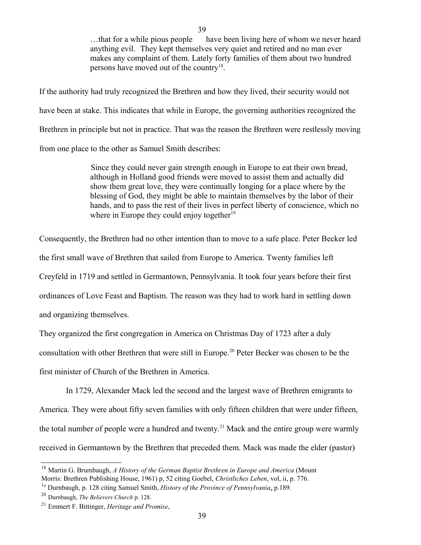...that for a while pious people have been living here of whom we never heard anything evil. They kept themselves very quiet and retired and no man ever makes any complaint of them. Lately forty families of them about two hundred persons have moved out of the country<sup>[18](#page-38-0)</sup>.

If the authority had truly recognized the Brethren and how they lived, their security would not have been at stake. This indicates that while in Europe, the governing authorities recognized the Brethren in principle but not in practice. That was the reason the Brethren were restlessly moving from one place to the other as Samuel Smith describes:

39

Since they could never gain strength enough in Europe to eat their own bread, although in Holland good friends were moved to assist them and actually did show them great love, they were continually longing for a place where by the blessing of God, they might be able to maintain themselves by the labor of their hands, and to pass the rest of their lives in perfect liberty of conscience, which no where in Europe they could enjoy together<sup>[19](#page-38-1)</sup>

Consequently, the Brethren had no other intention than to move to a safe place. Peter Becker led the first small wave of Brethren that sailed from Europe to America. Twenty families left Creyfeld in 1719 and settled in Germantown, Pennsylvania. It took four years before their first ordinances of Love Feast and Baptism. The reason was they had to work hard in settling down and organizing themselves.

They organized the first congregation in America on Christmas Day of 1723 after a duly consultation with other Brethren that were still in Europe.<sup>[20](#page-38-2)</sup> Peter Becker was chosen to be the first minister of Church of the Brethren in America.

In 1729, Alexander Mack led the second and the largest wave of Brethren emigrants to America. They were about fifty seven families with only fifteen children that were under fifteen, the total number of people were a hundred and twenty.<sup>[21](#page-38-3)</sup> Mack and the entire group were warmly received in Germantown by the Brethren that preceded them. Mack was made the elder (pastor)

<span id="page-38-0"></span><sup>18</sup> Martin G. Brumbaugh, *A History of the German Baptist Brethren in Europe and America* (Mount Morris: Brethren Publishing House, 1961) p, 52 citing Goebel, *Christliches Leben*, vol, ii, p. 776.

<span id="page-38-1"></span><sup>1</sup><sup>9</sup> Durnbaugh, p. 128 citing Samuel Smith, *History of the Province of Pennsylvania*, p.189.

<span id="page-38-2"></span><sup>20</sup> Durnbaugh, *The Believers Church* p. 128.

<span id="page-38-3"></span><sup>21</sup> Emmert F. Bittinger, *Heritage and Promise*,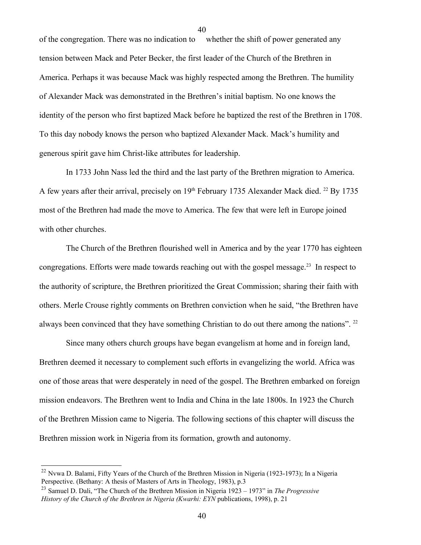of the congregation. There was no indication to whether the shift of power generated any tension between Mack and Peter Becker, the first leader of the Church of the Brethren in America. Perhaps it was because Mack was highly respected among the Brethren. The humility of Alexander Mack was demonstrated in the Brethren's initial baptism. No one knows the identity of the person who first baptized Mack before he baptized the rest of the Brethren in 1708. To this day nobody knows the person who baptized Alexander Mack. Mack's humility and generous spirit gave him Christ-like attributes for leadership.

In 1733 John Nass led the third and the last party of the Brethren migration to America. A few years after their arrival, precisely on  $19<sup>th</sup>$  February 1735 Alexander Mack died. <sup>[22](#page-39-0)</sup> By 1735 most of the Brethren had made the move to America. The few that were left in Europe joined with other churches.

The Church of the Brethren flourished well in America and by the year 1770 has eighteen congregations. Efforts were made towards reaching out with the gospel message.<sup>[23](#page-39-1)</sup> In respect to the authority of scripture, the Brethren prioritized the Great Commission; sharing their faith with others. Merle Crouse rightly comments on Brethren conviction when he said, "the Brethren have always been convinced that they have something Christian to do out there among the nations". <sup>22</sup>

Since many others church groups have began evangelism at home and in foreign land, Brethren deemed it necessary to complement such efforts in evangelizing the world. Africa was one of those areas that were desperately in need of the gospel. The Brethren embarked on foreign mission endeavors. The Brethren went to India and China in the late 1800s. In 1923 the Church of the Brethren Mission came to Nigeria. The following sections of this chapter will discuss the Brethren mission work in Nigeria from its formation, growth and autonomy.

<span id="page-39-0"></span><sup>&</sup>lt;sup>22</sup> Nvwa D. Balami, Fifty Years of the Church of the Brethren Mission in Nigeria (1923-1973); In a Nigeria Perspective. (Bethany: A thesis of Masters of Arts in Theology, 1983), p.3

<span id="page-39-1"></span><sup>23</sup> Samuel D. Dali, "The Church of the Brethren Mission in Nigeria 1923 – 1973" in *The Progressive History of the Church of the Brethren in Nigeria (Kwarhi: EYN* publications, 1998), p. 21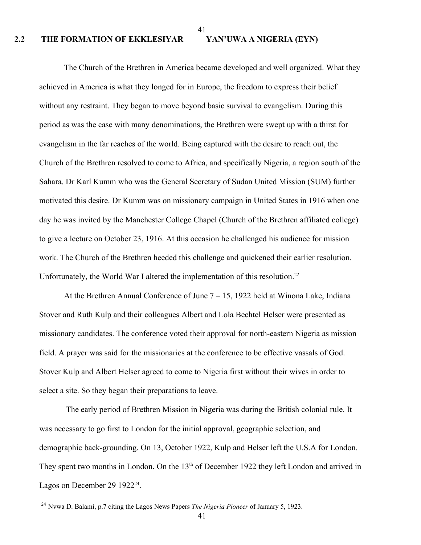#### 41

### **2.2 THE FORMATION OF EKKLESIYAR YAN'UWA A NIGERIA (EYN)**

The Church of the Brethren in America became developed and well organized. What they achieved in America is what they longed for in Europe, the freedom to express their belief without any restraint. They began to move beyond basic survival to evangelism. During this period as was the case with many denominations, the Brethren were swept up with a thirst for evangelism in the far reaches of the world. Being captured with the desire to reach out, the Church of the Brethren resolved to come to Africa, and specifically Nigeria, a region south of the Sahara. Dr Karl Kumm who was the General Secretary of Sudan United Mission (SUM) further motivated this desire. Dr Kumm was on missionary campaign in United States in 1916 when one day he was invited by the Manchester College Chapel (Church of the Brethren affiliated college) to give a lecture on October 23, 1916. At this occasion he challenged his audience for mission work. The Church of the Brethren heeded this challenge and quickened their earlier resolution. Unfortunately, the World War I altered the implementation of this resolution.<sup>22</sup>

At the Brethren Annual Conference of June 7 – 15, 1922 held at Winona Lake, Indiana Stover and Ruth Kulp and their colleagues Albert and Lola Bechtel Helser were presented as missionary candidates. The conference voted their approval for north-eastern Nigeria as mission field. A prayer was said for the missionaries at the conference to be effective vassals of God. Stover Kulp and Albert Helser agreed to come to Nigeria first without their wives in order to select a site. So they began their preparations to leave.

The early period of Brethren Mission in Nigeria was during the British colonial rule. It was necessary to go first to London for the initial approval, geographic selection, and demographic back-grounding. On 13, October 1922, Kulp and Helser left the U.S.A for London. They spent two months in London. On the 13<sup>th</sup> of December 1922 they left London and arrived in Lagos on December 29  $1922^{24}$  $1922^{24}$  $1922^{24}$ .

<span id="page-40-0"></span><sup>24</sup> Nvwa D. Balami, p.7 citing the Lagos News Papers *The Nigeria Pioneer* of January 5, 1923.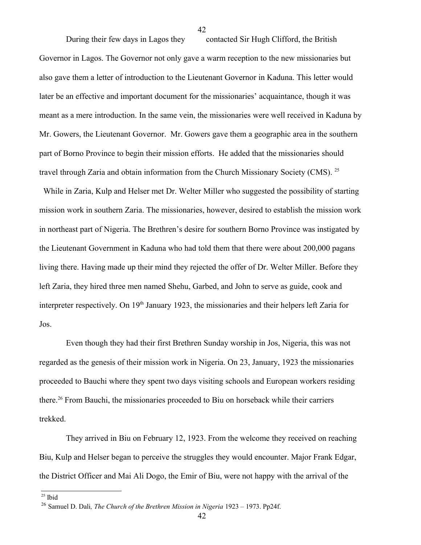During their few days in Lagos they contacted Sir Hugh Clifford, the British Governor in Lagos. The Governor not only gave a warm reception to the new missionaries but also gave them a letter of introduction to the Lieutenant Governor in Kaduna. This letter would later be an effective and important document for the missionaries' acquaintance, though it was meant as a mere introduction. In the same vein, the missionaries were well received in Kaduna by Mr. Gowers, the Lieutenant Governor. Mr. Gowers gave them a geographic area in the southern part of Borno Province to begin their mission efforts. He added that the missionaries should travel through Zaria and obtain information from the Church Missionary Society (CMS). <sup>[25](#page-41-0)</sup> While in Zaria, Kulp and Helser met Dr. Welter Miller who suggested the possibility of starting mission work in southern Zaria. The missionaries, however, desired to establish the mission work in northeast part of Nigeria. The Brethren's desire for southern Borno Province was instigated by the Lieutenant Government in Kaduna who had told them that there were about 200,000 pagans

42

living there. Having made up their mind they rejected the offer of Dr. Welter Miller. Before they left Zaria, they hired three men named Shehu, Garbed, and John to serve as guide, cook and interpreter respectively. On 19<sup>th</sup> January 1923, the missionaries and their helpers left Zaria for Jos.

Even though they had their first Brethren Sunday worship in Jos, Nigeria, this was not regarded as the genesis of their mission work in Nigeria. On 23, January, 1923 the missionaries proceeded to Bauchi where they spent two days visiting schools and European workers residing there.<sup>[26](#page-41-1)</sup> From Bauchi, the missionaries proceeded to Biu on horseback while their carriers trekked.

They arrived in Biu on February 12, 1923. From the welcome they received on reaching Biu, Kulp and Helser began to perceive the struggles they would encounter. Major Frank Edgar, the District Officer and Mai Ali Dogo, the Emir of Biu, were not happy with the arrival of the

<span id="page-41-0"></span> $25$  Ibid

<span id="page-41-1"></span><sup>26</sup> Samuel D. Dali*, The Church of the Brethren Mission in Nigeria* 1923 – 1973. Pp24f.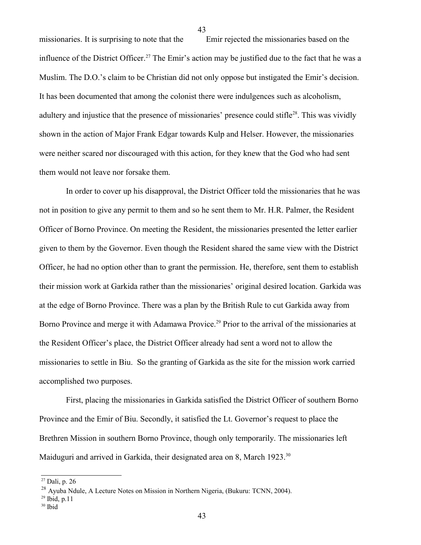missionaries. It is surprising to note that the Emir rejected the missionaries based on the influence of the District Officer.<sup>[27](#page-42-0)</sup> The Emir's action may be justified due to the fact that he was a Muslim. The D.O.'s claim to be Christian did not only oppose but instigated the Emir's decision. It has been documented that among the colonist there were indulgences such as alcoholism, adultery and injustice that the presence of missionaries' presence could stifle<sup>[28](#page-42-1)</sup>. This was vividly shown in the action of Major Frank Edgar towards Kulp and Helser. However, the missionaries were neither scared nor discouraged with this action, for they knew that the God who had sent them would not leave nor forsake them.

43

In order to cover up his disapproval, the District Officer told the missionaries that he was not in position to give any permit to them and so he sent them to Mr. H.R. Palmer, the Resident Officer of Borno Province. On meeting the Resident, the missionaries presented the letter earlier given to them by the Governor. Even though the Resident shared the same view with the District Officer, he had no option other than to grant the permission. He, therefore, sent them to establish their mission work at Garkida rather than the missionaries' original desired location. Garkida was at the edge of Borno Province. There was a plan by the British Rule to cut Garkida away from Borno Province and merge it with Adamawa Provice.<sup>[29](#page-42-2)</sup> Prior to the arrival of the missionaries at the Resident Officer's place, the District Officer already had sent a word not to allow the missionaries to settle in Biu. So the granting of Garkida as the site for the mission work carried accomplished two purposes.

First, placing the missionaries in Garkida satisfied the District Officer of southern Borno Province and the Emir of Biu. Secondly, it satisfied the Lt. Governor's request to place the Brethren Mission in southern Borno Province, though only temporarily. The missionaries left Maiduguri and arrived in Garkida, their designated area on 8, March 1923.<sup>[30](#page-42-3)</sup>

<span id="page-42-0"></span><sup>27</sup> Dali, p. 26

<span id="page-42-1"></span><sup>&</sup>lt;sup>28</sup> Ayuba Ndule, A Lecture Notes on Mission in Northern Nigeria, (Bukuru: TCNN, 2004).

<span id="page-42-2"></span> $29$  Ibid, p.11

<span id="page-42-3"></span><sup>30</sup> Ibid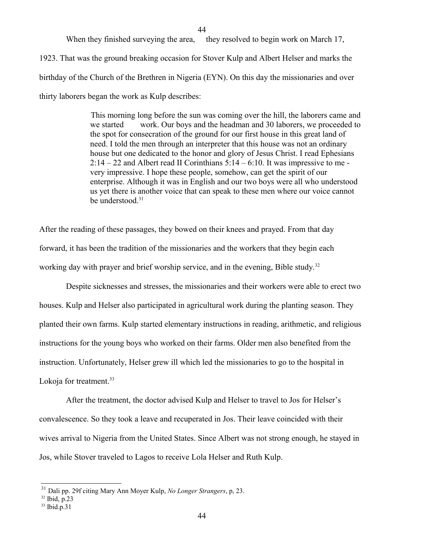44

When they finished surveying the area, they resolved to begin work on March 17,

1923. That was the ground breaking occasion for Stover Kulp and Albert Helser and marks the birthday of the Church of the Brethren in Nigeria (EYN). On this day the missionaries and over thirty laborers began the work as Kulp describes:

> This morning long before the sun was coming over the hill, the laborers came and we started work. Our boys and the headman and 30 laborers, we proceeded to the spot for consecration of the ground for our first house in this great land of need. I told the men through an interpreter that this house was not an ordinary house but one dedicated to the honor and glory of Jesus Christ. I read Ephesians 2:14 – 22 and Albert read II Corinthians 5:14 – 6:10. It was impressive to me very impressive. I hope these people, somehow, can get the spirit of our enterprise. Although it was in English and our two boys were all who understood us yet there is another voice that can speak to these men where our voice cannot be understood.<sup>[31](#page-43-0)</sup>

After the reading of these passages, they bowed on their knees and prayed. From that day forward, it has been the tradition of the missionaries and the workers that they begin each working day with prayer and brief worship service, and in the evening, Bible study.<sup>[32](#page-43-1)</sup>

Despite sicknesses and stresses, the missionaries and their workers were able to erect two houses. Kulp and Helser also participated in agricultural work during the planting season. They planted their own farms. Kulp started elementary instructions in reading, arithmetic, and religious instructions for the young boys who worked on their farms. Older men also benefited from the instruction. Unfortunately, Helser grew ill which led the missionaries to go to the hospital in Lokoja for treatment.<sup>[33](#page-43-2)</sup>

After the treatment, the doctor advised Kulp and Helser to travel to Jos for Helser's convalescence. So they took a leave and recuperated in Jos. Their leave coincided with their wives arrival to Nigeria from the United States. Since Albert was not strong enough, he stayed in Jos, while Stover traveled to Lagos to receive Lola Helser and Ruth Kulp.

<span id="page-43-0"></span><sup>31</sup> Dali pp. 29f citing Mary Ann Moyer Kulp, *No Longer Strangers*, p, 23.

<span id="page-43-1"></span><sup>32</sup> Ibid, p.23

<span id="page-43-2"></span><sup>33</sup> Ibid.p.31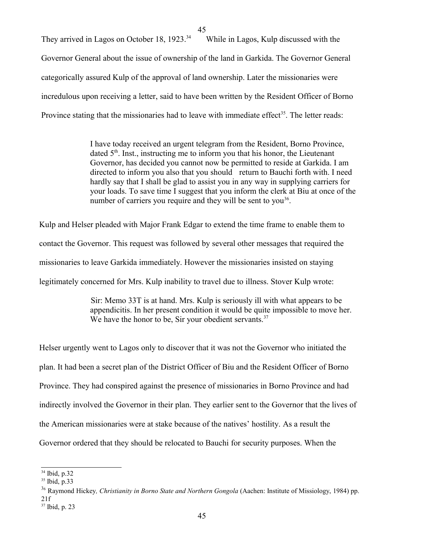45

They arrived in Lagos on October 18, 1923.<sup>[34](#page-44-0)</sup> While in Lagos, Kulp discussed with the Governor General about the issue of ownership of the land in Garkida. The Governor General categorically assured Kulp of the approval of land ownership. Later the missionaries were incredulous upon receiving a letter, said to have been written by the Resident Officer of Borno Province stating that the missionaries had to leave with immediate effect<sup>[35](#page-44-1)</sup>. The letter reads:

> I have today received an urgent telegram from the Resident, Borno Province, dated  $5<sup>th</sup>$ . Inst., instructing me to inform you that his honor, the Lieutenant Governor, has decided you cannot now be permitted to reside at Garkida. I am directed to inform you also that you should return to Bauchi forth with. I need hardly say that I shall be glad to assist you in any way in supplying carriers for your loads. To save time I suggest that you inform the clerk at Biu at once of the number of carriers you require and they will be sent to you<sup>[36](#page-44-2)</sup>.

Kulp and Helser pleaded with Major Frank Edgar to extend the time frame to enable them to contact the Governor. This request was followed by several other messages that required the missionaries to leave Garkida immediately. However the missionaries insisted on staying legitimately concerned for Mrs. Kulp inability to travel due to illness. Stover Kulp wrote:

> Sir: Memo 33T is at hand. Mrs. Kulp is seriously ill with what appears to be appendicitis. In her present condition it would be quite impossible to move her. We have the honor to be, Sir your obedient servants. $37$

Helser urgently went to Lagos only to discover that it was not the Governor who initiated the plan. It had been a secret plan of the District Officer of Biu and the Resident Officer of Borno Province. They had conspired against the presence of missionaries in Borno Province and had indirectly involved the Governor in their plan. They earlier sent to the Governor that the lives of the American missionaries were at stake because of the natives' hostility. As a result the Governor ordered that they should be relocated to Bauchi for security purposes. When the

<span id="page-44-0"></span><sup>34</sup> Ibid, p.32

<span id="page-44-1"></span><sup>35</sup> Ibid, p.33

<span id="page-44-2"></span><sup>3</sup><sup>6</sup> Raymond Hickey*, Christianity in Borno State and Northern Gongola* (Aachen: Institute of Missiology, 1984) pp.

<span id="page-44-3"></span><sup>21</sup>f 37 Ibid, p. 23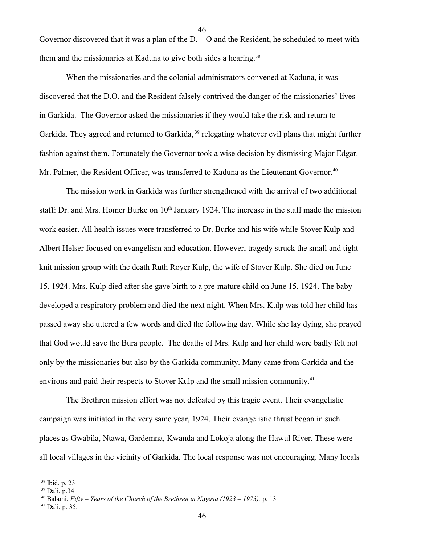Governor discovered that it was a plan of the D. O and the Resident, he scheduled to meet with them and the missionaries at Kaduna to give both sides a hearing.<sup>[38](#page-45-0)</sup>

46

When the missionaries and the colonial administrators convened at Kaduna, it was discovered that the D.O. and the Resident falsely contrived the danger of the missionaries' lives in Garkida. The Governor asked the missionaries if they would take the risk and return to Garkida. They agreed and returned to Garkida, <sup>[39](#page-45-1)</sup> relegating whatever evil plans that might further fashion against them. Fortunately the Governor took a wise decision by dismissing Major Edgar. Mr. Palmer, the Resident Officer, was transferred to Kaduna as the Lieutenant Governor.<sup>[40](#page-45-2)</sup>

The mission work in Garkida was further strengthened with the arrival of two additional staff: Dr. and Mrs. Homer Burke on 10<sup>th</sup> January 1924. The increase in the staff made the mission work easier. All health issues were transferred to Dr. Burke and his wife while Stover Kulp and Albert Helser focused on evangelism and education. However, tragedy struck the small and tight knit mission group with the death Ruth Royer Kulp, the wife of Stover Kulp. She died on June 15, 1924. Mrs. Kulp died after she gave birth to a pre-mature child on June 15, 1924. The baby developed a respiratory problem and died the next night. When Mrs. Kulp was told her child has passed away she uttered a few words and died the following day. While she lay dying, she prayed that God would save the Bura people. The deaths of Mrs. Kulp and her child were badly felt not only by the missionaries but also by the Garkida community. Many came from Garkida and the environs and paid their respects to Stover Kulp and the small mission community.<sup>[41](#page-45-3)</sup>

The Brethren mission effort was not defeated by this tragic event. Their evangelistic campaign was initiated in the very same year, 1924. Their evangelistic thrust began in such places as Gwabila, Ntawa, Gardemna, Kwanda and Lokoja along the Hawul River. These were all local villages in the vicinity of Garkida. The local response was not encouraging. Many locals

<span id="page-45-0"></span><sup>38</sup> Ibid. p. 23

<span id="page-45-1"></span><sup>39</sup> Dali, p.34

<span id="page-45-2"></span><sup>40</sup> Balami, *Fifty – Years of the Church of the Brethren in Nigeria (1923 – 1973),* p. 13

<span id="page-45-3"></span><sup>41</sup> Dali, p. 35.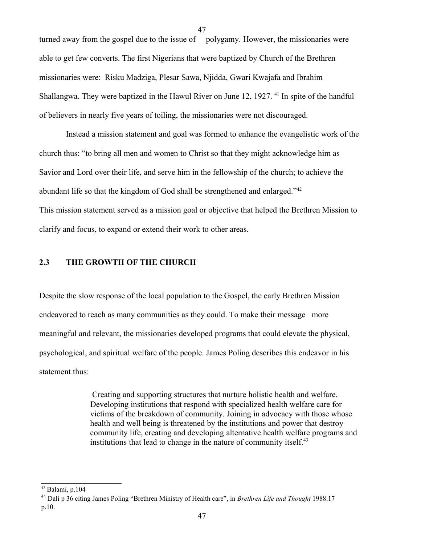turned away from the gospel due to the issue of polygamy. However, the missionaries were able to get few converts. The first Nigerians that were baptized by Church of the Brethren missionaries were: Risku Madziga, Plesar Sawa, Njidda, Gwari Kwajafa and Ibrahim Shallangwa. They were baptized in the Hawul River on June 12, 1927.<sup>41</sup> In spite of the handful of believers in nearly five years of toiling, the missionaries were not discouraged.

Instead a mission statement and goal was formed to enhance the evangelistic work of the church thus: "to bring all men and women to Christ so that they might acknowledge him as Savior and Lord over their life, and serve him in the fellowship of the church; to achieve the abundant life so that the kingdom of God shall be strengthened and enlarged."<sup>[42](#page-46-0)</sup> This mission statement served as a mission goal or objective that helped the Brethren Mission to clarify and focus, to expand or extend their work to other areas.

# **2.3 THE GROWTH OF THE CHURCH**

Despite the slow response of the local population to the Gospel, the early Brethren Mission endeavored to reach as many communities as they could. To make their message more meaningful and relevant, the missionaries developed programs that could elevate the physical, psychological, and spiritual welfare of the people. James Poling describes this endeavor in his statement thus:

> Creating and supporting structures that nurture holistic health and welfare. Developing institutions that respond with specialized health welfare care for victims of the breakdown of community. Joining in advocacy with those whose health and well being is threatened by the institutions and power that destroy community life, creating and developing alternative health welfare programs and institutions that lead to change in the nature of community itself.<sup>[43](#page-46-1)</sup>

<span id="page-46-0"></span><sup>42</sup> Balami, p.104

<span id="page-46-1"></span><sup>4</sup><sup>3</sup> Dali p 36 citing James Poling "Brethren Ministry of Health care", in *Brethren Life and Thought* 1988.17 p.10.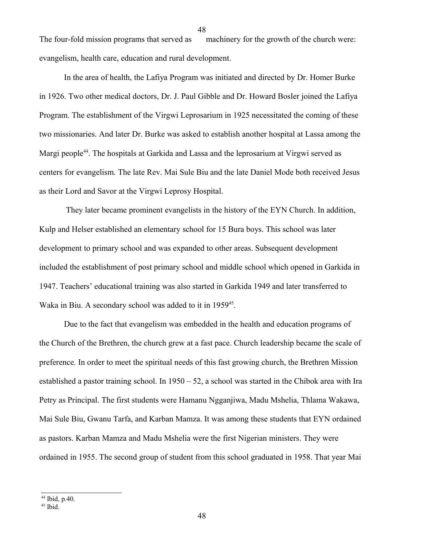The four-fold mission programs that served as machinery for the growth of the church were: evangelism, health care, education and rural development.

In the area of health, the Lafiya Program was initiated and directed by Dr. Homer Burke in 1926. Two other medical doctors, Dr. J. Paul Gibble and Dr. Howard Bosler joined the Lafiya Program. The establishment of the Virgwi Leprosarium in 1925 necessitated the coming of these two missionaries. And later Dr. Burke was asked to establish another hospital at Lassa among the Margi people<sup>[44](#page-47-0)</sup>. The hospitals at Garkida and Lassa and the leprosarium at Virgwi served as centers for evangelism. The late Rev. Mai Sule Biu and the late Daniel Mode both received Jesus as their Lord and Savor at the Virgwi Leprosy Hospital.

They later became prominent evangelists in the history of the EYN Church. In addition, Kulp and Helser established an elementary school for 15 Bura boys. This school was later development to primary school and was expanded to other areas. Subsequent development included the establishment of post primary school and middle school which opened in Garkida in 1947. Teachers' educational training was also started in Garkida 1949 and later transferred to Waka in Biu. A secondary school was added to it in 1959<sup>[45](#page-47-1)</sup>.

Due to the fact that evangelism was embedded in the health and education programs of the Church of the Brethren, the church grew at a fast pace. Church leadership became the scale of preference. In order to meet the spiritual needs of this fast growing church, the Brethren Mission established a pastor training school. In  $1950 - 52$ , a school was started in the Chibok area with Ira Petry as Principal. The first students were Hamanu Ngganjiwa, Madu Mshelia, Thlama Wakawa, Mai Sule Biu, Gwanu Tarfa, and Karban Mamza. It was among these students that EYN ordained as pastors. Karban Mamza and Madu Mshelia were the first Nigerian ministers. They were ordained in 1955. The second group of student from this school graduated in 1958. That year Mai

<span id="page-47-0"></span><sup>44</sup> Ibid, p.40.

<span id="page-47-1"></span><sup>45</sup> Ibid.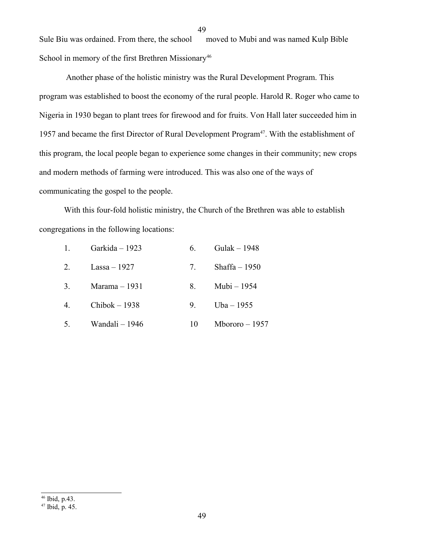Sule Biu was ordained. From there, the school moved to Mubi and was named Kulp Bible School in memory of the first Brethren Missionary<sup>[46](#page-48-0)</sup>

Another phase of the holistic ministry was the Rural Development Program. This program was established to boost the economy of the rural people. Harold R. Roger who came to Nigeria in 1930 began to plant trees for firewood and for fruits. Von Hall later succeeded him in 1957 and became the first Director of Rural Development Program<sup>[47](#page-48-1)</sup>. With the establishment of this program, the local people began to experience some changes in their community; new crops and modern methods of farming were introduced. This was also one of the ways of communicating the gospel to the people.

With this four-fold holistic ministry, the Church of the Brethren was able to establish congregations in the following locations:

49

| 1. | Garkida – 1923     | 6.             | Gulak $-1948$   |
|----|--------------------|----------------|-----------------|
| 2. | Lassa – 1927       | 7.             | Shaffa $-1950$  |
| 3. | Marama $-1931$     |                | Mubi – 1954     |
| 4. | $Chibok-1938$      | 9 <sub>1</sub> | Uba – 1955      |
|    | 5. Wandali $-1946$ | $10 -$         | Mbororo $-1957$ |

<span id="page-48-0"></span>46 Ibid, p.43.

<span id="page-48-1"></span><sup>47</sup> Ibid, p. 45.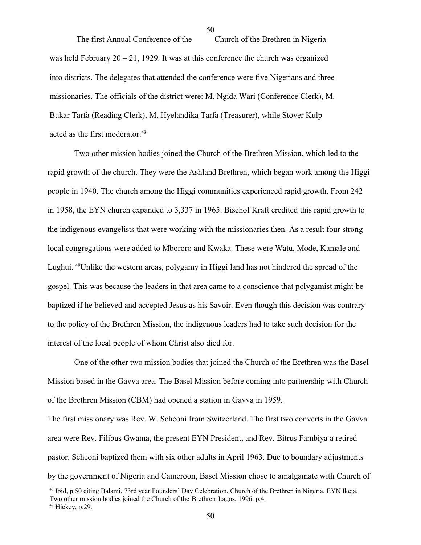The first Annual Conference of the Church of the Brethren in Nigeria was held February  $20 - 21$ , 1929. It was at this conference the church was organized into districts. The delegates that attended the conference were five Nigerians and three missionaries. The officials of the district were: M. Ngida Wari (Conference Clerk), M. Bukar Tarfa (Reading Clerk), M. Hyelandika Tarfa (Treasurer), while Stover Kulp acted as the first moderator.<sup>[48](#page-49-0)</sup>

 Two other mission bodies joined the Church of the Brethren Mission, which led to the rapid growth of the church. They were the Ashland Brethren, which began work among the Higgi people in 1940. The church among the Higgi communities experienced rapid growth. From 242 in 1958, the EYN church expanded to 3,337 in 1965. Bischof Kraft credited this rapid growth to the indigenous evangelists that were working with the missionaries then. As a result four strong local congregations were added to Mbororo and Kwaka. These were Watu, Mode, Kamale and Lughui. [49](#page-49-1)Unlike the western areas, polygamy in Higgi land has not hindered the spread of the gospel. This was because the leaders in that area came to a conscience that polygamist might be baptized if he believed and accepted Jesus as his Savoir. Even though this decision was contrary to the policy of the Brethren Mission, the indigenous leaders had to take such decision for the interest of the local people of whom Christ also died for.

One of the other two mission bodies that joined the Church of the Brethren was the Basel Mission based in the Gavva area. The Basel Mission before coming into partnership with Church of the Brethren Mission (CBM) had opened a station in Gavva in 1959.

The first missionary was Rev. W. Scheoni from Switzerland. The first two converts in the Gavva area were Rev. Filibus Gwama, the present EYN President, and Rev. Bitrus Fambiya a retired pastor. Scheoni baptized them with six other adults in April 1963. Due to boundary adjustments by the government of Nigeria and Cameroon, Basel Mission chose to amalgamate with Church of

<span id="page-49-0"></span><sup>48</sup> Ibid, p.50 citing Balami, 73rd year Founders' Day Celebration, Church of the Brethren in Nigeria, EYN Ikeja, Two other mission bodies joined the Church of the Brethren Lagos, 1996, p.4.

<span id="page-49-1"></span><sup>49</sup> Hickey, p.29.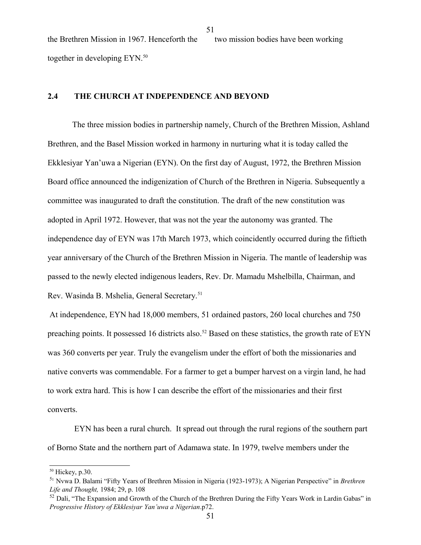the Brethren Mission in 1967. Henceforth the two mission bodies have been working together in developing EYN.<sup>[50](#page-50-0)</sup>

51

## **2.4 THE CHURCH AT INDEPENDENCE AND BEYOND**

The three mission bodies in partnership namely, Church of the Brethren Mission, Ashland Brethren, and the Basel Mission worked in harmony in nurturing what it is today called the Ekklesiyar Yan'uwa a Nigerian (EYN). On the first day of August, 1972, the Brethren Mission Board office announced the indigenization of Church of the Brethren in Nigeria. Subsequently a committee was inaugurated to draft the constitution. The draft of the new constitution was adopted in April 1972. However, that was not the year the autonomy was granted. The independence day of EYN was 17th March 1973, which coincidently occurred during the fiftieth year anniversary of the Church of the Brethren Mission in Nigeria. The mantle of leadership was passed to the newly elected indigenous leaders, Rev. Dr. Mamadu Mshelbilla, Chairman, and Rev. Wasinda B. Mshelia, General Secretary.[51](#page-50-1)

At independence, EYN had 18,000 members, 51 ordained pastors, 260 local churches and 750 preaching points. It possessed 16 districts also.<sup>[52](#page-50-2)</sup> Based on these statistics, the growth rate of EYN was 360 converts per year. Truly the evangelism under the effort of both the missionaries and native converts was commendable. For a farmer to get a bumper harvest on a virgin land, he had to work extra hard. This is how I can describe the effort of the missionaries and their first converts.

EYN has been a rural church. It spread out through the rural regions of the southern part of Borno State and the northern part of Adamawa state. In 1979, twelve members under the

<span id="page-50-0"></span><sup>50</sup> Hickey, p.30.

<span id="page-50-1"></span><sup>5</sup><sup>1</sup> Nvwa D. Balami "Fifty Years of Brethren Mission in Nigeria (1923-1973); A Nigerian Perspective" in *Brethren Life and Thought,* 1984; 29, p. 108

<span id="page-50-2"></span> $52$  Dali, "The Expansion and Growth of the Church of the Brethren During the Fifty Years Work in Lardin Gabas" in *Progressive History of Ekklesiyar Yan'uwa a Nigerian*.p72.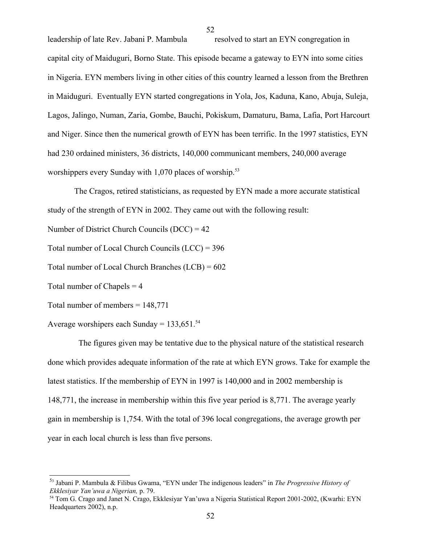leadership of late Rev. Jabani P. Mambula resolved to start an EYN congregation in capital city of Maiduguri, Borno State. This episode became a gateway to EYN into some cities in Nigeria. EYN members living in other cities of this country learned a lesson from the Brethren in Maiduguri. Eventually EYN started congregations in Yola, Jos, Kaduna, Kano, Abuja, Suleja, Lagos, Jalingo, Numan, Zaria, Gombe, Bauchi, Pokiskum, Damaturu, Bama, Lafia, Port Harcourt and Niger. Since then the numerical growth of EYN has been terrific. In the 1997 statistics, EYN had 230 ordained ministers, 36 districts, 140,000 communicant members, 240,000 average worshippers every Sunday with  $1,070$  places of worship.<sup>[53](#page-51-0)</sup>

The Cragos, retired statisticians, as requested by EYN made a more accurate statistical study of the strength of EYN in 2002. They came out with the following result:

Number of District Church Councils (DCC) = 42

Total number of Local Church Councils (LCC) = 396

Total number of Local Church Branches (LCB) = 602

Total number of Chapels  $=$  4

Total number of members = 148,771

Average worshipers each Sunday =  $133,651.^{54}$  $133,651.^{54}$  $133,651.^{54}$ 

 The figures given may be tentative due to the physical nature of the statistical research done which provides adequate information of the rate at which EYN grows. Take for example the latest statistics. If the membership of EYN in 1997 is 140,000 and in 2002 membership is 148,771, the increase in membership within this five year period is 8,771. The average yearly gain in membership is 1,754. With the total of 396 local congregations, the average growth per year in each local church is less than five persons.

<span id="page-51-0"></span><sup>5</sup>3 Jabani P. Mambula & Filibus Gwama, "EYN under The indigenous leaders" in *The Progressive History of Ekklesiyar Yan'uwa a Nigerian,* p. 79.

<span id="page-51-1"></span><sup>54</sup> Tom G. Crago and Janet N. Crago, Ekklesiyar Yan'uwa a Nigeria Statistical Report 2001-2002, (Kwarhi: EYN Headquarters 2002), n.p.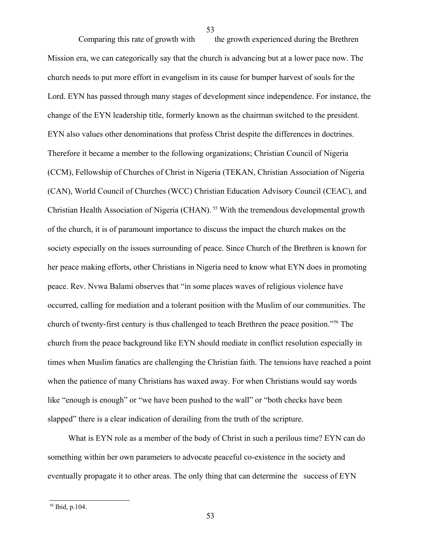Comparing this rate of growth with the growth experienced during the Brethren Mission era, we can categorically say that the church is advancing but at a lower pace now. The church needs to put more effort in evangelism in its cause for bumper harvest of souls for the Lord. EYN has passed through many stages of development since independence. For instance, the change of the EYN leadership title, formerly known as the chairman switched to the president. EYN also values other denominations that profess Christ despite the differences in doctrines. Therefore it became a member to the following organizations; Christian Council of Nigeria (CCM), Fellowship of Churches of Christ in Nigeria (TEKAN, Christian Association of Nigeria (CAN), World Council of Churches (WCC) Christian Education Advisory Council (CEAC), and Christian Health Association of Nigeria (CHAN).<sup>55</sup> With the tremendous developmental growth of the church, it is of paramount importance to discuss the impact the church makes on the society especially on the issues surrounding of peace. Since Church of the Brethren is known for her peace making efforts, other Christians in Nigeria need to know what EYN does in promoting peace. Rev. Nvwa Balami observes that "in some places waves of religious violence have occurred, calling for mediation and a tolerant position with the Muslim of our communities. The church of twenty-first century is thus challenged to teach Brethren the peace position."<sup>[56](#page-52-0)</sup> The church from the peace background like EYN should mediate in conflict resolution especially in times when Muslim fanatics are challenging the Christian faith. The tensions have reached a point when the patience of many Christians has waxed away. For when Christians would say words like "enough is enough" or "we have been pushed to the wall" or "both checks have been slapped" there is a clear indication of derailing from the truth of the scripture.

 What is EYN role as a member of the body of Christ in such a perilous time? EYN can do something within her own parameters to advocate peaceful co-existence in the society and eventually propagate it to other areas. The only thing that can determine the success of EYN

<span id="page-52-0"></span><sup>56</sup> Ibid, p.104.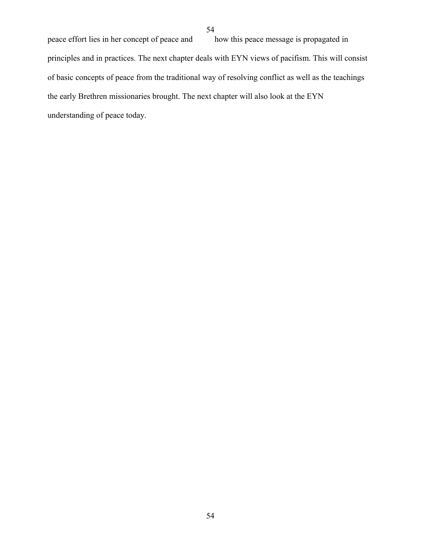peace effort lies in her concept of peace and how this peace message is propagated in principles and in practices. The next chapter deals with EYN views of pacifism. This will consist of basic concepts of peace from the traditional way of resolving conflict as well as the teachings the early Brethren missionaries brought. The next chapter will also look at the EYN understanding of peace today.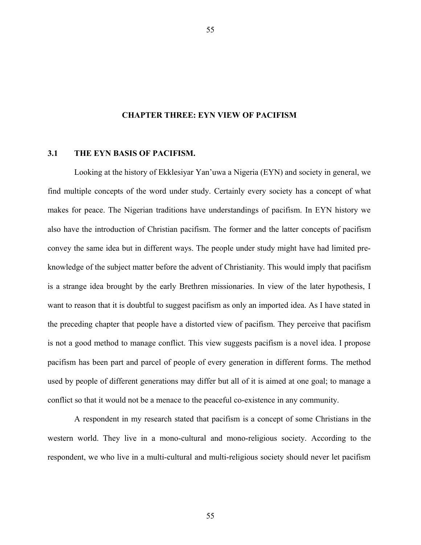#### **CHAPTER THREE: EYN VIEW OF PACIFISM**

55

### **3.1 THE EYN BASIS OF PACIFISM.**

Looking at the history of Ekklesiyar Yan'uwa a Nigeria (EYN) and society in general, we find multiple concepts of the word under study. Certainly every society has a concept of what makes for peace. The Nigerian traditions have understandings of pacifism. In EYN history we also have the introduction of Christian pacifism. The former and the latter concepts of pacifism convey the same idea but in different ways. The people under study might have had limited preknowledge of the subject matter before the advent of Christianity. This would imply that pacifism is a strange idea brought by the early Brethren missionaries. In view of the later hypothesis, I want to reason that it is doubtful to suggest pacifism as only an imported idea. As I have stated in the preceding chapter that people have a distorted view of pacifism. They perceive that pacifism is not a good method to manage conflict. This view suggests pacifism is a novel idea. I propose pacifism has been part and parcel of people of every generation in different forms. The method used by people of different generations may differ but all of it is aimed at one goal; to manage a conflict so that it would not be a menace to the peaceful co-existence in any community.

A respondent in my research stated that pacifism is a concept of some Christians in the western world. They live in a mono-cultural and mono-religious society. According to the respondent, we who live in a multi-cultural and multi-religious society should never let pacifism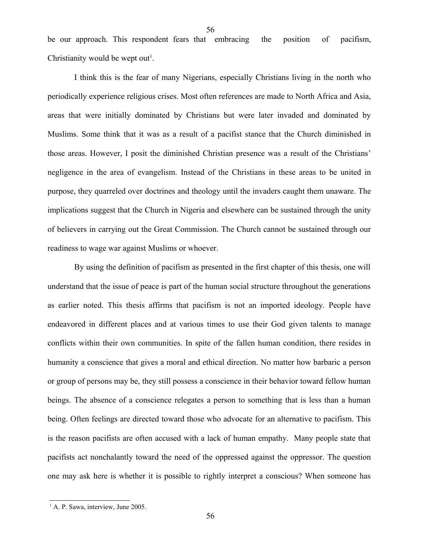be our approach. This respondent fears that embracing the position of pacifism, Christianity would be wept out<sup>[1](#page-55-0)</sup>.

56

I think this is the fear of many Nigerians, especially Christians living in the north who periodically experience religious crises. Most often references are made to North Africa and Asia, areas that were initially dominated by Christians but were later invaded and dominated by Muslims. Some think that it was as a result of a pacifist stance that the Church diminished in those areas. However, I posit the diminished Christian presence was a result of the Christians' negligence in the area of evangelism. Instead of the Christians in these areas to be united in purpose, they quarreled over doctrines and theology until the invaders caught them unaware. The implications suggest that the Church in Nigeria and elsewhere can be sustained through the unity of believers in carrying out the Great Commission. The Church cannot be sustained through our readiness to wage war against Muslims or whoever.

By using the definition of pacifism as presented in the first chapter of this thesis, one will understand that the issue of peace is part of the human social structure throughout the generations as earlier noted. This thesis affirms that pacifism is not an imported ideology. People have endeavored in different places and at various times to use their God given talents to manage conflicts within their own communities. In spite of the fallen human condition, there resides in humanity a conscience that gives a moral and ethical direction. No matter how barbaric a person or group of persons may be, they still possess a conscience in their behavior toward fellow human beings. The absence of a conscience relegates a person to something that is less than a human being. Often feelings are directed toward those who advocate for an alternative to pacifism. This is the reason pacifists are often accused with a lack of human empathy. Many people state that pacifists act nonchalantly toward the need of the oppressed against the oppressor. The question one may ask here is whether it is possible to rightly interpret a conscious? When someone has

<span id="page-55-0"></span><sup>&</sup>lt;sup>1</sup> A. P. Sawa, interview, June 2005.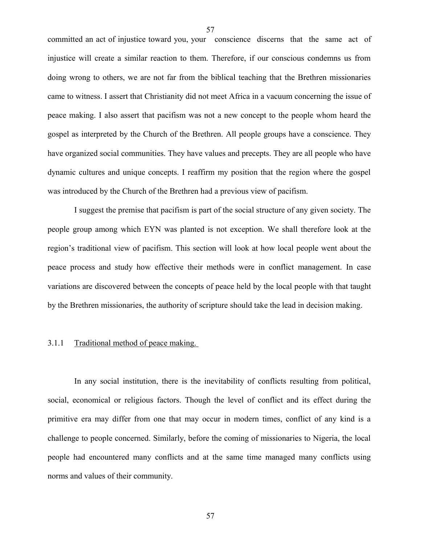committed an act of injustice toward you, your conscience discerns that the same act of injustice will create a similar reaction to them. Therefore, if our conscious condemns us from doing wrong to others, we are not far from the biblical teaching that the Brethren missionaries came to witness. I assert that Christianity did not meet Africa in a vacuum concerning the issue of peace making. I also assert that pacifism was not a new concept to the people whom heard the gospel as interpreted by the Church of the Brethren. All people groups have a conscience. They have organized social communities. They have values and precepts. They are all people who have dynamic cultures and unique concepts. I reaffirm my position that the region where the gospel was introduced by the Church of the Brethren had a previous view of pacifism.

I suggest the premise that pacifism is part of the social structure of any given society. The people group among which EYN was planted is not exception. We shall therefore look at the region's traditional view of pacifism. This section will look at how local people went about the peace process and study how effective their methods were in conflict management. In case variations are discovered between the concepts of peace held by the local people with that taught by the Brethren missionaries, the authority of scripture should take the lead in decision making.

# 3.1.1 Traditional method of peace making.

In any social institution, there is the inevitability of conflicts resulting from political, social, economical or religious factors. Though the level of conflict and its effect during the primitive era may differ from one that may occur in modern times, conflict of any kind is a challenge to people concerned. Similarly, before the coming of missionaries to Nigeria, the local people had encountered many conflicts and at the same time managed many conflicts using norms and values of their community.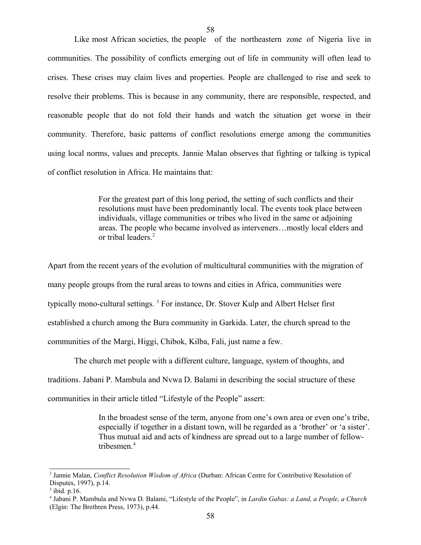Like most African societies, the people of the northeastern zone of Nigeria live in communities. The possibility of conflicts emerging out of life in community will often lead to crises. These crises may claim lives and properties. People are challenged to rise and seek to resolve their problems. This is because in any community, there are responsible, respected, and reasonable people that do not fold their hands and watch the situation get worse in their community. Therefore, basic patterns of conflict resolutions emerge among the communities using local norms, values and precepts. Jannie Malan observes that fighting or talking is typical of conflict resolution in Africa. He maintains that:

> For the greatest part of this long period, the setting of such conflicts and their resolutions must have been predominantly local. The events took place between individuals, village communities or tribes who lived in the same or adjoining areas. The people who became involved as interveners…mostly local elders and or tribal leaders.[2](#page-57-0)

Apart from the recent years of the evolution of multicultural communities with the migration of many people groups from the rural areas to towns and cities in Africa, communities were typically mono-cultural settings.<sup>[3](#page-57-1)</sup> For instance, Dr. Stover Kulp and Albert Helser first established a church among the Bura community in Garkida. Later, the church spread to the communities of the Margi, Higgi, Chibok, Kilba, Fali, just name a few.

The church met people with a different culture, language, system of thoughts, and traditions. Jabani P. Mambula and Nvwa D. Balami in describing the social structure of these communities in their article titled "Lifestyle of the People" assert:

> In the broadest sense of the term, anyone from one's own area or even one's tribe, especially if together in a distant town, will be regarded as a 'brother' or 'a sister'. Thus mutual aid and acts of kindness are spread out to a large number of fellowtribesmen.[4](#page-57-2)

<span id="page-57-0"></span><sup>2</sup> Jannie Malan, *Conflict Resolution Wisdom of Africa* (Durban: African Centre for Contributive Resolution of Disputes, 1997), p.14.

<span id="page-57-1"></span> $3$  ibid. p.16.

<span id="page-57-2"></span><sup>4</sup> Jabani P. Mambula and Nvwa D. Balami, "Lifestyle of the People", in *Lardin Gabas: a Land, a People, a Church* (Elgin: The Brethren Press, 1973), p.44.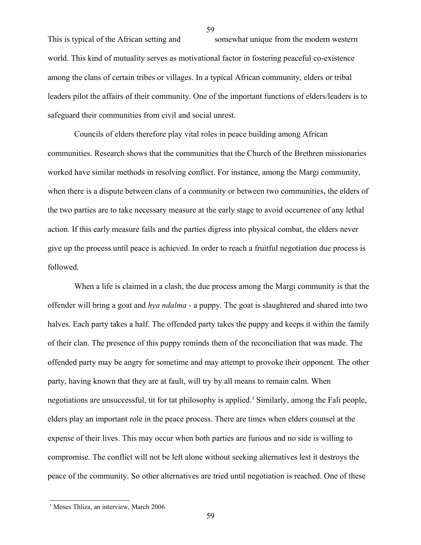This is typical of the African setting and somewhat unique from the modern western world. This kind of mutuality serves as motivational factor in fostering peaceful co-existence among the clans of certain tribes or villages. In a typical African community, elders or tribal leaders pilot the affairs of their community. One of the important functions of elders/leaders is to safeguard their communities from civil and social unrest.

Councils of elders therefore play vital roles in peace building among African communities. Research shows that the communities that the Church of the Brethren missionaries worked have similar methods in resolving conflict. For instance, among the Margi community, when there is a dispute between clans of a community or between two communities, the elders of the two parties are to take necessary measure at the early stage to avoid occurrence of any lethal action. If this early measure fails and the parties digress into physical combat, the elders never give up the process until peace is achieved. In order to reach a fruitful negotiation due process is followed.

When a life is claimed in a clash, the due process among the Margi community is that the offender will bring a goat and *hya ndalma -* a puppy. The goat is slaughtered and shared into two halves. Each party takes a half. The offended party takes the puppy and keeps it within the family of their clan. The presence of this puppy reminds them of the reconciliation that was made. The offended party may be angry for sometime and may attempt to provoke their opponent. The other party, having known that they are at fault, will try by all means to remain calm. When negotiations are unsuccessful, tit for tat philosophy is applied.<sup>[5](#page-58-0)</sup> Similarly, among the Fali people, elders play an important role in the peace process. There are times when elders counsel at the expense of their lives. This may occur when both parties are furious and no side is willing to compromise. The conflict will not be left alone without seeking alternatives lest it destroys the peace of the community. So other alternatives are tried until negotiation is reached. One of these

<span id="page-58-0"></span><sup>5</sup> Moses Thliza, an interview, March 2006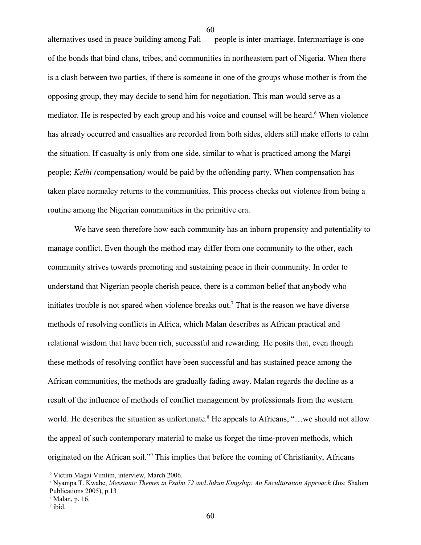alternatives used in peace building among Fali people is inter-marriage. Intermarriage is one of the bonds that bind clans, tribes, and communities in northeastern part of Nigeria. When there is a clash between two parties, if there is someone in one of the groups whose mother is from the opposing group, they may decide to send him for negotiation. This man would serve as a mediator. He is respected by each group and his voice and counsel will be heard.<sup>[6](#page-59-0)</sup> When violence has already occurred and casualties are recorded from both sides, elders still make efforts to calm the situation. If casualty is only from one side, similar to what is practiced among the Margi people; *Kelhi (*compensation*)* would be paid by the offending party. When compensation has taken place normalcy returns to the communities. This process checks out violence from being a routine among the Nigerian communities in the primitive era.

60

We have seen therefore how each community has an inborn propensity and potentiality to manage conflict. Even though the method may differ from one community to the other, each community strives towards promoting and sustaining peace in their community. In order to understand that Nigerian people cherish peace, there is a common belief that anybody who initiates trouble is not spared when violence breaks out.<sup>[7](#page-59-1)</sup> That is the reason we have diverse methods of resolving conflicts in Africa, which Malan describes as African practical and relational wisdom that have been rich, successful and rewarding. He posits that, even though these methods of resolving conflict have been successful and has sustained peace among the African communities, the methods are gradually fading away. Malan regards the decline as a result of the influence of methods of conflict management by professionals from the western world. He describes the situation as unfortunate.<sup>[8](#page-59-2)</sup> He appeals to Africans, "...we should not allow the appeal of such contemporary material to make us forget the time-proven methods, which originated on the African soil."<sup>[9](#page-59-3)</sup> This implies that before the coming of Christianity, Africans

<span id="page-59-0"></span><sup>6</sup> Victim Magai Vimtim, interview, March 2006.

<span id="page-59-1"></span><sup>7</sup> Nyampa T. Kwabe, *Messianic Themes in Psalm 72 and Jukun Kingship: An Enculturation Approach* (Jos: Shalom Publications 2005), p.13

<span id="page-59-3"></span><span id="page-59-2"></span><sup>8</sup> Malan, p. 16. <sup>9</sup> ibid.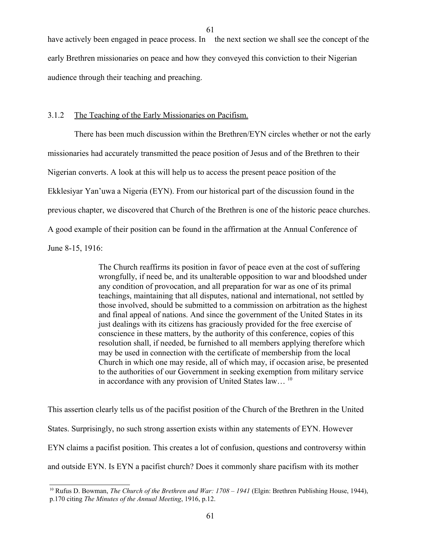have actively been engaged in peace process. In the next section we shall see the concept of the early Brethren missionaries on peace and how they conveyed this conviction to their Nigerian audience through their teaching and preaching.

## 3.1.2 The Teaching of the Early Missionaries on Pacifism.

There has been much discussion within the Brethren/EYN circles whether or not the early missionaries had accurately transmitted the peace position of Jesus and of the Brethren to their Nigerian converts. A look at this will help us to access the present peace position of the Ekklesiyar Yan'uwa a Nigeria (EYN). From our historical part of the discussion found in the previous chapter, we discovered that Church of the Brethren is one of the historic peace churches. A good example of their position can be found in the affirmation at the Annual Conference of June 8-15, 1916:

> The Church reaffirms its position in favor of peace even at the cost of suffering wrongfully, if need be, and its unalterable opposition to war and bloodshed under any condition of provocation, and all preparation for war as one of its primal teachings, maintaining that all disputes, national and international, not settled by those involved, should be submitted to a commission on arbitration as the highest and final appeal of nations. And since the government of the United States in its just dealings with its citizens has graciously provided for the free exercise of conscience in these matters, by the authority of this conference, copies of this resolution shall, if needed, be furnished to all members applying therefore which may be used in connection with the certificate of membership from the local Church in which one may reside, all of which may, if occasion arise, be presented to the authorities of our Government in seeking exemption from military service in accordance with any provision of United States law...<sup>[10](#page-60-0)</sup>

This assertion clearly tells us of the pacifist position of the Church of the Brethren in the United States. Surprisingly, no such strong assertion exists within any statements of EYN. However EYN claims a pacifist position. This creates a lot of confusion, questions and controversy within and outside EYN. Is EYN a pacifist church? Does it commonly share pacifism with its mother

<span id="page-60-0"></span><sup>&</sup>lt;sup>10</sup> Rufus D. Bowman, *The Church of the Brethren and War: 1708 – 1941* (Elgin: Brethren Publishing House, 1944), p.170 citing *The Minutes of the Annual Meeting*, 1916, p.12.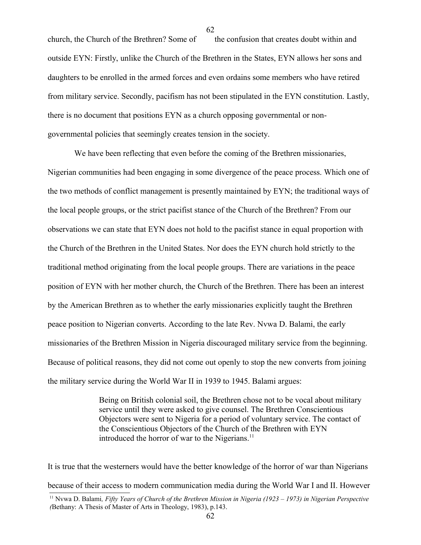church, the Church of the Brethren? Some of the confusion that creates doubt within and outside EYN: Firstly, unlike the Church of the Brethren in the States, EYN allows her sons and daughters to be enrolled in the armed forces and even ordains some members who have retired from military service. Secondly, pacifism has not been stipulated in the EYN constitution. Lastly, there is no document that positions EYN as a church opposing governmental or nongovernmental policies that seemingly creates tension in the society.

We have been reflecting that even before the coming of the Brethren missionaries, Nigerian communities had been engaging in some divergence of the peace process. Which one of the two methods of conflict management is presently maintained by EYN; the traditional ways of the local people groups, or the strict pacifist stance of the Church of the Brethren? From our observations we can state that EYN does not hold to the pacifist stance in equal proportion with the Church of the Brethren in the United States. Nor does the EYN church hold strictly to the traditional method originating from the local people groups. There are variations in the peace position of EYN with her mother church, the Church of the Brethren. There has been an interest by the American Brethren as to whether the early missionaries explicitly taught the Brethren peace position to Nigerian converts. According to the late Rev. Nvwa D. Balami, the early missionaries of the Brethren Mission in Nigeria discouraged military service from the beginning. Because of political reasons, they did not come out openly to stop the new converts from joining the military service during the World War II in 1939 to 1945. Balami argues:

> Being on British colonial soil, the Brethren chose not to be vocal about military service until they were asked to give counsel. The Brethren Conscientious Objectors were sent to Nigeria for a period of voluntary service. The contact of the Conscientious Objectors of the Church of the Brethren with EYN introduced the horror of war to the Nigerians.<sup>[11](#page-61-0)</sup>

<span id="page-61-0"></span>It is true that the westerners would have the better knowledge of the horror of war than Nigerians because of their access to modern communication media during the World War I and II. However 11 Nvwa D. Balami*, Fifty Years of Church of the Brethren Mission in Nigeria (1923 – 1973) in Nigerian Perspective (*Bethany: A Thesis of Master of Arts in Theology, 1983), p.143.

62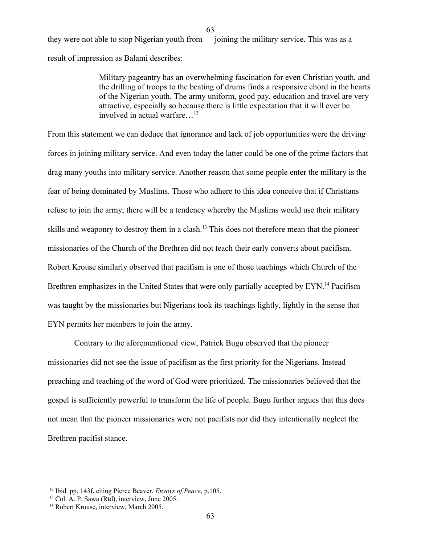they were not able to stop Nigerian youth from joining the military service. This was as a result of impression as Balami describes:

63

Military pageantry has an overwhelming fascination for even Christian youth, and the drilling of troops to the beating of drums finds a responsive chord in the hearts of the Nigerian youth. The army uniform, good pay, education and travel are very attractive, especially so because there is little expectation that it will ever be involved in actual warfare…[12](#page-62-0)

From this statement we can deduce that ignorance and lack of job opportunities were the driving forces in joining military service. And even today the latter could be one of the prime factors that drag many youths into military service. Another reason that some people enter the military is the fear of being dominated by Muslims. Those who adhere to this idea conceive that if Christians refuse to join the army, there will be a tendency whereby the Muslims would use their military skills and weaponry to destroy them in a clash.<sup>[13](#page-62-1)</sup> This does not therefore mean that the pioneer missionaries of the Church of the Brethren did not teach their early converts about pacifism. Robert Krouse similarly observed that pacifism is one of those teachings which Church of the Brethren emphasizes in the United States that were only partially accepted by EYN.<sup>[14](#page-62-2)</sup> Pacifism was taught by the missionaries but Nigerians took its teachings lightly, lightly in the sense that EYN permits her members to join the army.

Contrary to the aforementioned view, Patrick Bugu observed that the pioneer missionaries did not see the issue of pacifism as the first priority for the Nigerians. Instead preaching and teaching of the word of God were prioritized. The missionaries believed that the gospel is sufficiently powerful to transform the life of people. Bugu further argues that this does not mean that the pioneer missionaries were not pacifists nor did they intentionally neglect the Brethren pacifist stance.

<span id="page-62-0"></span><sup>12</sup> Ibid. pp. 143f, citing Pierce Beaver. *Envoys of Peace*, p.105.

<span id="page-62-1"></span><sup>&</sup>lt;sup>13</sup> Col. A. P. Sawa (Rtd), interview, June 2005.

<span id="page-62-2"></span><sup>&</sup>lt;sup>14</sup> Robert Krouse, interview, March 2005.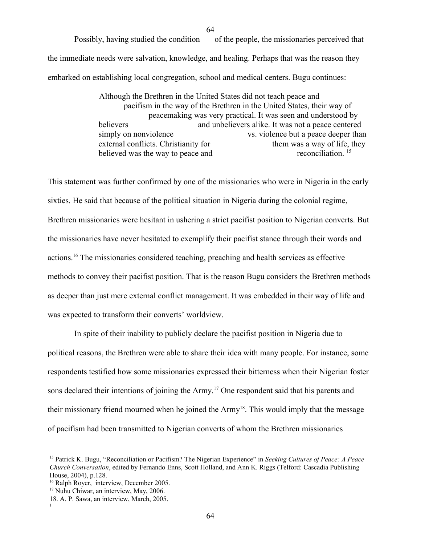Possibly, having studied the condition of the people, the missionaries perceived that the immediate needs were salvation, knowledge, and healing. Perhaps that was the reason they embarked on establishing local congregation, school and medical centers. Bugu continues:

> Although the Brethren in the United States did not teach peace and pacifism in the way of the Brethren in the United States, their way of peacemaking was very practical. It was seen and understood by believers and unbelievers alike. It was not a peace centered simply on nonviolence vs. violence but a peace deeper than external conflicts. Christianity for them was a way of life, they external conflicts. Christianity for them was a way of life, the believed was the way to peace and reconciliation.<sup>15</sup> believed was the way to peace and

This statement was further confirmed by one of the missionaries who were in Nigeria in the early sixties. He said that because of the political situation in Nigeria during the colonial regime, Brethren missionaries were hesitant in ushering a strict pacifist position to Nigerian converts. But the missionaries have never hesitated to exemplify their pacifist stance through their words and actions.<sup>[16](#page-63-1)</sup> The missionaries considered teaching, preaching and health services as effective methods to convey their pacifist position. That is the reason Bugu considers the Brethren methods as deeper than just mere external conflict management. It was embedded in their way of life and was expected to transform their converts' worldview.

In spite of their inability to publicly declare the pacifist position in Nigeria due to political reasons, the Brethren were able to share their idea with many people. For instance, some respondents testified how some missionaries expressed their bitterness when their Nigerian foster sons declared their intentions of joining the Army.<sup>[17](#page-63-2)</sup> One respondent said that his parents and their missionary friend mourned when he joined the Army<sup>[18](#page-63-3)</sup>. This would imply that the message of pacifism had been transmitted to Nigerian converts of whom the Brethren missionaries

<span id="page-63-0"></span><sup>15</sup> Patrick K. Bugu, "Reconciliation or Pacifism? The Nigerian Experience" in *Seeking Cultures of Peace: A Peace Church Conversation*, edited by Fernando Enns, Scott Holland, and Ann K. Riggs (Telford: Cascadia Publishing House, 2004), p.128.

<span id="page-63-1"></span><sup>&</sup>lt;sup>16</sup> Ralph Royer, interview, December 2005.

<span id="page-63-2"></span><sup>&</sup>lt;sup>17</sup> Nuhu Chiwar, an interview, May, 2006.

<span id="page-63-3"></span><sup>18.</sup> A. P. Sawa, an interview, March, 2005. 1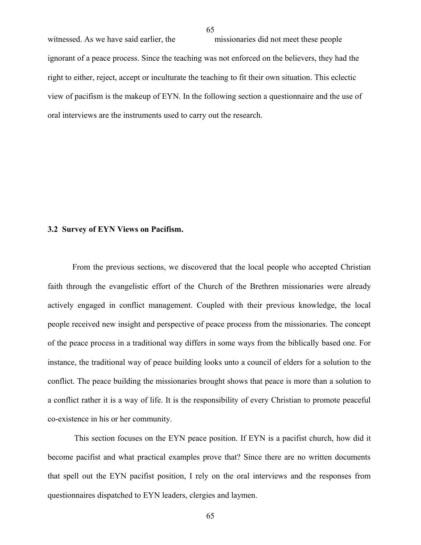witnessed. As we have said earlier, the missionaries did not meet these people ignorant of a peace process. Since the teaching was not enforced on the believers, they had the right to either, reject, accept or inculturate the teaching to fit their own situation. This eclectic view of pacifism is the makeup of EYN. In the following section a questionnaire and the use of oral interviews are the instruments used to carry out the research.

### **3.2 Survey of EYN Views on Pacifism.**

From the previous sections, we discovered that the local people who accepted Christian faith through the evangelistic effort of the Church of the Brethren missionaries were already actively engaged in conflict management. Coupled with their previous knowledge, the local people received new insight and perspective of peace process from the missionaries. The concept of the peace process in a traditional way differs in some ways from the biblically based one. For instance, the traditional way of peace building looks unto a council of elders for a solution to the conflict. The peace building the missionaries brought shows that peace is more than a solution to a conflict rather it is a way of life. It is the responsibility of every Christian to promote peaceful co-existence in his or her community.

This section focuses on the EYN peace position. If EYN is a pacifist church, how did it become pacifist and what practical examples prove that? Since there are no written documents that spell out the EYN pacifist position, I rely on the oral interviews and the responses from questionnaires dispatched to EYN leaders, clergies and laymen.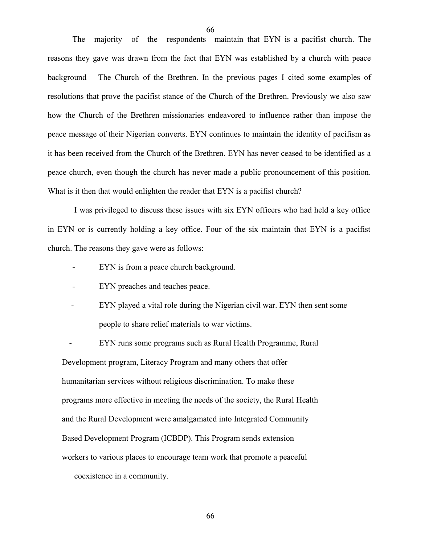The majority of the respondents maintain that EYN is a pacifist church. The reasons they gave was drawn from the fact that EYN was established by a church with peace background – The Church of the Brethren. In the previous pages I cited some examples of resolutions that prove the pacifist stance of the Church of the Brethren. Previously we also saw how the Church of the Brethren missionaries endeavored to influence rather than impose the peace message of their Nigerian converts. EYN continues to maintain the identity of pacifism as it has been received from the Church of the Brethren. EYN has never ceased to be identified as a peace church, even though the church has never made a public pronouncement of this position. What is it then that would enlighten the reader that EYN is a pacifist church?

I was privileged to discuss these issues with six EYN officers who had held a key office in EYN or is currently holding a key office. Four of the six maintain that EYN is a pacifist church. The reasons they gave were as follows:

- EYN is from a peace church background.
- EYN preaches and teaches peace.
- EYN played a vital role during the Nigerian civil war. EYN then sent some people to share relief materials to war victims.

EYN runs some programs such as Rural Health Programme, Rural Development program, Literacy Program and many others that offer humanitarian services without religious discrimination. To make these

programs more effective in meeting the needs of the society, the Rural Health

and the Rural Development were amalgamated into Integrated Community

Based Development Program (ICBDP). This Program sends extension

workers to various places to encourage team work that promote a peaceful

coexistence in a community.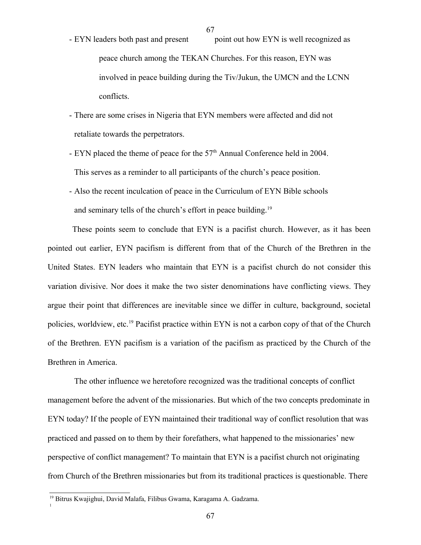- 67
- EYN leaders both past and present point out how EYN is well recognized as peace church among the TEKAN Churches. For this reason, EYN was involved in peace building during the Tiv/Jukun, the UMCN and the LCNN conflicts.
- There are some crises in Nigeria that EYN members were affected and did not retaliate towards the perpetrators.
- EYN placed the theme of peace for the 57<sup>th</sup> Annual Conference held in 2004. This serves as a reminder to all participants of the church's peace position.
- Also the recent inculcation of peace in the Curriculum of EYN Bible schools and seminary tells of the church's effort in peace building.<sup>[19](#page-66-0)</sup>

These points seem to conclude that EYN is a pacifist church. However, as it has been pointed out earlier, EYN pacifism is different from that of the Church of the Brethren in the United States. EYN leaders who maintain that EYN is a pacifist church do not consider this variation divisive. Nor does it make the two sister denominations have conflicting views. They argue their point that differences are inevitable since we differ in culture, background, societal policies, worldview, etc.<sup>[19](#page-66-1)</sup> Pacifist practice within EYN is not a carbon copy of that of the Church of the Brethren. EYN pacifism is a variation of the pacifism as practiced by the Church of the Brethren in America.

The other influence we heretofore recognized was the traditional concepts of conflict management before the advent of the missionaries. But which of the two concepts predominate in EYN today? If the people of EYN maintained their traditional way of conflict resolution that was practiced and passed on to them by their forefathers, what happened to the missionaries' new perspective of conflict management? To maintain that EYN is a pacifist church not originating from Church of the Brethren missionaries but from its traditional practices is questionable. There

<span id="page-66-1"></span><span id="page-66-0"></span><sup>&</sup>lt;sup>19</sup> Bitrus Kwajighui, David Malafa, Filibus Gwama, Karagama A. Gadzama.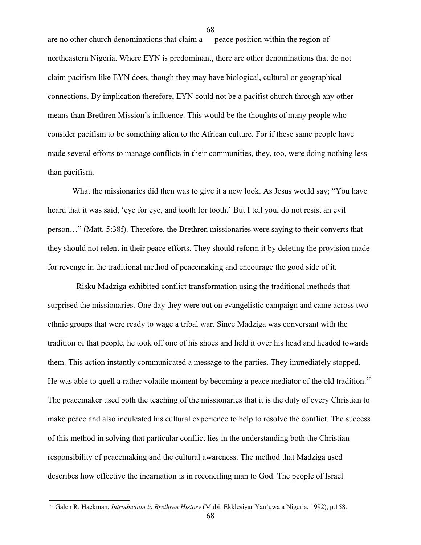are no other church denominations that claim a peace position within the region of northeastern Nigeria. Where EYN is predominant, there are other denominations that do not claim pacifism like EYN does, though they may have biological, cultural or geographical connections. By implication therefore, EYN could not be a pacifist church through any other means than Brethren Mission's influence. This would be the thoughts of many people who consider pacifism to be something alien to the African culture. For if these same people have made several efforts to manage conflicts in their communities, they, too, were doing nothing less than pacifism.

68

What the missionaries did then was to give it a new look. As Jesus would say; "You have heard that it was said, 'eye for eye, and tooth for tooth.' But I tell you, do not resist an evil person…" (Matt. 5:38f). Therefore, the Brethren missionaries were saying to their converts that they should not relent in their peace efforts. They should reform it by deleting the provision made for revenge in the traditional method of peacemaking and encourage the good side of it.

 Risku Madziga exhibited conflict transformation using the traditional methods that surprised the missionaries. One day they were out on evangelistic campaign and came across two ethnic groups that were ready to wage a tribal war. Since Madziga was conversant with the tradition of that people, he took off one of his shoes and held it over his head and headed towards them. This action instantly communicated a message to the parties. They immediately stopped. He was able to quell a rather volatile moment by becoming a peace mediator of the old tradition.<sup>[20](#page-67-0)</sup> The peacemaker used both the teaching of the missionaries that it is the duty of every Christian to make peace and also inculcated his cultural experience to help to resolve the conflict. The success of this method in solving that particular conflict lies in the understanding both the Christian responsibility of peacemaking and the cultural awareness. The method that Madziga used describes how effective the incarnation is in reconciling man to God. The people of Israel

<span id="page-67-0"></span><sup>20</sup> Galen R. Hackman, *Introduction to Brethren History* (Mubi: Ekklesiyar Yan'uwa a Nigeria, 1992), p.158.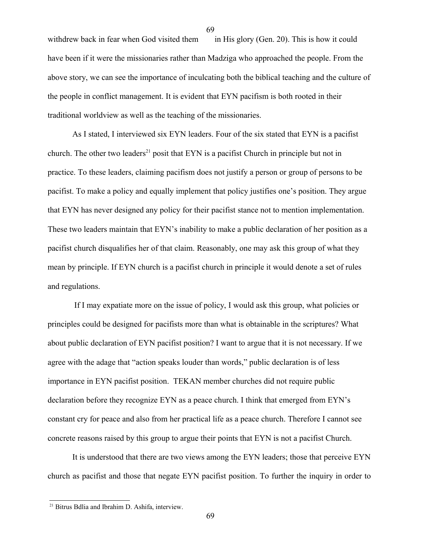withdrew back in fear when God visited them in His glory (Gen. 20). This is how it could have been if it were the missionaries rather than Madziga who approached the people. From the above story, we can see the importance of inculcating both the biblical teaching and the culture of the people in conflict management. It is evident that EYN pacifism is both rooted in their traditional worldview as well as the teaching of the missionaries.

As I stated, I interviewed six EYN leaders. Four of the six stated that EYN is a pacifist church. The other two leaders<sup>[21](#page-68-0)</sup> posit that EYN is a pacifist Church in principle but not in practice. To these leaders, claiming pacifism does not justify a person or group of persons to be pacifist. To make a policy and equally implement that policy justifies one's position. They argue that EYN has never designed any policy for their pacifist stance not to mention implementation. These two leaders maintain that EYN's inability to make a public declaration of her position as a pacifist church disqualifies her of that claim. Reasonably, one may ask this group of what they mean by principle. If EYN church is a pacifist church in principle it would denote a set of rules and regulations.

If I may expatiate more on the issue of policy, I would ask this group, what policies or principles could be designed for pacifists more than what is obtainable in the scriptures? What about public declaration of EYN pacifist position? I want to argue that it is not necessary. If we agree with the adage that "action speaks louder than words," public declaration is of less importance in EYN pacifist position. TEKAN member churches did not require public declaration before they recognize EYN as a peace church. I think that emerged from EYN's constant cry for peace and also from her practical life as a peace church. Therefore I cannot see concrete reasons raised by this group to argue their points that EYN is not a pacifist Church.

It is understood that there are two views among the EYN leaders; those that perceive EYN church as pacifist and those that negate EYN pacifist position. To further the inquiry in order to

<span id="page-68-0"></span><sup>21</sup> Bitrus Bdlia and Ibrahim D. Ashifa, interview.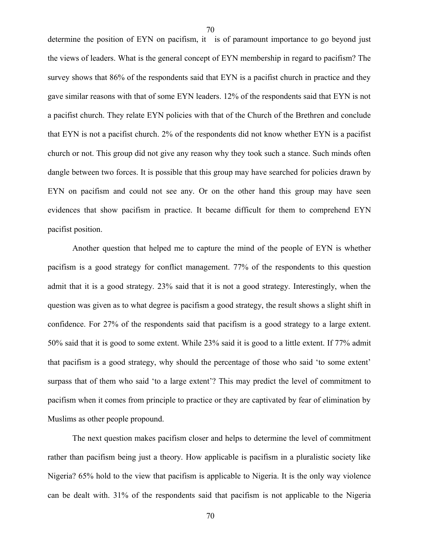determine the position of EYN on pacifism, it is of paramount importance to go beyond just the views of leaders. What is the general concept of EYN membership in regard to pacifism? The survey shows that 86% of the respondents said that EYN is a pacifist church in practice and they gave similar reasons with that of some EYN leaders. 12% of the respondents said that EYN is not a pacifist church. They relate EYN policies with that of the Church of the Brethren and conclude that EYN is not a pacifist church. 2% of the respondents did not know whether EYN is a pacifist church or not. This group did not give any reason why they took such a stance. Such minds often dangle between two forces. It is possible that this group may have searched for policies drawn by EYN on pacifism and could not see any. Or on the other hand this group may have seen evidences that show pacifism in practice. It became difficult for them to comprehend EYN pacifist position.

70

Another question that helped me to capture the mind of the people of EYN is whether pacifism is a good strategy for conflict management. 77% of the respondents to this question admit that it is a good strategy. 23% said that it is not a good strategy. Interestingly, when the question was given as to what degree is pacifism a good strategy, the result shows a slight shift in confidence. For 27% of the respondents said that pacifism is a good strategy to a large extent. 50% said that it is good to some extent. While 23% said it is good to a little extent. If 77% admit that pacifism is a good strategy, why should the percentage of those who said 'to some extent' surpass that of them who said 'to a large extent'? This may predict the level of commitment to pacifism when it comes from principle to practice or they are captivated by fear of elimination by Muslims as other people propound.

The next question makes pacifism closer and helps to determine the level of commitment rather than pacifism being just a theory. How applicable is pacifism in a pluralistic society like Nigeria? 65% hold to the view that pacifism is applicable to Nigeria. It is the only way violence can be dealt with. 31% of the respondents said that pacifism is not applicable to the Nigeria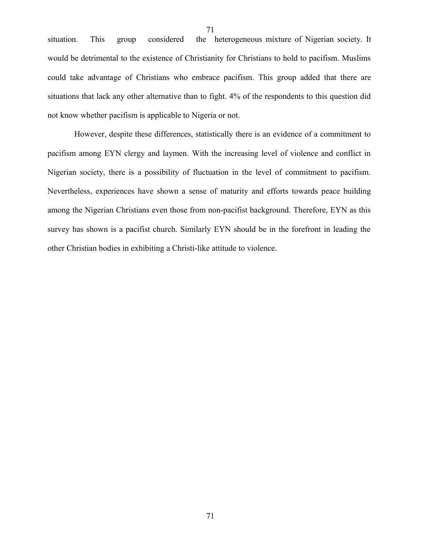situation. This group considered the heterogeneous mixture of Nigerian society. It would be detrimental to the existence of Christianity for Christians to hold to pacifism. Muslims could take advantage of Christians who embrace pacifism. This group added that there are situations that lack any other alternative than to fight. 4% of the respondents to this question did not know whether pacifism is applicable to Nigeria or not.

71

However, despite these differences, statistically there is an evidence of a commitment to pacifism among EYN clergy and laymen. With the increasing level of violence and conflict in Nigerian society, there is a possibility of fluctuation in the level of commitment to pacifism. Nevertheless, experiences have shown a sense of maturity and efforts towards peace building among the Nigerian Christians even those from non-pacifist background. Therefore, EYN as this survey has shown is a pacifist church. Similarly EYN should be in the forefront in leading the other Christian bodies in exhibiting a Christi-like attitude to violence.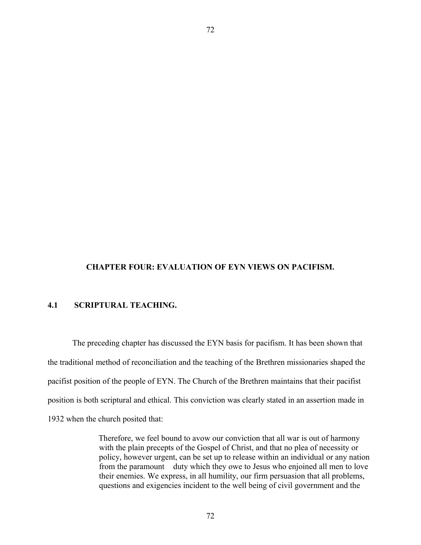### **CHAPTER FOUR: EVALUATION OF EYN VIEWS ON PACIFISM.**

72

## **4.1 SCRIPTURAL TEACHING.**

The preceding chapter has discussed the EYN basis for pacifism. It has been shown that the traditional method of reconciliation and the teaching of the Brethren missionaries shaped the pacifist position of the people of EYN. The Church of the Brethren maintains that their pacifist position is both scriptural and ethical. This conviction was clearly stated in an assertion made in 1932 when the church posited that:

> Therefore, we feel bound to avow our conviction that all war is out of harmony with the plain precepts of the Gospel of Christ, and that no plea of necessity or policy, however urgent, can be set up to release within an individual or any nation from the paramount duty which they owe to Jesus who enjoined all men to love their enemies. We express, in all humility, our firm persuasion that all problems, questions and exigencies incident to the well being of civil government and the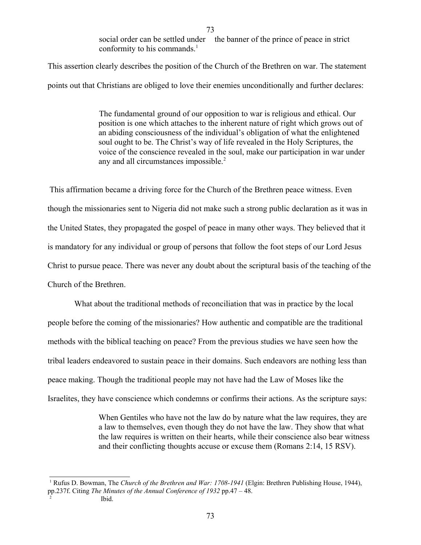social order can be settled under the banner of the prince of peace in strict conformity to his commands. $<sup>1</sup>$  $<sup>1</sup>$  $<sup>1</sup>$ </sup>

This assertion clearly describes the position of the Church of the Brethren on war. The statement points out that Christians are obliged to love their enemies unconditionally and further declares:

> The fundamental ground of our opposition to war is religious and ethical. Our position is one which attaches to the inherent nature of right which grows out of an abiding consciousness of the individual's obligation of what the enlightened soul ought to be. The Christ's way of life revealed in the Holy Scriptures, the voice of the conscience revealed in the soul, make our participation in war under any and all circumstances impossible.<sup>[2](#page-72-1)</sup>

This affirmation became a driving force for the Church of the Brethren peace witness. Even though the missionaries sent to Nigeria did not make such a strong public declaration as it was in the United States, they propagated the gospel of peace in many other ways. They believed that it is mandatory for any individual or group of persons that follow the foot steps of our Lord Jesus Christ to pursue peace. There was never any doubt about the scriptural basis of the teaching of the Church of the Brethren.

What about the traditional methods of reconciliation that was in practice by the local people before the coming of the missionaries? How authentic and compatible are the traditional methods with the biblical teaching on peace? From the previous studies we have seen how the tribal leaders endeavored to sustain peace in their domains. Such endeavors are nothing less than peace making. Though the traditional people may not have had the Law of Moses like the Israelites, they have conscience which condemns or confirms their actions. As the scripture says:

> When Gentiles who have not the law do by nature what the law requires, they are a law to themselves, even though they do not have the law. They show that what the law requires is written on their hearts, while their conscience also bear witness and their conflicting thoughts accuse or excuse them (Romans 2:14, 15 RSV).

<span id="page-72-1"></span><span id="page-72-0"></span><sup>&</sup>lt;sup>1</sup> Rufus D. Bowman, The *Church of the Brethren and War: 1708-1941* (Elgin: Brethren Publishing House, 1944), pp.237f. Citing *The Minutes of the Annual Conference of 1932* pp.47 – 48. 2 Ibid.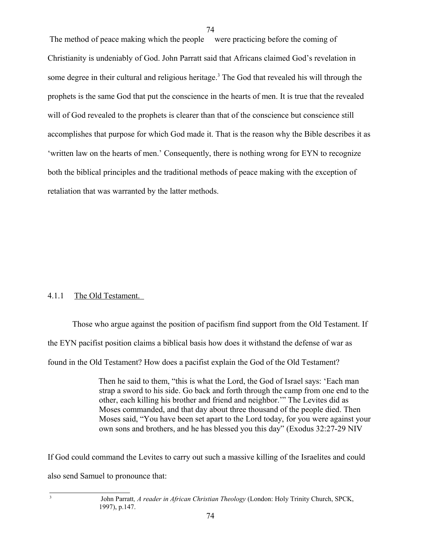The method of peace making which the people were practicing before the coming of Christianity is undeniably of God. John Parratt said that Africans claimed God's revelation in some degree in their cultural and religious heritage.<sup>[3](#page-73-0)</sup> The God that revealed his will through the prophets is the same God that put the conscience in the hearts of men. It is true that the revealed will of God revealed to the prophets is clearer than that of the conscience but conscience still accomplishes that purpose for which God made it. That is the reason why the Bible describes it as 'written law on the hearts of men.' Consequently, there is nothing wrong for EYN to recognize both the biblical principles and the traditional methods of peace making with the exception of retaliation that was warranted by the latter methods.

74

# 4.1.1 The Old Testament.

Those who argue against the position of pacifism find support from the Old Testament. If the EYN pacifist position claims a biblical basis how does it withstand the defense of war as found in the Old Testament? How does a pacifist explain the God of the Old Testament?

> Then he said to them, "this is what the Lord, the God of Israel says: 'Each man strap a sword to his side. Go back and forth through the camp from one end to the other, each killing his brother and friend and neighbor.'" The Levites did as Moses commanded, and that day about three thousand of the people died. Then Moses said, "You have been set apart to the Lord today, for you were against your own sons and brothers, and he has blessed you this day" (Exodus 32:27-29 NIV

If God could command the Levites to carry out such a massive killing of the Israelites and could also send Samuel to pronounce that:

<span id="page-73-0"></span>John Parratt*, A reader in African Christian Theology* (London: Holy Trinity Church, SPCK, 1997), p.147.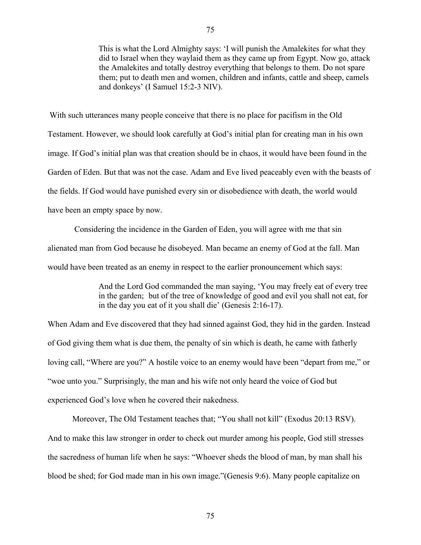This is what the Lord Almighty says: 'I will punish the Amalekites for what they did to Israel when they waylaid them as they came up from Egypt. Now go, attack the Amalekites and totally destroy everything that belongs to them. Do not spare them; put to death men and women, children and infants, cattle and sheep, camels

With such utterances many people conceive that there is no place for pacifism in the Old Testament. However, we should look carefully at God's initial plan for creating man in his own image. If God's initial plan was that creation should be in chaos, it would have been found in the Garden of Eden. But that was not the case. Adam and Eve lived peaceably even with the beasts of the fields. If God would have punished every sin or disobedience with death, the world would have been an empty space by now.

 Considering the incidence in the Garden of Eden, you will agree with me that sin alienated man from God because he disobeyed. Man became an enemy of God at the fall. Man would have been treated as an enemy in respect to the earlier pronouncement which says:

> And the Lord God commanded the man saying, 'You may freely eat of every tree in the garden; but of the tree of knowledge of good and evil you shall not eat, for in the day you eat of it you shall die' (Genesis 2:16-17).

When Adam and Eve discovered that they had sinned against God, they hid in the garden. Instead of God giving them what is due them, the penalty of sin which is death, he came with fatherly loving call, "Where are you?" A hostile voice to an enemy would have been "depart from me," or "woe unto you." Surprisingly, the man and his wife not only heard the voice of God but experienced God's love when he covered their nakedness.

Moreover, The Old Testament teaches that; "You shall not kill" (Exodus 20:13 RSV). And to make this law stronger in order to check out murder among his people, God still stresses the sacredness of human life when he says: "Whoever sheds the blood of man, by man shall his blood be shed; for God made man in his own image."(Genesis 9:6). Many people capitalize on

and donkeys' (I Samuel 15:2-3 NIV).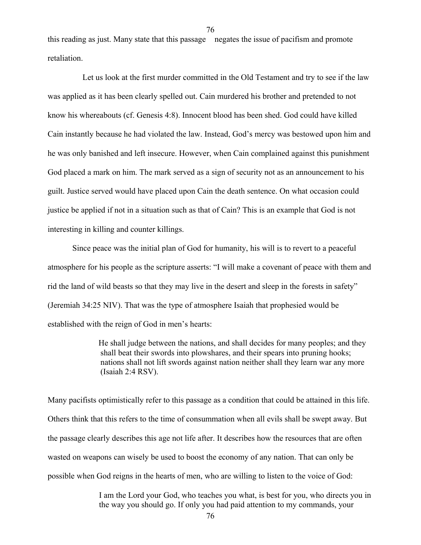this reading as just. Many state that this passage negates the issue of pacifism and promote retaliation.

 Let us look at the first murder committed in the Old Testament and try to see if the law was applied as it has been clearly spelled out. Cain murdered his brother and pretended to not know his whereabouts (cf. Genesis 4:8). Innocent blood has been shed. God could have killed Cain instantly because he had violated the law. Instead, God's mercy was bestowed upon him and he was only banished and left insecure. However, when Cain complained against this punishment God placed a mark on him. The mark served as a sign of security not as an announcement to his guilt. Justice served would have placed upon Cain the death sentence. On what occasion could justice be applied if not in a situation such as that of Cain? This is an example that God is not interesting in killing and counter killings.

Since peace was the initial plan of God for humanity, his will is to revert to a peaceful atmosphere for his people as the scripture asserts: "I will make a covenant of peace with them and rid the land of wild beasts so that they may live in the desert and sleep in the forests in safety" (Jeremiah 34:25 NIV). That was the type of atmosphere Isaiah that prophesied would be established with the reign of God in men's hearts:

> He shall judge between the nations, and shall decides for many peoples; and they shall beat their swords into plowshares, and their spears into pruning hooks; nations shall not lift swords against nation neither shall they learn war any more (Isaiah 2:4 RSV).

Many pacifists optimistically refer to this passage as a condition that could be attained in this life. Others think that this refers to the time of consummation when all evils shall be swept away. But the passage clearly describes this age not life after. It describes how the resources that are often wasted on weapons can wisely be used to boost the economy of any nation. That can only be possible when God reigns in the hearts of men, who are willing to listen to the voice of God:

> I am the Lord your God, who teaches you what, is best for you, who directs you in the way you should go. If only you had paid attention to my commands, your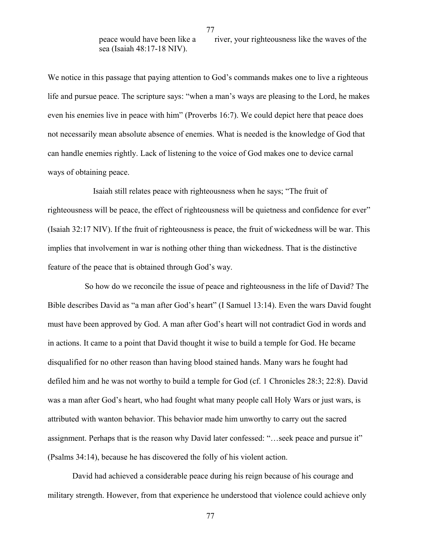77

sea (Isaiah 48:17-18 NIV).

peace would have been like a river, your righteousness like the waves of the

We notice in this passage that paying attention to God's commands makes one to live a righteous life and pursue peace. The scripture says: "when a man's ways are pleasing to the Lord, he makes even his enemies live in peace with him" (Proverbs 16:7). We could depict here that peace does not necessarily mean absolute absence of enemies. What is needed is the knowledge of God that can handle enemies rightly. Lack of listening to the voice of God makes one to device carnal ways of obtaining peace.

 Isaiah still relates peace with righteousness when he says; "The fruit of righteousness will be peace, the effect of righteousness will be quietness and confidence for ever" (Isaiah 32:17 NIV). If the fruit of righteousness is peace, the fruit of wickedness will be war. This implies that involvement in war is nothing other thing than wickedness. That is the distinctive feature of the peace that is obtained through God's way.

 So how do we reconcile the issue of peace and righteousness in the life of David? The Bible describes David as "a man after God's heart" (I Samuel 13:14). Even the wars David fought must have been approved by God. A man after God's heart will not contradict God in words and in actions. It came to a point that David thought it wise to build a temple for God. He became disqualified for no other reason than having blood stained hands. Many wars he fought had defiled him and he was not worthy to build a temple for God (cf. 1 Chronicles 28:3; 22:8). David was a man after God's heart, who had fought what many people call Holy Wars or just wars, is attributed with wanton behavior. This behavior made him unworthy to carry out the sacred assignment. Perhaps that is the reason why David later confessed: "…seek peace and pursue it" (Psalms 34:14), because he has discovered the folly of his violent action.

David had achieved a considerable peace during his reign because of his courage and military strength. However, from that experience he understood that violence could achieve only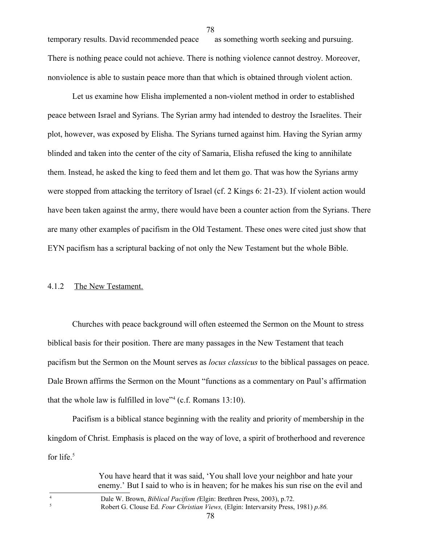temporary results. David recommended peace as something worth seeking and pursuing. There is nothing peace could not achieve. There is nothing violence cannot destroy. Moreover, nonviolence is able to sustain peace more than that which is obtained through violent action.

Let us examine how Elisha implemented a non-violent method in order to established peace between Israel and Syrians. The Syrian army had intended to destroy the Israelites. Their plot, however, was exposed by Elisha. The Syrians turned against him. Having the Syrian army blinded and taken into the center of the city of Samaria, Elisha refused the king to annihilate them. Instead, he asked the king to feed them and let them go. That was how the Syrians army were stopped from attacking the territory of Israel (cf. 2 Kings 6: 21-23). If violent action would have been taken against the army, there would have been a counter action from the Syrians. There are many other examples of pacifism in the Old Testament. These ones were cited just show that EYN pacifism has a scriptural backing of not only the New Testament but the whole Bible.

## 4.1.2 The New Testament.

Churches with peace background will often esteemed the Sermon on the Mount to stress biblical basis for their position. There are many passages in the New Testament that teach pacifism but the Sermon on the Mount serves as *locus classicus* to the biblical passages on peace. Dale Brown affirms the Sermon on the Mount "functions as a commentary on Paul's affirmation that the whole law is fulfilled in love"[4](#page-77-0) (c.f. Romans 13:10).

Pacifism is a biblical stance beginning with the reality and priority of membership in the kingdom of Christ. Emphasis is placed on the way of love, a spirit of brotherhood and reverence for life.<sup>[5](#page-77-1)</sup>

<span id="page-77-1"></span><span id="page-77-0"></span>

| You have heard that it was said, 'You shall love your neighbor and hate your<br>enemy.' But I said to who is in heaven; for he makes his sun rise on the evil and |
|-------------------------------------------------------------------------------------------------------------------------------------------------------------------|
| Dale W. Brown, <i>Biblical Pacifism (Elgin: Brethren Press, 2003)</i> , p.72.                                                                                     |
| Robert G. Clouse Ed. Four Christian Views, (Elgin: Intervarsity Press, 1981) p.86.                                                                                |
| 78                                                                                                                                                                |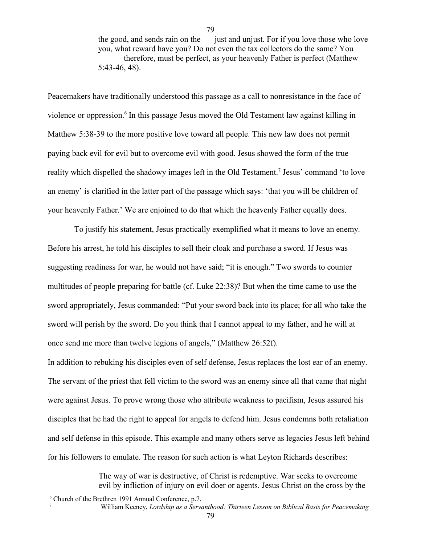the good, and sends rain on the just and unjust. For if you love those who love you, what reward have you? Do not even the tax collectors do the same? You therefore, must be perfect, as your heavenly Father is perfect (Matthew 5:43-46, 48).

79

Peacemakers have traditionally understood this passage as a call to nonresistance in the face of violence or oppression.<sup>[6](#page-78-0)</sup> In this passage Jesus moved the Old Testament law against killing in Matthew 5:38-39 to the more positive love toward all people. This new law does not permit paying back evil for evil but to overcome evil with good. Jesus showed the form of the true reality which dispelled the shadowy images left in the Old Testament.<sup>[7](#page-78-1)</sup> Jesus' command 'to love an enemy' is clarified in the latter part of the passage which says: 'that you will be children of your heavenly Father.' We are enjoined to do that which the heavenly Father equally does.

To justify his statement, Jesus practically exemplified what it means to love an enemy. Before his arrest, he told his disciples to sell their cloak and purchase a sword. If Jesus was suggesting readiness for war, he would not have said; "it is enough." Two swords to counter multitudes of people preparing for battle (cf. Luke 22:38)? But when the time came to use the sword appropriately, Jesus commanded: "Put your sword back into its place; for all who take the sword will perish by the sword. Do you think that I cannot appeal to my father, and he will at once send me more than twelve legions of angels," (Matthew 26:52f).

In addition to rebuking his disciples even of self defense, Jesus replaces the lost ear of an enemy. The servant of the priest that fell victim to the sword was an enemy since all that came that night were against Jesus. To prove wrong those who attribute weakness to pacifism, Jesus assured his disciples that he had the right to appeal for angels to defend him. Jesus condemns both retaliation and self defense in this episode. This example and many others serve as legacies Jesus left behind for his followers to emulate. The reason for such action is what Leyton Richards describes:

> <span id="page-78-1"></span>The way of war is destructive, of Christ is redemptive. War seeks to overcome evil by infliction of injury on evil doer or agents. Jesus Christ on the cross by the

<span id="page-78-0"></span><sup>&</sup>lt;sup>6</sup> Church of the Brethren 1991 Annual Conference, p.7. 7 William Keeney, *Lordship as a Servanthood: Thirteen Lesson on Biblical Basis for Peacemaking*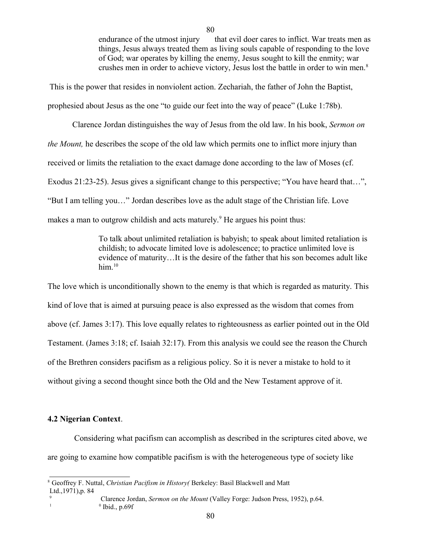endurance of the utmost injury that evil doer cares to inflict. War treats men as things, Jesus always treated them as living souls capable of responding to the love of God; war operates by killing the enemy, Jesus sought to kill the enmity; war crushes men in order to achieve victory, Jesus lost the battle in order to win men.[8](#page-79-0)

This is the power that resides in nonviolent action. Zechariah, the father of John the Baptist, prophesied about Jesus as the one "to guide our feet into the way of peace" (Luke 1:78b).

Clarence Jordan distinguishes the way of Jesus from the old law. In his book, *Sermon on the Mount*, he describes the scope of the old law which permits one to inflict more injury than received or limits the retaliation to the exact damage done according to the law of Moses (cf. Exodus 21:23-25). Jesus gives a significant change to this perspective; "You have heard that…", "But I am telling you…" Jordan describes love as the adult stage of the Christian life. Love makes a man to outgrow childish and acts maturely.<sup>[9](#page-79-1)</sup> He argues his point thus:

> To talk about unlimited retaliation is babyish; to speak about limited retaliation is childish; to advocate limited love is adolescence; to practice unlimited love is evidence of maturity…It is the desire of the father that his son becomes adult like him. $10$

The love which is unconditionally shown to the enemy is that which is regarded as maturity. This kind of love that is aimed at pursuing peace is also expressed as the wisdom that comes from above (cf. James 3:17). This love equally relates to righteousness as earlier pointed out in the Old Testament. (James 3:18; cf. Isaiah 32:17). From this analysis we could see the reason the Church of the Brethren considers pacifism as a religious policy. So it is never a mistake to hold to it without giving a second thought since both the Old and the New Testament approve of it.

## **4.2 Nigerian Context**.

<span id="page-79-2"></span>9

Considering what pacifism can accomplish as described in the scriptures cited above, we are going to examine how compatible pacifism is with the heterogeneous type of society like

<span id="page-79-0"></span>8 Geoffrey F. Nuttal, *Christian Pacifism in History(* Berkeley: Basil Blackwell and Matt Ltd.,1971),p. 84

<span id="page-79-1"></span>Clarence Jordan, *Sermon on the Mount* (Valley Forge: Judson Press, 1952), p.64. 1 0  $^0$  Ibid., p.69f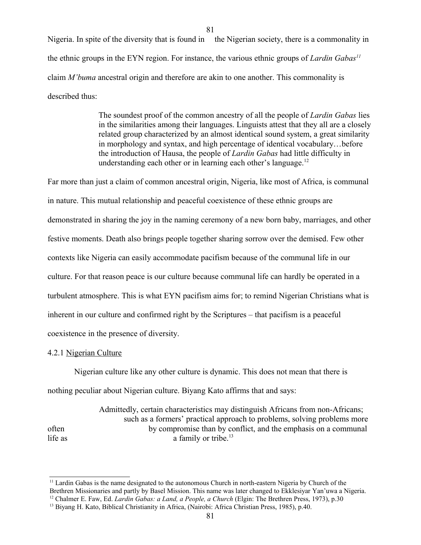81

Nigeria. In spite of the diversity that is found in the Nigerian society, there is a commonality in the ethnic groups in the EYN region. For instance, the various ethnic groups of *Lardin Gabas[11](#page-80-0)* claim *M'buma* ancestral origin and therefore are akin to one another. This commonality is described thus:

> The soundest proof of the common ancestry of all the people of *Lardin Gabas* lies in the similarities among their languages. Linguists attest that they all are a closely related group characterized by an almost identical sound system, a great similarity in morphology and syntax, and high percentage of identical vocabulary…before the introduction of Hausa, the people of *Lardin Gabas* had little difficulty in understanding each other or in learning each other's language.<sup>[12](#page-80-1)</sup>

Far more than just a claim of common ancestral origin, Nigeria, like most of Africa, is communal in nature. This mutual relationship and peaceful coexistence of these ethnic groups are demonstrated in sharing the joy in the naming ceremony of a new born baby, marriages, and other festive moments. Death also brings people together sharing sorrow over the demised. Few other contexts like Nigeria can easily accommodate pacifism because of the communal life in our culture. For that reason peace is our culture because communal life can hardly be operated in a turbulent atmosphere. This is what EYN pacifism aims for; to remind Nigerian Christians what is inherent in our culture and confirmed right by the Scriptures – that pacifism is a peaceful coexistence in the presence of diversity.

## 4.2.1 Nigerian Culture

Nigerian culture like any other culture is dynamic. This does not mean that there is nothing peculiar about Nigerian culture. Biyang Kato affirms that and says:

Admittedly, certain characteristics may distinguish Africans from non-Africans; such as a formers' practical approach to problems, solving problems more often by compromise than by conflict, and the emphasis on a communal life as  $\qquad \qquad$  a family or tribe.<sup>[13](#page-80-2)</sup>

<span id="page-80-0"></span><sup>&</sup>lt;sup>11</sup> Lardin Gabas is the name designated to the autonomous Church in north-eastern Nigeria by Church of the Brethren Missionaries and partly by Basel Mission. This name was later changed to Ekklesiyar Yan'uwa a Nigeria. <sup>12</sup> Chalmer E. Faw, Ed. *Lardin Gabas: a Land, a People, a Church* (Elgin: The Brethren Press, 1973), p.30

<span id="page-80-2"></span><span id="page-80-1"></span><sup>&</sup>lt;sup>13</sup> Biyang H. Kato, Biblical Christianity in Africa, (Nairobi: Africa Christian Press, 1985), p.40.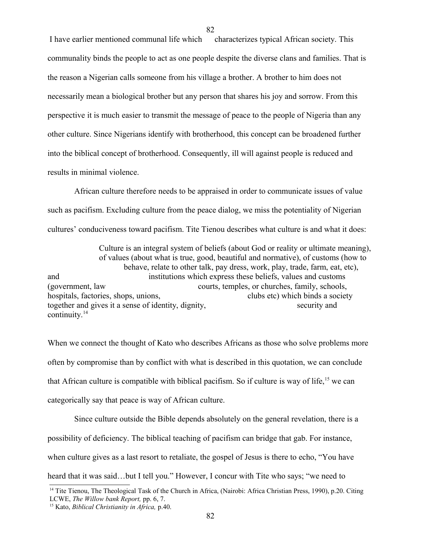I have earlier mentioned communal life which characterizes typical African society. This communality binds the people to act as one people despite the diverse clans and families. That is the reason a Nigerian calls someone from his village a brother. A brother to him does not necessarily mean a biological brother but any person that shares his joy and sorrow. From this perspective it is much easier to transmit the message of peace to the people of Nigeria than any other culture. Since Nigerians identify with brotherhood, this concept can be broadened further into the biblical concept of brotherhood. Consequently, ill will against people is reduced and results in minimal violence.

82

African culture therefore needs to be appraised in order to communicate issues of value such as pacifism. Excluding culture from the peace dialog, we miss the potentiality of Nigerian cultures' conduciveness toward pacifism. Tite Tienou describes what culture is and what it does:

Culture is an integral system of beliefs (about God or reality or ultimate meaning), of values (about what is true, good, beautiful and normative), of customs (how to behave, relate to other talk, pay dress, work, play, trade, farm, eat, etc), and institutions which express these beliefs, values and customs (government, law courts, temples, or churches, family, schools, hospitals, factories, shops, unions, clubs etc) which binds a society together and gives it a sense of identity, dignity, security and security and continuity.[14](#page-81-0)

When we connect the thought of Kato who describes Africans as those who solve problems more often by compromise than by conflict with what is described in this quotation, we can conclude that African culture is compatible with biblical pacifism. So if culture is way of life, <sup>[15](#page-81-1)</sup> we can categorically say that peace is way of African culture.

Since culture outside the Bible depends absolutely on the general revelation, there is a possibility of deficiency. The biblical teaching of pacifism can bridge that gab. For instance, when culture gives as a last resort to retaliate, the gospel of Jesus is there to echo, "You have heard that it was said…but I tell you." However, I concur with Tite who says; "we need to

<span id="page-81-0"></span><sup>&</sup>lt;sup>14</sup> Tite Tienou, The Theological Task of the Church in Africa, (Nairobi: Africa Christian Press, 1990), p.20. Citing LCWE, *The Willow bank Report,* pp. 6, 7.

<span id="page-81-1"></span><sup>15</sup> Kato, *Biblical Christianity in Africa,* p.40.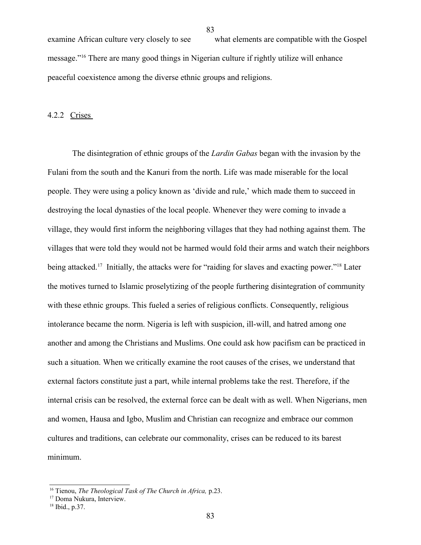examine African culture very closely to see what elements are compatible with the Gospel message."[16](#page-82-0) There are many good things in Nigerian culture if rightly utilize will enhance peaceful coexistence among the diverse ethnic groups and religions.

4.2.2 Crises

The disintegration of ethnic groups of the *Lardin Gabas* began with the invasion by the Fulani from the south and the Kanuri from the north. Life was made miserable for the local people. They were using a policy known as 'divide and rule,' which made them to succeed in destroying the local dynasties of the local people. Whenever they were coming to invade a village, they would first inform the neighboring villages that they had nothing against them. The villages that were told they would not be harmed would fold their arms and watch their neighbors being attacked.<sup>[17](#page-82-1)</sup> Initially, the attacks were for "raiding for slaves and exacting power."<sup>[18](#page-82-2)</sup> Later the motives turned to Islamic proselytizing of the people furthering disintegration of community with these ethnic groups. This fueled a series of religious conflicts. Consequently, religious intolerance became the norm. Nigeria is left with suspicion, ill-will, and hatred among one another and among the Christians and Muslims. One could ask how pacifism can be practiced in such a situation. When we critically examine the root causes of the crises, we understand that external factors constitute just a part, while internal problems take the rest. Therefore, if the internal crisis can be resolved, the external force can be dealt with as well. When Nigerians, men and women, Hausa and Igbo, Muslim and Christian can recognize and embrace our common cultures and traditions, can celebrate our commonality, crises can be reduced to its barest minimum.

<span id="page-82-0"></span><sup>16</sup> Tienou, *The Theological Task of The Church in Africa,* p.23.

<span id="page-82-1"></span><sup>&</sup>lt;sup>17</sup> Doma Nukura, Interview.

<span id="page-82-2"></span><sup>18</sup> Ibid., p.37.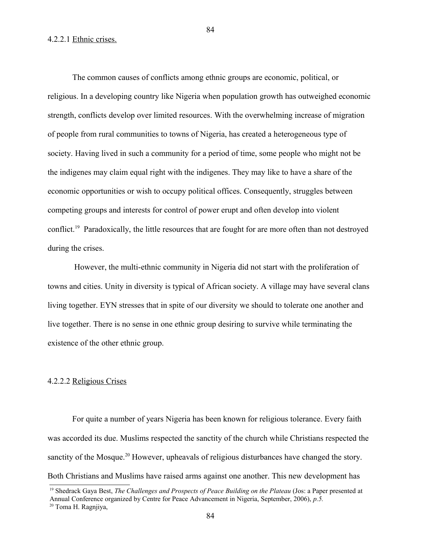84

#### 4.2.2.1 Ethnic crises.

The common causes of conflicts among ethnic groups are economic, political, or religious. In a developing country like Nigeria when population growth has outweighed economic strength, conflicts develop over limited resources. With the overwhelming increase of migration of people from rural communities to towns of Nigeria, has created a heterogeneous type of society. Having lived in such a community for a period of time, some people who might not be the indigenes may claim equal right with the indigenes. They may like to have a share of the economic opportunities or wish to occupy political offices. Consequently, struggles between competing groups and interests for control of power erupt and often develop into violent conflict.<sup>[19](#page-83-0)</sup> Paradoxically, the little resources that are fought for are more often than not destroyed during the crises.

However, the multi-ethnic community in Nigeria did not start with the proliferation of towns and cities. Unity in diversity is typical of African society. A village may have several clans living together. EYN stresses that in spite of our diversity we should to tolerate one another and live together. There is no sense in one ethnic group desiring to survive while terminating the existence of the other ethnic group.

#### 4.2.2.2 Religious Crises

For quite a number of years Nigeria has been known for religious tolerance. Every faith was accorded its due. Muslims respected the sanctity of the church while Christians respected the sanctity of the Mosque.<sup>[20](#page-83-1)</sup> However, upheavals of religious disturbances have changed the story. Both Christians and Muslims have raised arms against one another. This new development has

<span id="page-83-0"></span><sup>&</sup>lt;sup>19</sup> Shedrack Gaya Best, *The Challenges and Prospects of Peace Building on the Plateau* (Jos: a Paper presented at

<span id="page-83-1"></span>Annual Conference organized by Centre for Peace Advancement in Nigeria, September, 2006), *p.5.*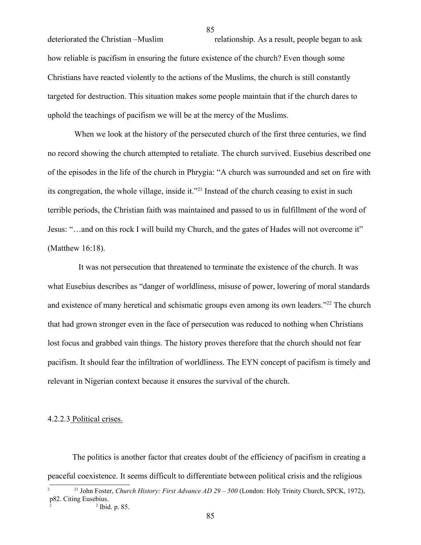deteriorated the Christian –Muslim relationship. As a result, people began to ask how reliable is pacifism in ensuring the future existence of the church? Even though some Christians have reacted violently to the actions of the Muslims, the church is still constantly targeted for destruction. This situation makes some people maintain that if the church dares to uphold the teachings of pacifism we will be at the mercy of the Muslims.

When we look at the history of the persecuted church of the first three centuries, we find no record showing the church attempted to retaliate. The church survived. Eusebius described one of the episodes in the life of the church in Phrygia: "A church was surrounded and set on fire with its congregation, the whole village, inside it."<sup>[21](#page-84-0)</sup> Instead of the church ceasing to exist in such terrible periods, the Christian faith was maintained and passed to us in fulfillment of the word of Jesus: "…and on this rock I will build my Church, and the gates of Hades will not overcome it" (Matthew 16:18).

 It was not persecution that threatened to terminate the existence of the church. It was what Eusebius describes as "danger of worldliness, misuse of power, lowering of moral standards and existence of many heretical and schismatic groups even among its own leaders."<sup>[22](#page-84-1)</sup> The church that had grown stronger even in the face of persecution was reduced to nothing when Christians lost focus and grabbed vain things. The history proves therefore that the church should not fear pacifism. It should fear the infiltration of worldliness. The EYN concept of pacifism is timely and relevant in Nigerian context because it ensures the survival of the church.

## 4.2.2.3 Political crises.

The politics is another factor that creates doubt of the efficiency of pacifism in creating a peaceful coexistence. It seems difficult to differentiate between political crisis and the religious

<span id="page-84-0"></span><sup>&</sup>lt;sup>21</sup> John Foster, *Church History: First Advance AD 29 – 500* (London: Holy Trinity Church, SPCK, 1972), p82. Citing Eusebius. 2 2

<span id="page-84-1"></span><sup>&</sup>lt;sup>2</sup> Ibid. p. 85.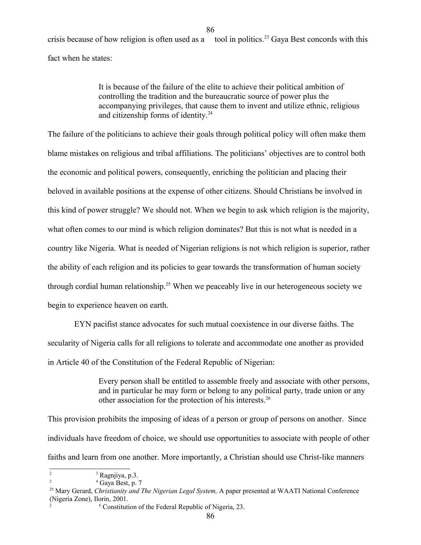crisis because of how religion is often used as a tool in politics.<sup>[23](#page-85-0)</sup> Gaya Best concords with this fact when he states:

86

It is because of the failure of the elite to achieve their political ambition of controlling the tradition and the bureaucratic source of power plus the accompanying privileges, that cause them to invent and utilize ethnic, religious and citizenship forms of identity.<sup>[24](#page-85-1)</sup>

The failure of the politicians to achieve their goals through political policy will often make them blame mistakes on religious and tribal affiliations. The politicians' objectives are to control both the economic and political powers, consequently, enriching the politician and placing their beloved in available positions at the expense of other citizens. Should Christians be involved in this kind of power struggle? We should not. When we begin to ask which religion is the majority, what often comes to our mind is which religion dominates? But this is not what is needed in a country like Nigeria. What is needed of Nigerian religions is not which religion is superior, rather the ability of each religion and its policies to gear towards the transformation of human society through cordial human relationship.<sup>[25](#page-85-2)</sup> When we peaceably live in our heterogeneous society we begin to experience heaven on earth.

EYN pacifist stance advocates for such mutual coexistence in our diverse faiths. The secularity of Nigeria calls for all religions to tolerate and accommodate one another as provided in Article 40 of the Constitution of the Federal Republic of Nigerian:

> Every person shall be entitled to assemble freely and associate with other persons, and in particular he may form or belong to any political party, trade union or any other association for the protection of his interests.[26](#page-85-3)

This provision prohibits the imposing of ideas of a person or group of persons on another. Since individuals have freedom of choice, we should use opportunities to associate with people of other faiths and learn from one another. More importantly, a Christian should use Christ-like manners

<span id="page-85-0"></span><sup>2</sup> 3 <sup>3</sup> Ragnjiya, p.3.

<span id="page-85-1"></span><sup>2</sup> 4  $4$  Gaya Best, p. 7

<span id="page-85-2"></span><sup>&</sup>lt;sup>25</sup> Mary Gerard, *Christianity and The Nigerian Legal System*, A paper presented at WAATI National Conference (Nigeria Zone), Ilorin, 2001.

<span id="page-85-3"></span><sup>2</sup> 6 Constitution of the Federal Republic of Nigeria, 23.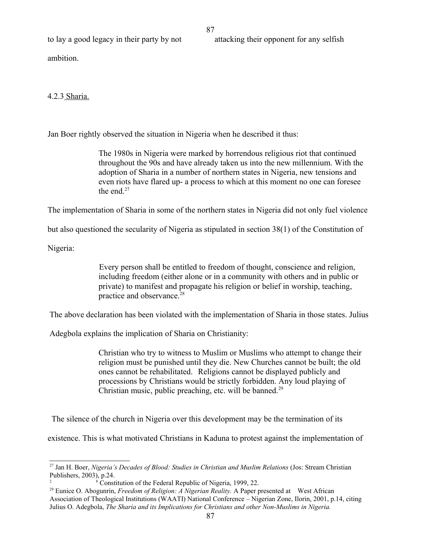to lay a good legacy in their party by not attacking their opponent for any selfish

ambition.

4.2.3 Sharia.

Jan Boer rightly observed the situation in Nigeria when he described it thus:

The 1980s in Nigeria were marked by horrendous religious riot that continued throughout the 90s and have already taken us into the new millennium. With the adoption of Sharia in a number of northern states in Nigeria, new tensions and even riots have flared up- a process to which at this moment no one can foresee the end.<sup>[27](#page-86-0)</sup>

The implementation of Sharia in some of the northern states in Nigeria did not only fuel violence

87

but also questioned the secularity of Nigeria as stipulated in section 38(1) of the Constitution of

Nigeria:

Every person shall be entitled to freedom of thought, conscience and religion, including freedom (either alone or in a community with others and in public or private) to manifest and propagate his religion or belief in worship, teaching, practice and observance.<sup>[28](#page-86-1)</sup>

The above declaration has been violated with the implementation of Sharia in those states. Julius

Adegbola explains the implication of Sharia on Christianity:

Christian who try to witness to Muslim or Muslims who attempt to change their religion must be punished until they die. New Churches cannot be built; the old ones cannot be rehabilitated. Religions cannot be displayed publicly and processions by Christians would be strictly forbidden. Any loud playing of Christian music, public preaching, etc. will be banned.<sup>[29](#page-86-2)</sup>

The silence of the church in Nigeria over this development may be the termination of its

existence. This is what motivated Christians in Kaduna to protest against the implementation of

<span id="page-86-0"></span><sup>&</sup>lt;sup>27</sup> Jan H. Boer, *Nigeria's Decades of Blood: Studies in Christian and Muslim Relations* (Jos: Stream Christian Publishers, 2003), p.24.

<span id="page-86-1"></span><sup>2</sup> 8 <sup>8</sup> Constitution of the Federal Republic of Nigeria, 1999, 22.

<span id="page-86-2"></span><sup>&</sup>lt;sup>29</sup> Eunice O. Abogunrin, *Freedom of Religion: A Nigerian Reality*. A Paper presented at West African Association of Theological Institutions (WAATI) National Conference – Nigerian Zone, Ilorin, 2001, p.14, citing Julius O. Adegbola, *The Sharia and its Implications for Christians and other Non-Muslims in Nigeria.*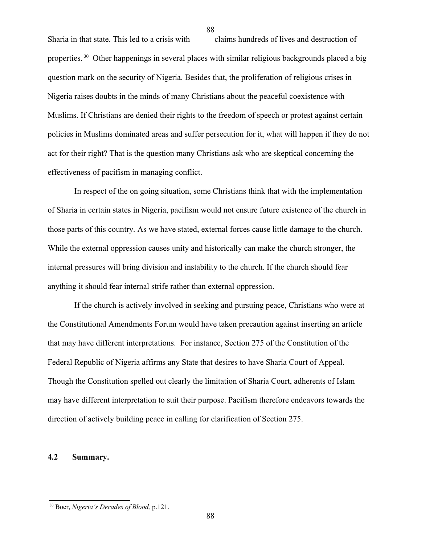Sharia in that state. This led to a crisis with claims hundreds of lives and destruction of properties.<sup>[30](#page-87-0)</sup> Other happenings in several places with similar religious backgrounds placed a big question mark on the security of Nigeria. Besides that, the proliferation of religious crises in Nigeria raises doubts in the minds of many Christians about the peaceful coexistence with Muslims. If Christians are denied their rights to the freedom of speech or protest against certain policies in Muslims dominated areas and suffer persecution for it, what will happen if they do not act for their right? That is the question many Christians ask who are skeptical concerning the effectiveness of pacifism in managing conflict.

In respect of the on going situation, some Christians think that with the implementation of Sharia in certain states in Nigeria, pacifism would not ensure future existence of the church in those parts of this country. As we have stated, external forces cause little damage to the church. While the external oppression causes unity and historically can make the church stronger, the internal pressures will bring division and instability to the church. If the church should fear anything it should fear internal strife rather than external oppression.

If the church is actively involved in seeking and pursuing peace, Christians who were at the Constitutional Amendments Forum would have taken precaution against inserting an article that may have different interpretations. For instance, Section 275 of the Constitution of the Federal Republic of Nigeria affirms any State that desires to have Sharia Court of Appeal. Though the Constitution spelled out clearly the limitation of Sharia Court, adherents of Islam may have different interpretation to suit their purpose. Pacifism therefore endeavors towards the direction of actively building peace in calling for clarification of Section 275.

## **4.2 Summary.**

<span id="page-87-0"></span><sup>30</sup> Boer, *Nigeria's Decades of Blood,* p.121.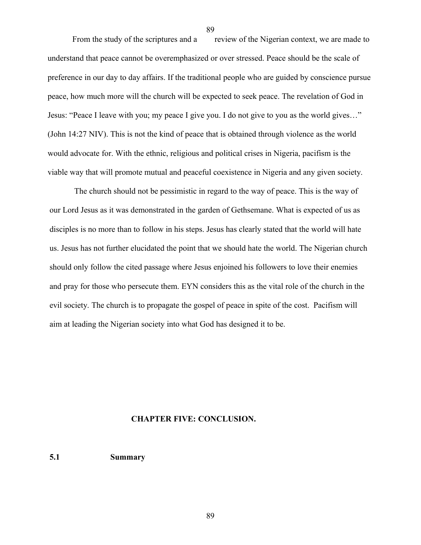From the study of the scriptures and a review of the Nigerian context, we are made to understand that peace cannot be overemphasized or over stressed. Peace should be the scale of preference in our day to day affairs. If the traditional people who are guided by conscience pursue peace, how much more will the church will be expected to seek peace. The revelation of God in Jesus: "Peace I leave with you; my peace I give you. I do not give to you as the world gives…" (John 14:27 NIV). This is not the kind of peace that is obtained through violence as the world would advocate for. With the ethnic, religious and political crises in Nigeria, pacifism is the viable way that will promote mutual and peaceful coexistence in Nigeria and any given society.

The church should not be pessimistic in regard to the way of peace. This is the way of our Lord Jesus as it was demonstrated in the garden of Gethsemane. What is expected of us as disciples is no more than to follow in his steps. Jesus has clearly stated that the world will hate us. Jesus has not further elucidated the point that we should hate the world. The Nigerian church should only follow the cited passage where Jesus enjoined his followers to love their enemies and pray for those who persecute them. EYN considers this as the vital role of the church in the evil society. The church is to propagate the gospel of peace in spite of the cost. Pacifism will aim at leading the Nigerian society into what God has designed it to be.

#### **CHAPTER FIVE: CONCLUSION.**

**5.1 Summary**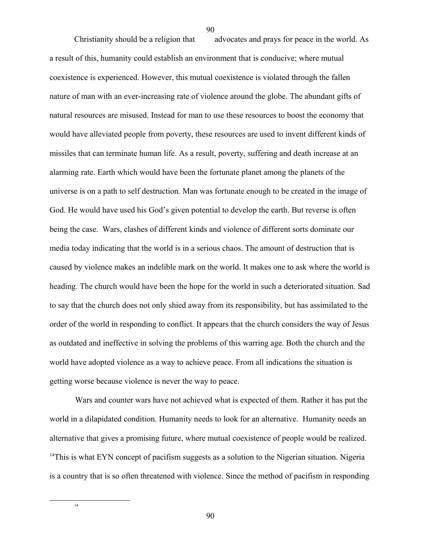Christianity should be a religion that advocates and prays for peace in the world. As a result of this, humanity could establish an environment that is conducive; where mutual coexistence is experienced. However, this mutual coexistence is violated through the fallen nature of man with an ever-increasing rate of violence around the globe. The abundant gifts of natural resources are misused. Instead for man to use these resources to boost the economy that would have alleviated people from poverty, these resources are used to invent different kinds of missiles that can terminate human life. As a result, poverty, suffering and death increase at an alarming rate. Earth which would have been the fortunate planet among the planets of the universe is on a path to self destruction. Man was fortunate enough to be created in the image of God. He would have used his God's given potential to develop the earth. But reverse is often being the case. Wars, clashes of different kinds and violence of different sorts dominate our media today indicating that the world is in a serious chaos. The amount of destruction that is caused by violence makes an indelible mark on the world. It makes one to ask where the world is heading. The church would have been the hope for the world in such a deteriorated situation. Sad to say that the church does not only shied away from its responsibility, but has assimilated to the order of the world in responding to conflict. It appears that the church considers the way of Jesus as outdated and ineffective in solving the problems of this warring age. Both the church and the world have adopted violence as a way to achieve peace. From all indications the situation is getting worse because violence is never the way to peace.

<span id="page-89-0"></span>Wars and counter wars have not achieved what is expected of them. Rather it has put the world in a dilapidated condition. Humanity needs to look for an alternative. Humanity needs an alternative that gives a promising future, where mutual coexistence of people would be realized. <sup>[14](#page-89-0)</sup>This is what EYN concept of pacifism suggests as a solution to the Nigerian situation. Nigeria is a country that is so often threatened with violence. Since the method of pacifism in responding

90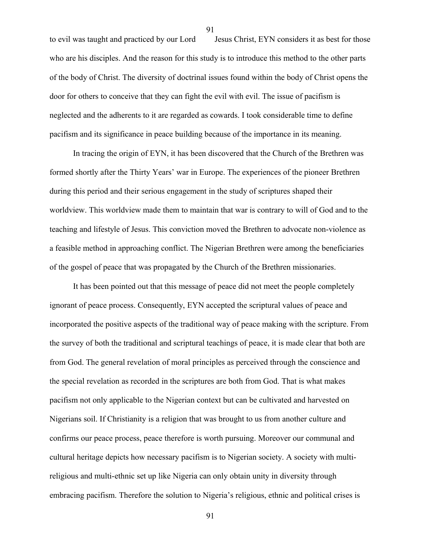to evil was taught and practiced by our Lord Jesus Christ, EYN considers it as best for those who are his disciples. And the reason for this study is to introduce this method to the other parts of the body of Christ. The diversity of doctrinal issues found within the body of Christ opens the door for others to conceive that they can fight the evil with evil. The issue of pacifism is neglected and the adherents to it are regarded as cowards. I took considerable time to define pacifism and its significance in peace building because of the importance in its meaning.

In tracing the origin of EYN, it has been discovered that the Church of the Brethren was formed shortly after the Thirty Years' war in Europe. The experiences of the pioneer Brethren during this period and their serious engagement in the study of scriptures shaped their worldview. This worldview made them to maintain that war is contrary to will of God and to the teaching and lifestyle of Jesus. This conviction moved the Brethren to advocate non-violence as a feasible method in approaching conflict. The Nigerian Brethren were among the beneficiaries of the gospel of peace that was propagated by the Church of the Brethren missionaries.

It has been pointed out that this message of peace did not meet the people completely ignorant of peace process. Consequently, EYN accepted the scriptural values of peace and incorporated the positive aspects of the traditional way of peace making with the scripture. From the survey of both the traditional and scriptural teachings of peace, it is made clear that both are from God. The general revelation of moral principles as perceived through the conscience and the special revelation as recorded in the scriptures are both from God. That is what makes pacifism not only applicable to the Nigerian context but can be cultivated and harvested on Nigerians soil. If Christianity is a religion that was brought to us from another culture and confirms our peace process, peace therefore is worth pursuing. Moreover our communal and cultural heritage depicts how necessary pacifism is to Nigerian society. A society with multireligious and multi-ethnic set up like Nigeria can only obtain unity in diversity through embracing pacifism. Therefore the solution to Nigeria's religious, ethnic and political crises is

91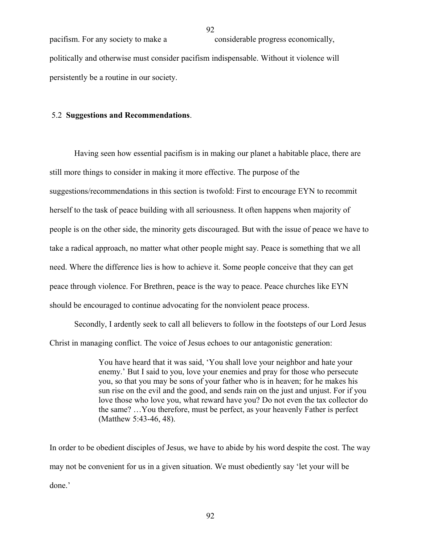pacifism. For any society to make a considerable progress economically, politically and otherwise must consider pacifism indispensable. Without it violence will persistently be a routine in our society.

#### 5.2 **Suggestions and Recommendations**.

Having seen how essential pacifism is in making our planet a habitable place, there are still more things to consider in making it more effective. The purpose of the suggestions/recommendations in this section is twofold: First to encourage EYN to recommit herself to the task of peace building with all seriousness. It often happens when majority of people is on the other side, the minority gets discouraged. But with the issue of peace we have to take a radical approach, no matter what other people might say. Peace is something that we all need. Where the difference lies is how to achieve it. Some people conceive that they can get peace through violence. For Brethren, peace is the way to peace. Peace churches like EYN should be encouraged to continue advocating for the nonviolent peace process.

Secondly, I ardently seek to call all believers to follow in the footsteps of our Lord Jesus Christ in managing conflict. The voice of Jesus echoes to our antagonistic generation:

> You have heard that it was said, 'You shall love your neighbor and hate your enemy.' But I said to you, love your enemies and pray for those who persecute you, so that you may be sons of your father who is in heaven; for he makes his sun rise on the evil and the good, and sends rain on the just and unjust. For if you love those who love you, what reward have you? Do not even the tax collector do the same? …You therefore, must be perfect, as your heavenly Father is perfect (Matthew 5:43-46, 48).

In order to be obedient disciples of Jesus, we have to abide by his word despite the cost. The way may not be convenient for us in a given situation. We must obediently say 'let your will be done.'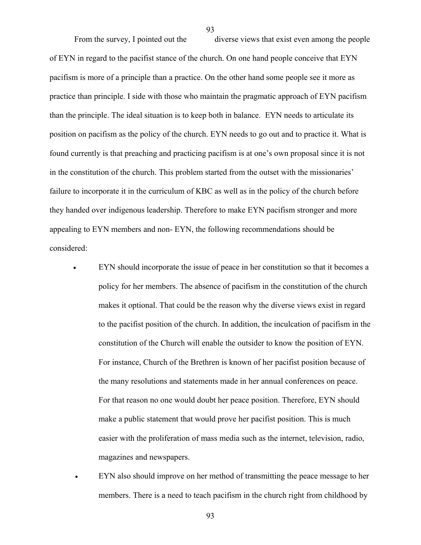From the survey, I pointed out the diverse views that exist even among the people of EYN in regard to the pacifist stance of the church. On one hand people conceive that EYN pacifism is more of a principle than a practice. On the other hand some people see it more as practice than principle. I side with those who maintain the pragmatic approach of EYN pacifism than the principle. The ideal situation is to keep both in balance. EYN needs to articulate its position on pacifism as the policy of the church. EYN needs to go out and to practice it. What is found currently is that preaching and practicing pacifism is at one's own proposal since it is not in the constitution of the church. This problem started from the outset with the missionaries' failure to incorporate it in the curriculum of KBC as well as in the policy of the church before they handed over indigenous leadership. Therefore to make EYN pacifism stronger and more appealing to EYN members and non- EYN, the following recommendations should be considered:

- EYN should incorporate the issue of peace in her constitution so that it becomes a policy for her members. The absence of pacifism in the constitution of the church makes it optional. That could be the reason why the diverse views exist in regard to the pacifist position of the church. In addition, the inculcation of pacifism in the constitution of the Church will enable the outsider to know the position of EYN. For instance, Church of the Brethren is known of her pacifist position because of the many resolutions and statements made in her annual conferences on peace. For that reason no one would doubt her peace position. Therefore, EYN should make a public statement that would prove her pacifist position. This is much easier with the proliferation of mass media such as the internet, television, radio, magazines and newspapers.
- EYN also should improve on her method of transmitting the peace message to her members. There is a need to teach pacifism in the church right from childhood by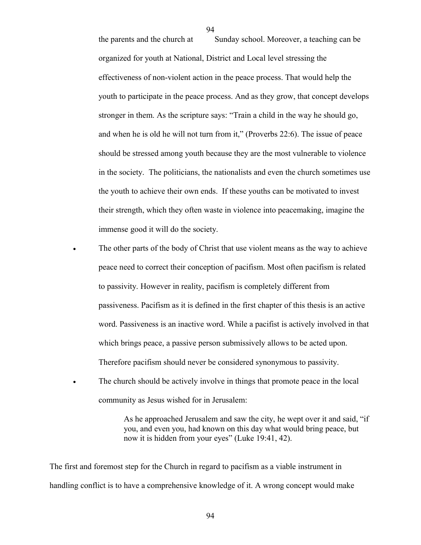the parents and the church at Sunday school. Moreover, a teaching can be organized for youth at National, District and Local level stressing the effectiveness of non-violent action in the peace process. That would help the youth to participate in the peace process. And as they grow, that concept develops stronger in them. As the scripture says: "Train a child in the way he should go, and when he is old he will not turn from it," (Proverbs 22:6). The issue of peace should be stressed among youth because they are the most vulnerable to violence in the society. The politicians, the nationalists and even the church sometimes use the youth to achieve their own ends. If these youths can be motivated to invest their strength, which they often waste in violence into peacemaking, imagine the immense good it will do the society.

- The other parts of the body of Christ that use violent means as the way to achieve peace need to correct their conception of pacifism. Most often pacifism is related to passivity. However in reality, pacifism is completely different from passiveness. Pacifism as it is defined in the first chapter of this thesis is an active word. Passiveness is an inactive word. While a pacifist is actively involved in that which brings peace, a passive person submissively allows to be acted upon. Therefore pacifism should never be considered synonymous to passivity.
- The church should be actively involve in things that promote peace in the local community as Jesus wished for in Jerusalem:

As he approached Jerusalem and saw the city, he wept over it and said, "if you, and even you, had known on this day what would bring peace, but now it is hidden from your eyes" (Luke 19:41, 42).

The first and foremost step for the Church in regard to pacifism as a viable instrument in handling conflict is to have a comprehensive knowledge of it. A wrong concept would make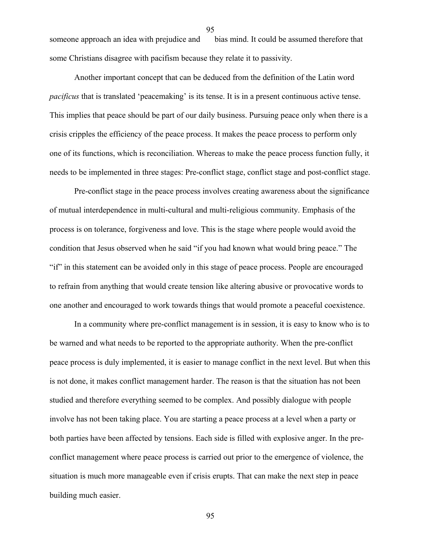someone approach an idea with prejudice and bias mind. It could be assumed therefore that some Christians disagree with pacifism because they relate it to passivity.

95

Another important concept that can be deduced from the definition of the Latin word *pacificus* that is translated 'peacemaking' is its tense. It is in a present continuous active tense. This implies that peace should be part of our daily business. Pursuing peace only when there is a crisis cripples the efficiency of the peace process. It makes the peace process to perform only one of its functions, which is reconciliation. Whereas to make the peace process function fully, it needs to be implemented in three stages: Pre-conflict stage, conflict stage and post-conflict stage.

Pre-conflict stage in the peace process involves creating awareness about the significance of mutual interdependence in multi-cultural and multi-religious community. Emphasis of the process is on tolerance, forgiveness and love. This is the stage where people would avoid the condition that Jesus observed when he said "if you had known what would bring peace." The "if" in this statement can be avoided only in this stage of peace process. People are encouraged to refrain from anything that would create tension like altering abusive or provocative words to one another and encouraged to work towards things that would promote a peaceful coexistence.

In a community where pre-conflict management is in session, it is easy to know who is to be warned and what needs to be reported to the appropriate authority. When the pre-conflict peace process is duly implemented, it is easier to manage conflict in the next level. But when this is not done, it makes conflict management harder. The reason is that the situation has not been studied and therefore everything seemed to be complex. And possibly dialogue with people involve has not been taking place. You are starting a peace process at a level when a party or both parties have been affected by tensions. Each side is filled with explosive anger. In the preconflict management where peace process is carried out prior to the emergence of violence, the situation is much more manageable even if crisis erupts. That can make the next step in peace building much easier.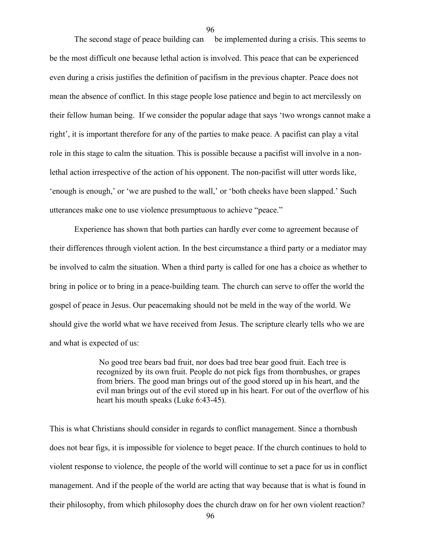The second stage of peace building can be implemented during a crisis. This seems to be the most difficult one because lethal action is involved. This peace that can be experienced even during a crisis justifies the definition of pacifism in the previous chapter. Peace does not mean the absence of conflict. In this stage people lose patience and begin to act mercilessly on their fellow human being. If we consider the popular adage that says 'two wrongs cannot make a right', it is important therefore for any of the parties to make peace. A pacifist can play a vital role in this stage to calm the situation. This is possible because a pacifist will involve in a nonlethal action irrespective of the action of his opponent. The non-pacifist will utter words like, 'enough is enough,' or 'we are pushed to the wall,' or 'both cheeks have been slapped.' Such utterances make one to use violence presumptuous to achieve "peace."

Experience has shown that both parties can hardly ever come to agreement because of their differences through violent action. In the best circumstance a third party or a mediator may be involved to calm the situation. When a third party is called for one has a choice as whether to bring in police or to bring in a peace-building team. The church can serve to offer the world the gospel of peace in Jesus. Our peacemaking should not be meld in the way of the world. We should give the world what we have received from Jesus. The scripture clearly tells who we are and what is expected of us:

> No good tree bears bad fruit, nor does bad tree bear good fruit. Each tree is recognized by its own fruit. People do not pick figs from thornbushes, or grapes from briers. The good man brings out of the good stored up in his heart, and the evil man brings out of the evil stored up in his heart. For out of the overflow of his heart his mouth speaks (Luke 6:43-45).

This is what Christians should consider in regards to conflict management. Since a thornbush does not bear figs, it is impossible for violence to beget peace. If the church continues to hold to violent response to violence, the people of the world will continue to set a pace for us in conflict management. And if the people of the world are acting that way because that is what is found in their philosophy, from which philosophy does the church draw on for her own violent reaction?

96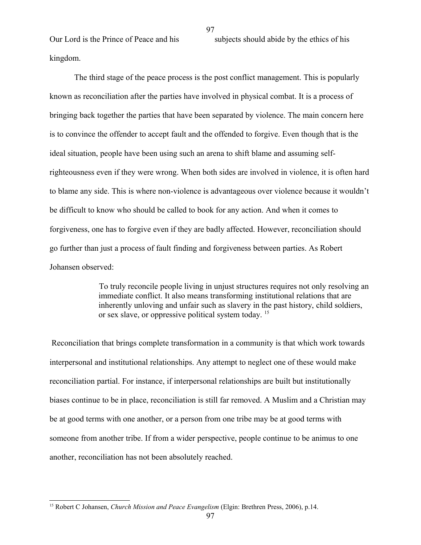kingdom.

Our Lord is the Prince of Peace and his subjects should abide by the ethics of his

The third stage of the peace process is the post conflict management. This is popularly

known as reconciliation after the parties have involved in physical combat. It is a process of bringing back together the parties that have been separated by violence. The main concern here is to convince the offender to accept fault and the offended to forgive. Even though that is the ideal situation, people have been using such an arena to shift blame and assuming selfrighteousness even if they were wrong. When both sides are involved in violence, it is often hard to blame any side. This is where non-violence is advantageous over violence because it wouldn't be difficult to know who should be called to book for any action. And when it comes to forgiveness, one has to forgive even if they are badly affected. However, reconciliation should go further than just a process of fault finding and forgiveness between parties. As Robert Johansen observed:

> To truly reconcile people living in unjust structures requires not only resolving an immediate conflict. It also means transforming institutional relations that are inherently unloving and unfair such as slavery in the past history, child soldiers, or sex slave, or oppressive political system today. [15](#page-96-0)

Reconciliation that brings complete transformation in a community is that which work towards interpersonal and institutional relationships. Any attempt to neglect one of these would make reconciliation partial. For instance, if interpersonal relationships are built but institutionally biases continue to be in place, reconciliation is still far removed. A Muslim and a Christian may be at good terms with one another, or a person from one tribe may be at good terms with someone from another tribe. If from a wider perspective, people continue to be animus to one another, reconciliation has not been absolutely reached.

97

<span id="page-96-0"></span><sup>15</sup> Robert C Johansen, *Church Mission and Peace Evangelism* (Elgin: Brethren Press, 2006), p.14.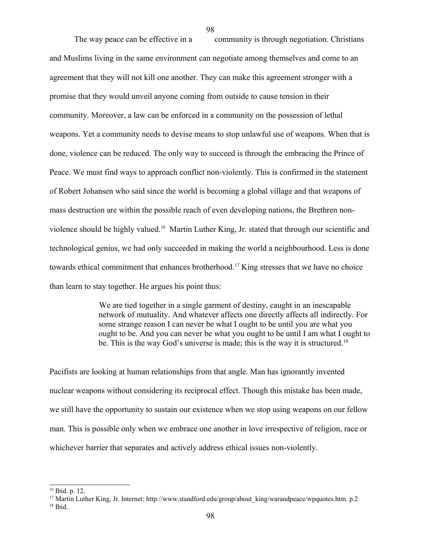The way peace can be effective in a community is through negotiation. Christians and Muslims living in the same environment can negotiate among themselves and come to an agreement that they will not kill one another. They can make this agreement stronger with a promise that they would unveil anyone coming from outside to cause tension in their community. Moreover, a law can be enforced in a community on the possession of lethal weapons. Yet a community needs to devise means to stop unlawful use of weapons. When that is done, violence can be reduced. The only way to succeed is through the embracing the Prince of Peace. We must find ways to approach conflict non-violently. This is confirmed in the statement of Robert Johansen who said since the world is becoming a global village and that weapons of mass destruction are within the possible reach of even developing nations, the Brethren non-violence should be highly valued.<sup>[16](#page-97-0)</sup> Martin Luther King, Jr. stated that through our scientific and technological genius, we had only succeeded in making the world a neighbourhood. Less is done towards ethical commitment that enhances brotherhood.<sup>[17](#page-97-1)</sup> King stresses that we have no choice than learn to stay together. He argues his point thus:

98

We are tied together in a single garment of destiny, caught in an inescapable network of mutuality. And whatever affects one directly affects all indirectly. For some strange reason I can never be what I ought to be until you are what you ought to be. And you can never be what you ought to be until I am what I ought to be. This is the way God's universe is made; this is the way it is structured.<sup>[18](#page-97-2)</sup>

Pacifists are looking at human relationships from that angle. Man has ignorantly invented nuclear weapons without considering its reciprocal effect. Though this mistake has been made, we still have the opportunity to sustain our existence when we stop using weapons on our fellow man. This is possible only when we embrace one another in love irrespective of religion, race or whichever barrier that separates and actively address ethical issues non-violently.

<span id="page-97-0"></span> $16$  Ibid. p. 12.

<span id="page-97-2"></span><span id="page-97-1"></span><sup>&</sup>lt;sup>17</sup> Martin Luther King, Jr. Internet: http://www.standford.edu/group/about\_king/warandpeace/wpquotes.htm. p.2 <sup>18</sup> Ibid.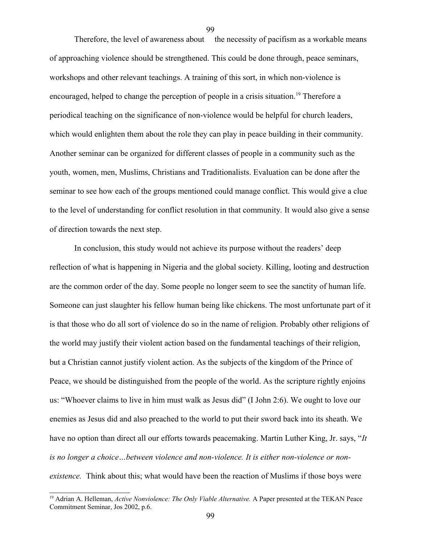Therefore, the level of awareness about the necessity of pacifism as a workable means of approaching violence should be strengthened. This could be done through, peace seminars, workshops and other relevant teachings. A training of this sort, in which non-violence is encouraged, helped to change the perception of people in a crisis situation.<sup>[19](#page-98-0)</sup> Therefore a periodical teaching on the significance of non-violence would be helpful for church leaders, which would enlighten them about the role they can play in peace building in their community. Another seminar can be organized for different classes of people in a community such as the youth, women, men, Muslims, Christians and Traditionalists. Evaluation can be done after the seminar to see how each of the groups mentioned could manage conflict. This would give a clue to the level of understanding for conflict resolution in that community. It would also give a sense of direction towards the next step.

In conclusion, this study would not achieve its purpose without the readers' deep reflection of what is happening in Nigeria and the global society. Killing, looting and destruction are the common order of the day. Some people no longer seem to see the sanctity of human life. Someone can just slaughter his fellow human being like chickens. The most unfortunate part of it is that those who do all sort of violence do so in the name of religion. Probably other religions of the world may justify their violent action based on the fundamental teachings of their religion, but a Christian cannot justify violent action. As the subjects of the kingdom of the Prince of Peace, we should be distinguished from the people of the world. As the scripture rightly enjoins us: "Whoever claims to live in him must walk as Jesus did" (I John 2:6). We ought to love our enemies as Jesus did and also preached to the world to put their sword back into its sheath. We have no option than direct all our efforts towards peacemaking. Martin Luther King, Jr. says, "*It is no longer a choice…between violence and non-violence. It is either non-violence or nonexistence.* Think about this; what would have been the reaction of Muslims if those boys were

<span id="page-98-0"></span><sup>&</sup>lt;sup>19</sup> Adrian A. Helleman, *Active Nonviolence: The Only Viable Alternative*. A Paper presented at the TEKAN Peace Commitment Seminar, Jos 2002, p.6.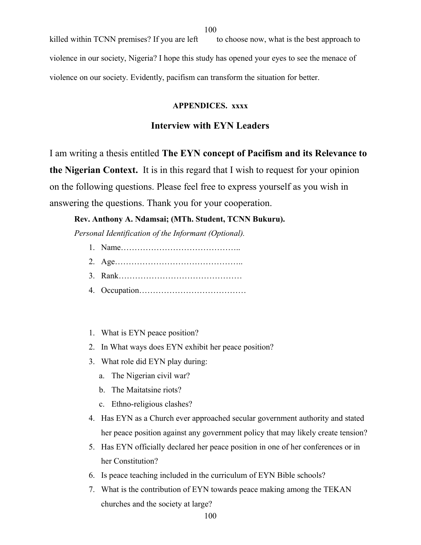killed within TCNN premises? If you are left to choose now, what is the best approach to violence in our society, Nigeria? I hope this study has opened your eyes to see the menace of violence on our society. Evidently, pacifism can transform the situation for better.

# **APPENDICES. xxxx**

# **Interview with EYN Leaders**

I am writing a thesis entitled **The EYN concept of Pacifism and its Relevance to the Nigerian Context.** It is in this regard that I wish to request for your opinion on the following questions. Please feel free to express yourself as you wish in answering the questions. Thank you for your cooperation.

## **Rev. Anthony A. Ndamsai; (MTh. Student, TCNN Bukuru).**

*Personal Identification of the Informant (Optional).*

- 1. Name……………………………………..
- 2. Age………………………………………..
- 3. Rank………………………………………
- 4. Occupation…………………………………
- 1. What is EYN peace position?
- 2. In What ways does EYN exhibit her peace position?
- 3. What role did EYN play during:
	- a. The Nigerian civil war?
	- b. The Maitatsine riots?
	- c. Ethno-religious clashes?
- 4. Has EYN as a Church ever approached secular government authority and stated her peace position against any government policy that may likely create tension?
- 5. Has EYN officially declared her peace position in one of her conferences or in her Constitution?
- 6. Is peace teaching included in the curriculum of EYN Bible schools?
- 7. What is the contribution of EYN towards peace making among the TEKAN churches and the society at large?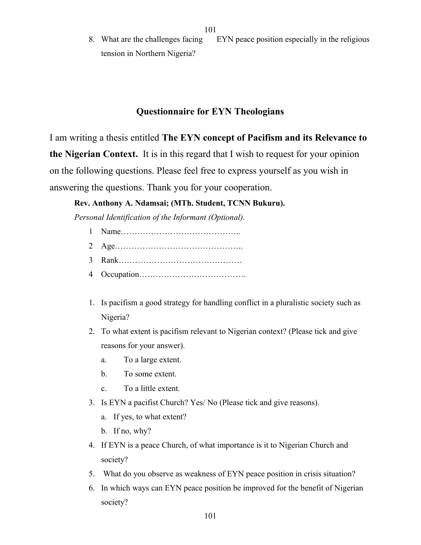8. What are the challenges facing EYN peace position especially in the religious tension in Northern Nigeria?

# **Questionnaire for EYN Theologians**

I am writing a thesis entitled **The EYN concept of Pacifism and its Relevance to the Nigerian Context.** It is in this regard that I wish to request for your opinion on the following questions. Please feel free to express yourself as you wish in answering the questions. Thank you for your cooperation.

# **Rev. Anthony A. Ndamsai; (MTh. Student, TCNN Bukuru).**

*Personal Identification of the Informant (Optional).*

- 1 Name…………………………………….. 2 Age………………………………………..
- 3 Rank………………………………………
- 4 Occupation…………………………………
- 1. Is pacifism a good strategy for handling conflict in a pluralistic society such as Nigeria?
- 2. To what extent is pacifism relevant to Nigerian context? (Please tick and give reasons for your answer).
	- a. To a large extent.
	- b. To some extent.
	- c. To a little extent.
- 3. Is EYN a pacifist Church? Yes/ No (Please tick and give reasons).
	- a. If yes, to what extent?
	- b. If no, why?
- 4. If EYN is a peace Church, of what importance is it to Nigerian Church and society?
- 5. What do you observe as weakness of EYN peace position in crisis situation?
- 6. In which ways can EYN peace position be improved for the benefit of Nigerian society?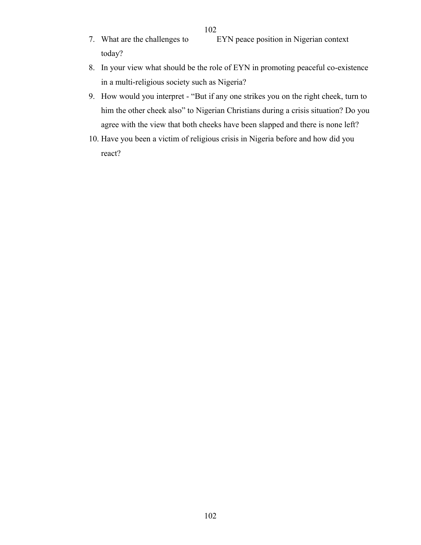- 7. What are the challenges to EYN peace position in Nigerian context today?
- 8. In your view what should be the role of EYN in promoting peaceful co-existence in a multi-religious society such as Nigeria?
- 9. How would you interpret "But if any one strikes you on the right cheek, turn to him the other cheek also" to Nigerian Christians during a crisis situation? Do you agree with the view that both cheeks have been slapped and there is none left?
- 10. Have you been a victim of religious crisis in Nigeria before and how did you react?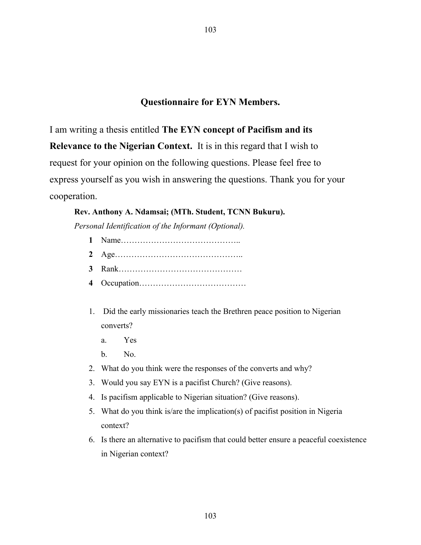# **Questionnaire for EYN Members.**

103

I am writing a thesis entitled **The EYN concept of Pacifism and its Relevance to the Nigerian Context.** It is in this regard that I wish to request for your opinion on the following questions. Please feel free to express yourself as you wish in answering the questions. Thank you for your cooperation.

# **Rev. Anthony A. Ndamsai; (MTh. Student, TCNN Bukuru).**

*Personal Identification of the Informant (Optional).*

- **1** Name……………………………………..
- **2** Age………………………………………..
- **3** Rank………………………………………
- **4** Occupation…………………………………
- 1. Did the early missionaries teach the Brethren peace position to Nigerian converts?
	- a. Yes
	- b. No.
- 2. What do you think were the responses of the converts and why?
- 3. Would you say EYN is a pacifist Church? (Give reasons).
- 4. Is pacifism applicable to Nigerian situation? (Give reasons).
- 5. What do you think is/are the implication(s) of pacifist position in Nigeria context?
- 6. Is there an alternative to pacifism that could better ensure a peaceful coexistence in Nigerian context?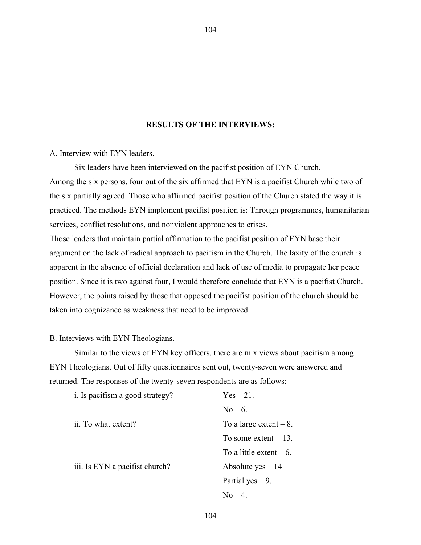## **RESULTS OF THE INTERVIEWS:**

104

A. Interview with EYN leaders.

Six leaders have been interviewed on the pacifist position of EYN Church. Among the six persons, four out of the six affirmed that EYN is a pacifist Church while two of the six partially agreed. Those who affirmed pacifist position of the Church stated the way it is practiced. The methods EYN implement pacifist position is: Through programmes, humanitarian services, conflict resolutions, and nonviolent approaches to crises.

Those leaders that maintain partial affirmation to the pacifist position of EYN base their argument on the lack of radical approach to pacifism in the Church. The laxity of the church is apparent in the absence of official declaration and lack of use of media to propagate her peace position. Since it is two against four, I would therefore conclude that EYN is a pacifist Church. However, the points raised by those that opposed the pacifist position of the church should be taken into cognizance as weakness that need to be improved.

#### B. Interviews with EYN Theologians.

Similar to the views of EYN key officers, there are mix views about pacifism among EYN Theologians. Out of fifty questionnaires sent out, twenty-seven were answered and returned. The responses of the twenty-seven respondents are as follows:

| i. Is pacifism a good strategy? | $Yes-21.$                 |
|---------------------------------|---------------------------|
|                                 | $No-6.$                   |
| ii. To what extent?             | To a large extent $-8$ .  |
|                                 | To some extent - 13.      |
|                                 | To a little extent $-6$ . |
| iii. Is EYN a pacifist church?  | Absolute $yes - 14$       |
|                                 | Partial yes $-9$ .        |
|                                 | $No = 4$                  |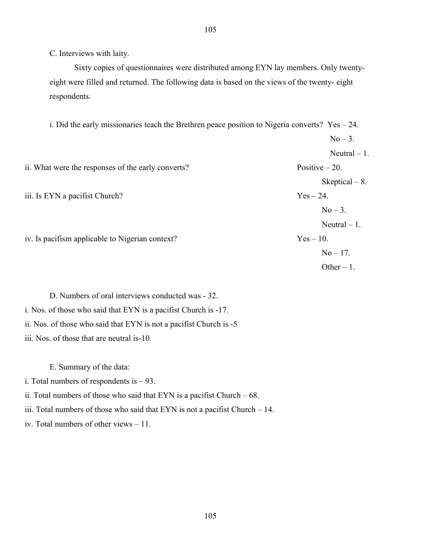C. Interviews with laity.

Sixty copies of questionnaires were distributed among EYN lay members. Only twentyeight were filled and returned. The following data is based on the views of the twenty- eight respondents.

i. Did the early missionaries teach the Brethren peace position to Nigeria converts?  $Yes - 24$ .

|                                                    | $No-3.$          |
|----------------------------------------------------|------------------|
|                                                    | Neutral $-1$ .   |
| ii. What were the responses of the early converts? | Positive $-20$ . |
|                                                    | Skeptical $-8$ . |
| iii. Is EYN a pacifist Church?                     | $Yes-24.$        |
|                                                    | $No-3.$          |
|                                                    | Neutral $-1$ .   |
| iv. Is pacifism applicable to Nigerian context?    | $Yes-10.$        |
|                                                    | $No - 17.$       |
|                                                    | Other $-1$ .     |

D. Numbers of oral interviews conducted was - 32. i. Nos. of those who said that EYN is a pacifist Church is -17. ii. Nos. of those who said that EYN is not a pacifist Church is -5 iii. Nos. of those that are neutral is-10.

E. Summary of the data:

i. Total numbers of respondents is – 93.

ii. Total numbers of those who said that  $EYN$  is a pacifist Church – 68.

iii. Total numbers of those who said that EYN is not a pacifist Church – 14.

iv. Total numbers of other views – 11.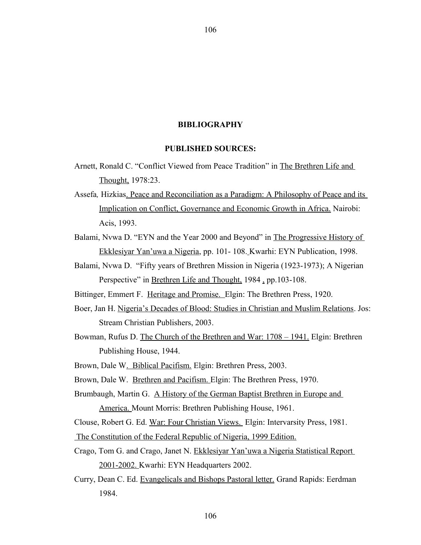#### **BIBLIOGRAPHY**

## **PUBLISHED SOURCES:**

- Arnett, Ronald C. "Conflict Viewed from Peace Tradition" in The Brethren Life and Thought, 1978:23.
- Assefa*,* Hizkias. Peace and Reconciliation as a Paradigm: A Philosophy of Peace and its Implication on Conflict, Governance and Economic Growth in Africa. Nairobi: Acis, 1993.
- Balami, Nvwa D. "EYN and the Year 2000 and Beyond" in The Progressive History of Ekklesiyar Yan'uwa a Nigeria, pp. 101- 108. Kwarhi: EYN Publication, 1998.
- Balami, Nvwa D. "Fifty years of Brethren Mission in Nigeria (1923-1973); A Nigerian Perspective" in Brethren Life and Thought, 1984, pp.103-108.

Bittinger, Emmert F. Heritage and Promise. Elgin: The Brethren Press, 1920.

- Boer, Jan H. Nigeria's Decades of Blood: Studies in Christian and Muslim Relations. Jos: Stream Christian Publishers, 2003.
- Bowman, Rufus D. The Church of the Brethren and War: 1708 1941. Elgin: Brethren Publishing House, 1944.
- Brown, Dale W. Biblical Pacifism. Elgin: Brethren Press, 2003.

Brown, Dale W. Brethren and Pacifism. Elgin: The Brethren Press, 1970.

Brumbaugh, Martin G. A History of the German Baptist Brethren in Europe and America. Mount Morris: Brethren Publishing House, 1961.

Clouse, Robert G. Ed. War: Four Christian Views. Elgin: Intervarsity Press, 1981.

- The Constitution of the Federal Republic of Nigeria, 1999 Edition.
- Crago, Tom G. and Crago, Janet N. Ekklesiyar Yan'uwa a Nigeria Statistical Report 2001-2002. Kwarhi: EYN Headquarters 2002.
- Curry, Dean C. Ed. Evangelicals and Bishops Pastoral letter. Grand Rapids: Eerdman 1984.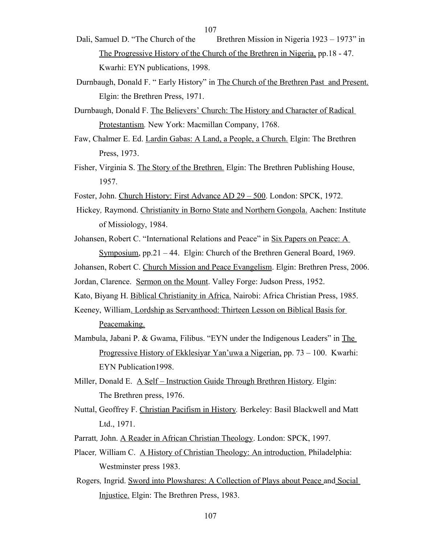- Dali, Samuel D. "The Church of the Brethren Mission in Nigeria 1923 1973" in The Progressive History of the Church of the Brethren in Nigeria, pp.18 - 47. Kwarhi: EYN publications, 1998.
- Durnbaugh, Donald F. " Early History" in The Church of the Brethren Past and Present. Elgin: the Brethren Press, 1971.
- Durnbaugh, Donald F. The Believers' Church: The History and Character of Radical Protestantism*.* New York: Macmillan Company, 1768.
- Faw, Chalmer E. Ed. Lardin Gabas: A Land, a People, a Church. Elgin: The Brethren Press, 1973.
- Fisher, Virginia S. The Story of the Brethren. Elgin: The Brethren Publishing House, 1957.
- Foster, John. Church History: First Advance AD 29 500. London: SPCK, 1972.
- Hickey*,* Raymond. Christianity in Borno State and Northern Gongola. Aachen: Institute of Missiology, 1984.
- Johansen, Robert C. "International Relations and Peace" in Six Papers on Peace: A Symposium, pp.21 – 44. Elgin: Church of the Brethren General Board, 1969.
- Johansen, Robert C. Church Mission and Peace Evangelism. Elgin: Brethren Press, 2006.
- Jordan, Clarence. Sermon on the Mount. Valley Forge: Judson Press, 1952.

Kato, Biyang H. Biblical Christianity in Africa. Nairobi: Africa Christian Press, 1985.

- Keeney, William. Lordship as Servanthood: Thirteen Lesson on Biblical Basis for Peacemaking.
- Mambula, Jabani P. & Gwama, Filibus. "EYN under the Indigenous Leaders" in The Progressive History of Ekklesiyar Yan'uwa a Nigerian, pp. 73 – 100. Kwarhi: EYN Publication1998.
- Miller, Donald E. A Self Instruction Guide Through Brethren History. Elgin: The Brethren press, 1976.
- Nuttal, Geoffrey F. Christian Pacifism in History*.* Berkeley: Basil Blackwell and Matt Ltd., 1971.
- Parratt, John. A Reader in African Christian Theology. London: SPCK, 1997.
- Placer*,* William C. A History of Christian Theology: An introduction. Philadelphia: Westminster press 1983.
- Rogers*,* Ingrid. Sword into Plowshares: A Collection of Plays about Peace and Social Injustice. Elgin: The Brethren Press, 1983.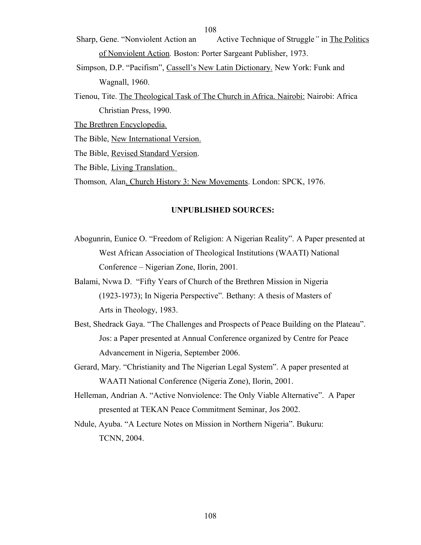Sharp, Gene. "Nonviolent Action an Active Technique of Struggle*"* in The Politics of Nonviolent Action*.* Boston: Porter Sargeant Publisher, 1973.

- Simpson, D.P. "Pacifism", Cassell's New Latin Dictionary. New York: Funk and Wagnall, 1960.
- Tienou, Tite. The Theological Task of The Church in Africa. Nairobi: Nairobi: Africa Christian Press, 1990.

The Brethren Encyclopedia*.*

The Bible, New International Version.

The Bible, Revised Standard Version.

The Bible, Living Translation.

Thomson*,* Alan. Church History 3: New Movements. London: SPCK, 1976.

### **UNPUBLISHED SOURCES:**

- Abogunrin, Eunice O. "Freedom of Religion: A Nigerian Reality". A Paper presented at West African Association of Theological Institutions (WAATI) National Conference – Nigerian Zone, Ilorin, 2001*.*
- Balami, Nvwa D. "Fifty Years of Church of the Brethren Mission in Nigeria (1923-1973); In Nigeria Perspective"*.* Bethany: A thesis of Masters of Arts in Theology, 1983.
- Best, Shedrack Gaya. "The Challenges and Prospects of Peace Building on the Plateau". Jos: a Paper presented at Annual Conference organized by Centre for Peace Advancement in Nigeria, September 2006.
- Gerard, Mary. "Christianity and The Nigerian Legal System". A paper presented at WAATI National Conference (Nigeria Zone), Ilorin, 2001.
- Helleman, Andrian A. "Active Nonviolence: The Only Viable Alternative". A Paper presented at TEKAN Peace Commitment Seminar, Jos 2002.
- Ndule, Ayuba. "A Lecture Notes on Mission in Northern Nigeria". Bukuru: TCNN, 2004.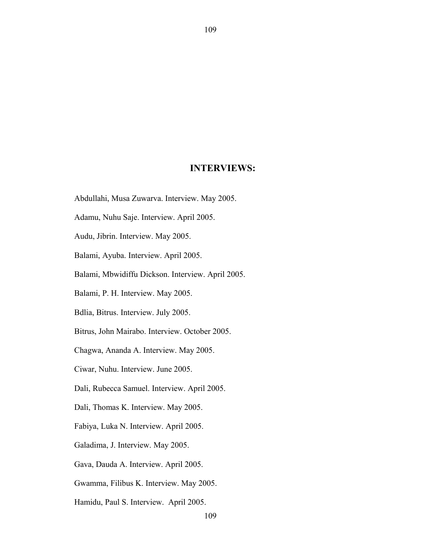## **INTERVIEWS:**

109

- Abdullahi, Musa Zuwarva. Interview. May 2005.
- Adamu, Nuhu Saje. Interview. April 2005.
- Audu, Jibrin. Interview. May 2005.
- Balami, Ayuba. Interview. April 2005.
- Balami, Mbwidiffu Dickson. Interview. April 2005.
- Balami, P. H. Interview. May 2005.
- Bdlia, Bitrus. Interview. July 2005.
- Bitrus, John Mairabo. Interview. October 2005.
- Chagwa, Ananda A. Interview. May 2005.
- Ciwar, Nuhu. Interview. June 2005.
- Dali, Rubecca Samuel. Interview. April 2005.
- Dali, Thomas K. Interview. May 2005.
- Fabiya, Luka N. Interview. April 2005.
- Galadima, J. Interview. May 2005.
- Gava, Dauda A. Interview. April 2005.
- Gwamma, Filibus K. Interview. May 2005.
- Hamidu, Paul S. Interview. April 2005.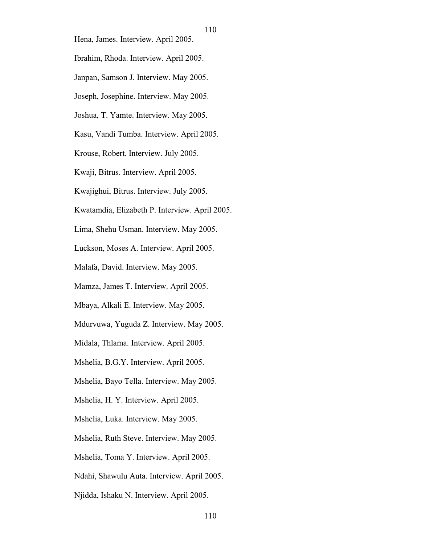Hena, James. Interview. April 2005.

Ibrahim, Rhoda. Interview. April 2005.

- Janpan, Samson J. Interview. May 2005.
- Joseph, Josephine. Interview. May 2005.
- Joshua, T. Yamte. Interview. May 2005.
- Kasu, Vandi Tumba. Interview. April 2005.
- Krouse, Robert. Interview. July 2005.
- Kwaji, Bitrus. Interview. April 2005.
- Kwajighui, Bitrus. Interview. July 2005.
- Kwatamdia, Elizabeth P. Interview. April 2005.
- Lima, Shehu Usman. Interview. May 2005.
- Luckson, Moses A. Interview. April 2005.
- Malafa, David. Interview. May 2005.
- Mamza, James T. Interview. April 2005.
- Mbaya, Alkali E. Interview. May 2005.
- Mdurvuwa, Yuguda Z. Interview. May 2005.
- Midala, Thlama. Interview. April 2005.
- Mshelia, B.G.Y. Interview. April 2005.
- Mshelia, Bayo Tella. Interview. May 2005.
- Mshelia, H. Y. Interview. April 2005.
- Mshelia, Luka. Interview. May 2005.
- Mshelia, Ruth Steve. Interview. May 2005.
- Mshelia, Toma Y. Interview. April 2005.
- Ndahi, Shawulu Auta. Interview. April 2005.
- Njidda, Ishaku N. Interview. April 2005.